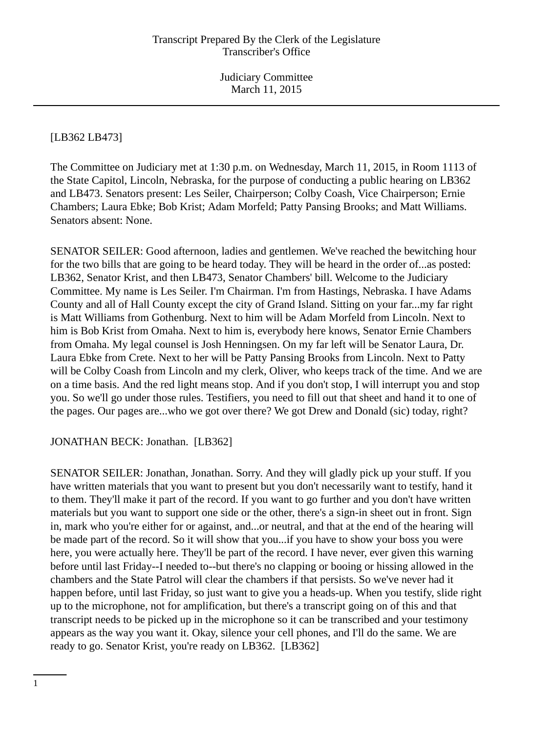[LB362 LB473]

The Committee on Judiciary met at 1:30 p.m. on Wednesday, March 11, 2015, in Room 1113 of the State Capitol, Lincoln, Nebraska, for the purpose of conducting a public hearing on LB362 and LB473. Senators present: Les Seiler, Chairperson; Colby Coash, Vice Chairperson; Ernie Chambers; Laura Ebke; Bob Krist; Adam Morfeld; Patty Pansing Brooks; and Matt Williams. Senators absent: None.

SENATOR SEILER: Good afternoon, ladies and gentlemen. We've reached the bewitching hour for the two bills that are going to be heard today. They will be heard in the order of...as posted: LB362, Senator Krist, and then LB473, Senator Chambers' bill. Welcome to the Judiciary Committee. My name is Les Seiler. I'm Chairman. I'm from Hastings, Nebraska. I have Adams County and all of Hall County except the city of Grand Island. Sitting on your far...my far right is Matt Williams from Gothenburg. Next to him will be Adam Morfeld from Lincoln. Next to him is Bob Krist from Omaha. Next to him is, everybody here knows, Senator Ernie Chambers from Omaha. My legal counsel is Josh Henningsen. On my far left will be Senator Laura, Dr. Laura Ebke from Crete. Next to her will be Patty Pansing Brooks from Lincoln. Next to Patty will be Colby Coash from Lincoln and my clerk, Oliver, who keeps track of the time. And we are on a time basis. And the red light means stop. And if you don't stop, I will interrupt you and stop you. So we'll go under those rules. Testifiers, you need to fill out that sheet and hand it to one of the pages. Our pages are...who we got over there? We got Drew and Donald (sic) today, right?

# JONATHAN BECK: Jonathan. [LB362]

SENATOR SEILER: Jonathan, Jonathan. Sorry. And they will gladly pick up your stuff. If you have written materials that you want to present but you don't necessarily want to testify, hand it to them. They'll make it part of the record. If you want to go further and you don't have written materials but you want to support one side or the other, there's a sign-in sheet out in front. Sign in, mark who you're either for or against, and...or neutral, and that at the end of the hearing will be made part of the record. So it will show that you...if you have to show your boss you were here, you were actually here. They'll be part of the record. I have never, ever given this warning before until last Friday--I needed to--but there's no clapping or booing or hissing allowed in the chambers and the State Patrol will clear the chambers if that persists. So we've never had it happen before, until last Friday, so just want to give you a heads-up. When you testify, slide right up to the microphone, not for amplification, but there's a transcript going on of this and that transcript needs to be picked up in the microphone so it can be transcribed and your testimony appears as the way you want it. Okay, silence your cell phones, and I'll do the same. We are ready to go. Senator Krist, you're ready on LB362. [LB362]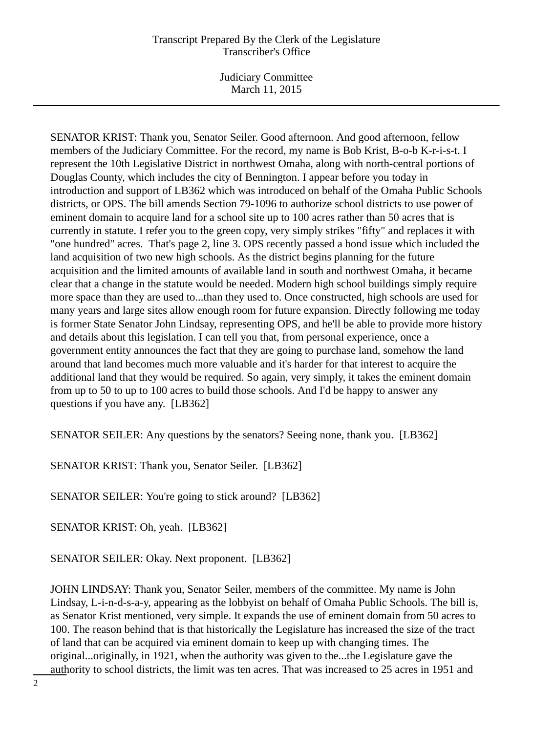Judiciary Committee March 11, 2015

SENATOR KRIST: Thank you, Senator Seiler. Good afternoon. And good afternoon, fellow members of the Judiciary Committee. For the record, my name is Bob Krist, B-o-b K-r-i-s-t. I represent the 10th Legislative District in northwest Omaha, along with north-central portions of Douglas County, which includes the city of Bennington. I appear before you today in introduction and support of LB362 which was introduced on behalf of the Omaha Public Schools districts, or OPS. The bill amends Section 79-1096 to authorize school districts to use power of eminent domain to acquire land for a school site up to 100 acres rather than 50 acres that is currently in statute. I refer you to the green copy, very simply strikes "fifty" and replaces it with "one hundred" acres. That's page 2, line 3. OPS recently passed a bond issue which included the land acquisition of two new high schools. As the district begins planning for the future acquisition and the limited amounts of available land in south and northwest Omaha, it became clear that a change in the statute would be needed. Modern high school buildings simply require more space than they are used to...than they used to. Once constructed, high schools are used for many years and large sites allow enough room for future expansion. Directly following me today is former State Senator John Lindsay, representing OPS, and he'll be able to provide more history and details about this legislation. I can tell you that, from personal experience, once a government entity announces the fact that they are going to purchase land, somehow the land around that land becomes much more valuable and it's harder for that interest to acquire the additional land that they would be required. So again, very simply, it takes the eminent domain from up to 50 to up to 100 acres to build those schools. And I'd be happy to answer any questions if you have any. [LB362]

SENATOR SEILER: Any questions by the senators? Seeing none, thank you. [LB362]

SENATOR KRIST: Thank you, Senator Seiler. [LB362]

SENATOR SEILER: You're going to stick around? [LB362]

SENATOR KRIST: Oh, yeah. [LB362]

SENATOR SEILER: Okay. Next proponent. [LB362]

JOHN LINDSAY: Thank you, Senator Seiler, members of the committee. My name is John Lindsay, L-i-n-d-s-a-y, appearing as the lobbyist on behalf of Omaha Public Schools. The bill is, as Senator Krist mentioned, very simple. It expands the use of eminent domain from 50 acres to 100. The reason behind that is that historically the Legislature has increased the size of the tract of land that can be acquired via eminent domain to keep up with changing times. The original...originally, in 1921, when the authority was given to the...the Legislature gave the authority to school districts, the limit was ten acres. That was increased to 25 acres in 1951 and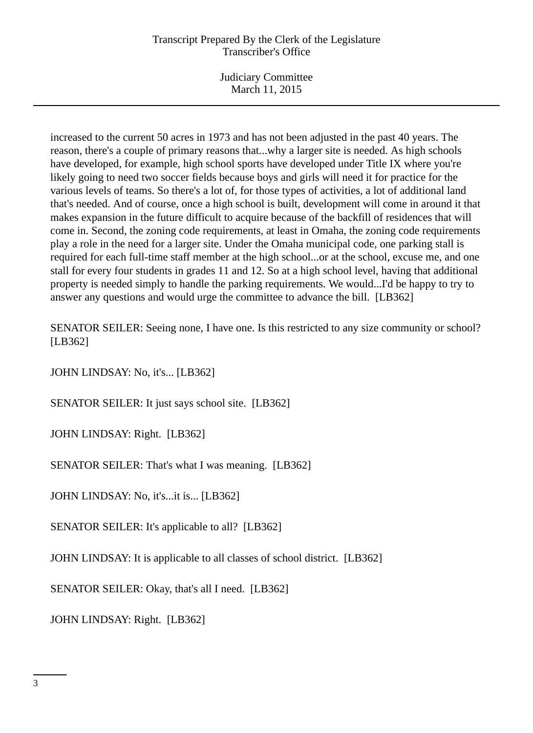Judiciary Committee March 11, 2015

increased to the current 50 acres in 1973 and has not been adjusted in the past 40 years. The reason, there's a couple of primary reasons that...why a larger site is needed. As high schools have developed, for example, high school sports have developed under Title IX where you're likely going to need two soccer fields because boys and girls will need it for practice for the various levels of teams. So there's a lot of, for those types of activities, a lot of additional land that's needed. And of course, once a high school is built, development will come in around it that makes expansion in the future difficult to acquire because of the backfill of residences that will come in. Second, the zoning code requirements, at least in Omaha, the zoning code requirements play a role in the need for a larger site. Under the Omaha municipal code, one parking stall is required for each full-time staff member at the high school...or at the school, excuse me, and one stall for every four students in grades 11 and 12. So at a high school level, having that additional property is needed simply to handle the parking requirements. We would...I'd be happy to try to answer any questions and would urge the committee to advance the bill. [LB362]

SENATOR SEILER: Seeing none, I have one. Is this restricted to any size community or school? [LB362]

JOHN LINDSAY: No, it's... [LB362]

SENATOR SEILER: It just says school site. [LB362]

JOHN LINDSAY: Right. [LB362]

SENATOR SEILER: That's what I was meaning. [LB362]

JOHN LINDSAY: No, it's...it is... [LB362]

SENATOR SEILER: It's applicable to all? [LB362]

JOHN LINDSAY: It is applicable to all classes of school district. [LB362]

SENATOR SEILER: Okay, that's all I need. [LB362]

JOHN LINDSAY: Right. [LB362]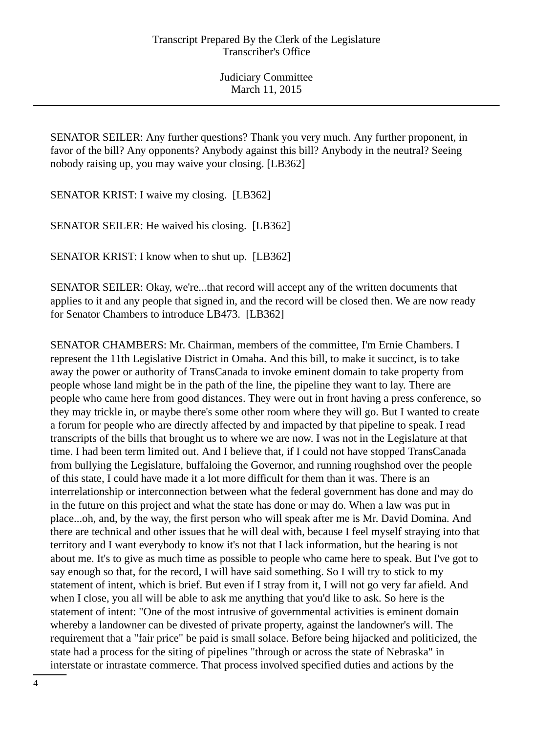SENATOR SEILER: Any further questions? Thank you very much. Any further proponent, in favor of the bill? Any opponents? Anybody against this bill? Anybody in the neutral? Seeing nobody raising up, you may waive your closing. [LB362]

SENATOR KRIST: I waive my closing. [LB362]

SENATOR SEILER: He waived his closing. [LB362]

SENATOR KRIST: I know when to shut up. [LB362]

SENATOR SEILER: Okay, we're...that record will accept any of the written documents that applies to it and any people that signed in, and the record will be closed then. We are now ready for Senator Chambers to introduce LB473. [LB362]

SENATOR CHAMBERS: Mr. Chairman, members of the committee, I'm Ernie Chambers. I represent the 11th Legislative District in Omaha. And this bill, to make it succinct, is to take away the power or authority of TransCanada to invoke eminent domain to take property from people whose land might be in the path of the line, the pipeline they want to lay. There are people who came here from good distances. They were out in front having a press conference, so they may trickle in, or maybe there's some other room where they will go. But I wanted to create a forum for people who are directly affected by and impacted by that pipeline to speak. I read transcripts of the bills that brought us to where we are now. I was not in the Legislature at that time. I had been term limited out. And I believe that, if I could not have stopped TransCanada from bullying the Legislature, buffaloing the Governor, and running roughshod over the people of this state, I could have made it a lot more difficult for them than it was. There is an interrelationship or interconnection between what the federal government has done and may do in the future on this project and what the state has done or may do. When a law was put in place...oh, and, by the way, the first person who will speak after me is Mr. David Domina. And there are technical and other issues that he will deal with, because I feel myself straying into that territory and I want everybody to know it's not that I lack information, but the hearing is not about me. It's to give as much time as possible to people who came here to speak. But I've got to say enough so that, for the record, I will have said something. So I will try to stick to my statement of intent, which is brief. But even if I stray from it, I will not go very far afield. And when I close, you all will be able to ask me anything that you'd like to ask. So here is the statement of intent: "One of the most intrusive of governmental activities is eminent domain whereby a landowner can be divested of private property, against the landowner's will. The requirement that a "fair price" be paid is small solace. Before being hijacked and politicized, the state had a process for the siting of pipelines "through or across the state of Nebraska" in interstate or intrastate commerce. That process involved specified duties and actions by the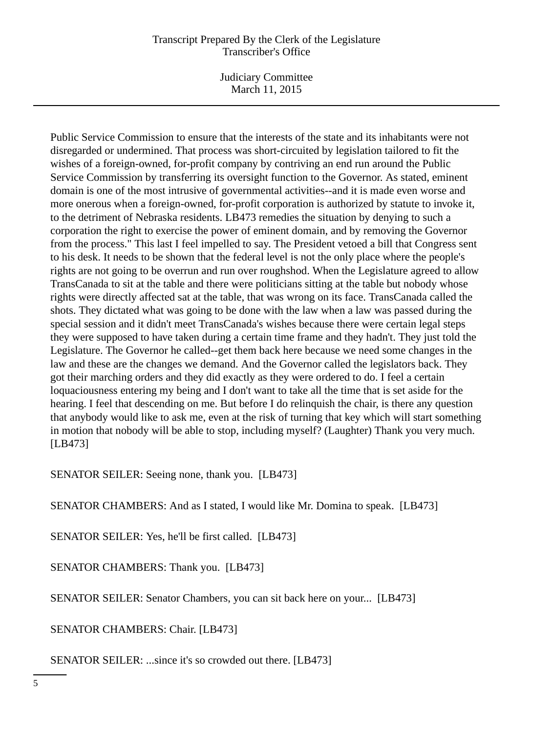Judiciary Committee March 11, 2015

Public Service Commission to ensure that the interests of the state and its inhabitants were not disregarded or undermined. That process was short-circuited by legislation tailored to fit the wishes of a foreign-owned, for-profit company by contriving an end run around the Public Service Commission by transferring its oversight function to the Governor. As stated, eminent domain is one of the most intrusive of governmental activities--and it is made even worse and more onerous when a foreign-owned, for-profit corporation is authorized by statute to invoke it, to the detriment of Nebraska residents. LB473 remedies the situation by denying to such a corporation the right to exercise the power of eminent domain, and by removing the Governor from the process." This last I feel impelled to say. The President vetoed a bill that Congress sent to his desk. It needs to be shown that the federal level is not the only place where the people's rights are not going to be overrun and run over roughshod. When the Legislature agreed to allow TransCanada to sit at the table and there were politicians sitting at the table but nobody whose rights were directly affected sat at the table, that was wrong on its face. TransCanada called the shots. They dictated what was going to be done with the law when a law was passed during the special session and it didn't meet TransCanada's wishes because there were certain legal steps they were supposed to have taken during a certain time frame and they hadn't. They just told the Legislature. The Governor he called--get them back here because we need some changes in the law and these are the changes we demand. And the Governor called the legislators back. They got their marching orders and they did exactly as they were ordered to do. I feel a certain loquaciousness entering my being and I don't want to take all the time that is set aside for the hearing. I feel that descending on me. But before I do relinquish the chair, is there any question that anybody would like to ask me, even at the risk of turning that key which will start something in motion that nobody will be able to stop, including myself? (Laughter) Thank you very much. [LB473]

SENATOR SEILER: Seeing none, thank you. [LB473]

SENATOR CHAMBERS: And as I stated, I would like Mr. Domina to speak. [LB473]

SENATOR SEILER: Yes, he'll be first called. [LB473]

SENATOR CHAMBERS: Thank you. [LB473]

SENATOR SEILER: Senator Chambers, you can sit back here on your... [LB473]

SENATOR CHAMBERS: Chair. [LB473]

SENATOR SEILER: ...since it's so crowded out there. [LB473]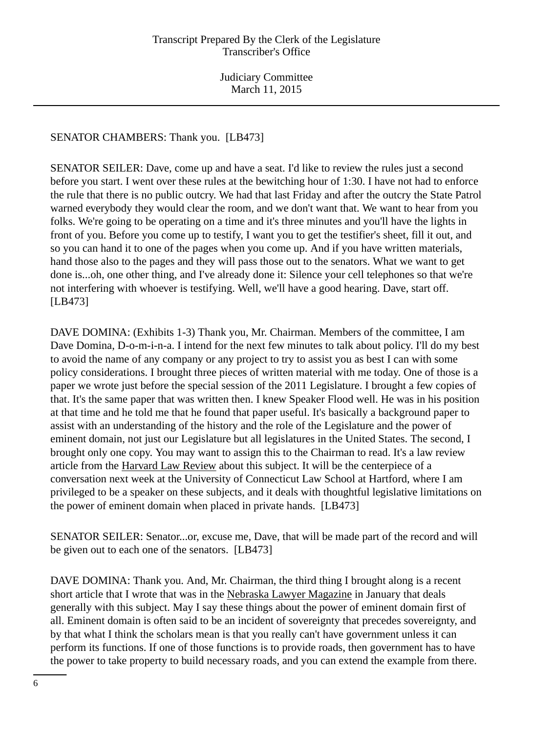## SENATOR CHAMBERS: Thank you. [LB473]

SENATOR SEILER: Dave, come up and have a seat. I'd like to review the rules just a second before you start. I went over these rules at the bewitching hour of 1:30. I have not had to enforce the rule that there is no public outcry. We had that last Friday and after the outcry the State Patrol warned everybody they would clear the room, and we don't want that. We want to hear from you folks. We're going to be operating on a time and it's three minutes and you'll have the lights in front of you. Before you come up to testify, I want you to get the testifier's sheet, fill it out, and so you can hand it to one of the pages when you come up. And if you have written materials, hand those also to the pages and they will pass those out to the senators. What we want to get done is...oh, one other thing, and I've already done it: Silence your cell telephones so that we're not interfering with whoever is testifying. Well, we'll have a good hearing. Dave, start off. [LB473]

DAVE DOMINA: (Exhibits 1-3) Thank you, Mr. Chairman. Members of the committee, I am Dave Domina, D-o-m-i-n-a. I intend for the next few minutes to talk about policy. I'll do my best to avoid the name of any company or any project to try to assist you as best I can with some policy considerations. I brought three pieces of written material with me today. One of those is a paper we wrote just before the special session of the 2011 Legislature. I brought a few copies of that. It's the same paper that was written then. I knew Speaker Flood well. He was in his position at that time and he told me that he found that paper useful. It's basically a background paper to assist with an understanding of the history and the role of the Legislature and the power of eminent domain, not just our Legislature but all legislatures in the United States. The second, I brought only one copy. You may want to assign this to the Chairman to read. It's a law review article from the Harvard Law Review about this subject. It will be the centerpiece of a conversation next week at the University of Connecticut Law School at Hartford, where I am privileged to be a speaker on these subjects, and it deals with thoughtful legislative limitations on the power of eminent domain when placed in private hands. [LB473]

SENATOR SEILER: Senator...or, excuse me, Dave, that will be made part of the record and will be given out to each one of the senators. [LB473]

DAVE DOMINA: Thank you. And, Mr. Chairman, the third thing I brought along is a recent short article that I wrote that was in the Nebraska Lawyer Magazine in January that deals generally with this subject. May I say these things about the power of eminent domain first of all. Eminent domain is often said to be an incident of sovereignty that precedes sovereignty, and by that what I think the scholars mean is that you really can't have government unless it can perform its functions. If one of those functions is to provide roads, then government has to have the power to take property to build necessary roads, and you can extend the example from there.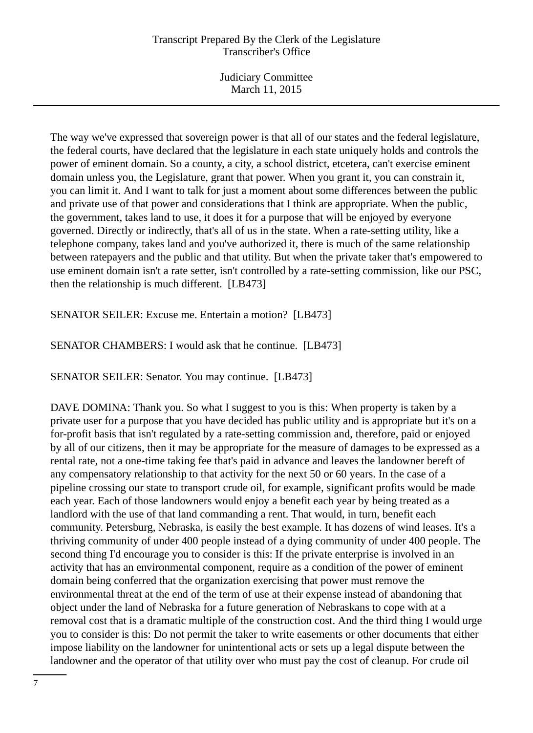Judiciary Committee March 11, 2015

The way we've expressed that sovereign power is that all of our states and the federal legislature, the federal courts, have declared that the legislature in each state uniquely holds and controls the power of eminent domain. So a county, a city, a school district, etcetera, can't exercise eminent domain unless you, the Legislature, grant that power. When you grant it, you can constrain it, you can limit it. And I want to talk for just a moment about some differences between the public and private use of that power and considerations that I think are appropriate. When the public, the government, takes land to use, it does it for a purpose that will be enjoyed by everyone governed. Directly or indirectly, that's all of us in the state. When a rate-setting utility, like a telephone company, takes land and you've authorized it, there is much of the same relationship between ratepayers and the public and that utility. But when the private taker that's empowered to use eminent domain isn't a rate setter, isn't controlled by a rate-setting commission, like our PSC, then the relationship is much different. [LB473]

SENATOR SEILER: Excuse me. Entertain a motion? [LB473]

SENATOR CHAMBERS: I would ask that he continue. [LB473]

SENATOR SEILER: Senator. You may continue. [LB473]

DAVE DOMINA: Thank you. So what I suggest to you is this: When property is taken by a private user for a purpose that you have decided has public utility and is appropriate but it's on a for-profit basis that isn't regulated by a rate-setting commission and, therefore, paid or enjoyed by all of our citizens, then it may be appropriate for the measure of damages to be expressed as a rental rate, not a one-time taking fee that's paid in advance and leaves the landowner bereft of any compensatory relationship to that activity for the next 50 or 60 years. In the case of a pipeline crossing our state to transport crude oil, for example, significant profits would be made each year. Each of those landowners would enjoy a benefit each year by being treated as a landlord with the use of that land commanding a rent. That would, in turn, benefit each community. Petersburg, Nebraska, is easily the best example. It has dozens of wind leases. It's a thriving community of under 400 people instead of a dying community of under 400 people. The second thing I'd encourage you to consider is this: If the private enterprise is involved in an activity that has an environmental component, require as a condition of the power of eminent domain being conferred that the organization exercising that power must remove the environmental threat at the end of the term of use at their expense instead of abandoning that object under the land of Nebraska for a future generation of Nebraskans to cope with at a removal cost that is a dramatic multiple of the construction cost. And the third thing I would urge you to consider is this: Do not permit the taker to write easements or other documents that either impose liability on the landowner for unintentional acts or sets up a legal dispute between the landowner and the operator of that utility over who must pay the cost of cleanup. For crude oil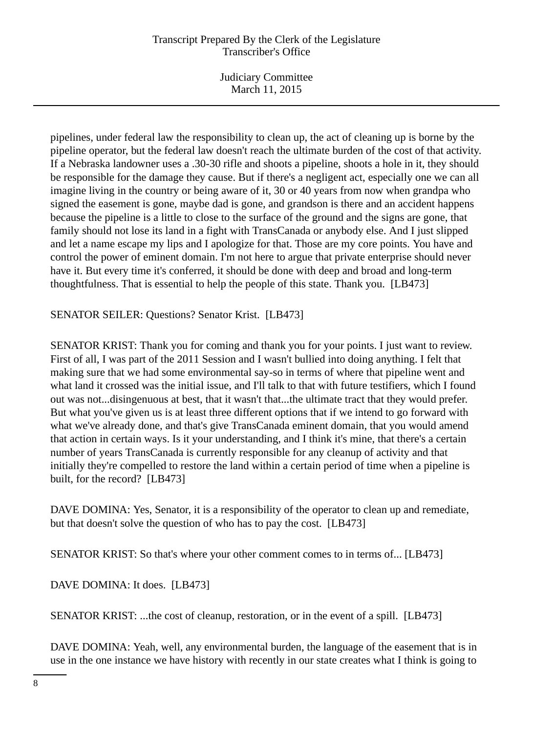Judiciary Committee March 11, 2015

pipelines, under federal law the responsibility to clean up, the act of cleaning up is borne by the pipeline operator, but the federal law doesn't reach the ultimate burden of the cost of that activity. If a Nebraska landowner uses a .30-30 rifle and shoots a pipeline, shoots a hole in it, they should be responsible for the damage they cause. But if there's a negligent act, especially one we can all imagine living in the country or being aware of it, 30 or 40 years from now when grandpa who signed the easement is gone, maybe dad is gone, and grandson is there and an accident happens because the pipeline is a little to close to the surface of the ground and the signs are gone, that family should not lose its land in a fight with TransCanada or anybody else. And I just slipped and let a name escape my lips and I apologize for that. Those are my core points. You have and control the power of eminent domain. I'm not here to argue that private enterprise should never have it. But every time it's conferred, it should be done with deep and broad and long-term thoughtfulness. That is essential to help the people of this state. Thank you. [LB473]

SENATOR SEILER: Questions? Senator Krist. [LB473]

SENATOR KRIST: Thank you for coming and thank you for your points. I just want to review. First of all, I was part of the 2011 Session and I wasn't bullied into doing anything. I felt that making sure that we had some environmental say-so in terms of where that pipeline went and what land it crossed was the initial issue, and I'll talk to that with future testifiers, which I found out was not...disingenuous at best, that it wasn't that...the ultimate tract that they would prefer. But what you've given us is at least three different options that if we intend to go forward with what we've already done, and that's give TransCanada eminent domain, that you would amend that action in certain ways. Is it your understanding, and I think it's mine, that there's a certain number of years TransCanada is currently responsible for any cleanup of activity and that initially they're compelled to restore the land within a certain period of time when a pipeline is built, for the record? [LB473]

DAVE DOMINA: Yes, Senator, it is a responsibility of the operator to clean up and remediate, but that doesn't solve the question of who has to pay the cost. [LB473]

SENATOR KRIST: So that's where your other comment comes to in terms of... [LB473]

DAVE DOMINA: It does. [LB473]

SENATOR KRIST: ...the cost of cleanup, restoration, or in the event of a spill. [LB473]

DAVE DOMINA: Yeah, well, any environmental burden, the language of the easement that is in use in the one instance we have history with recently in our state creates what I think is going to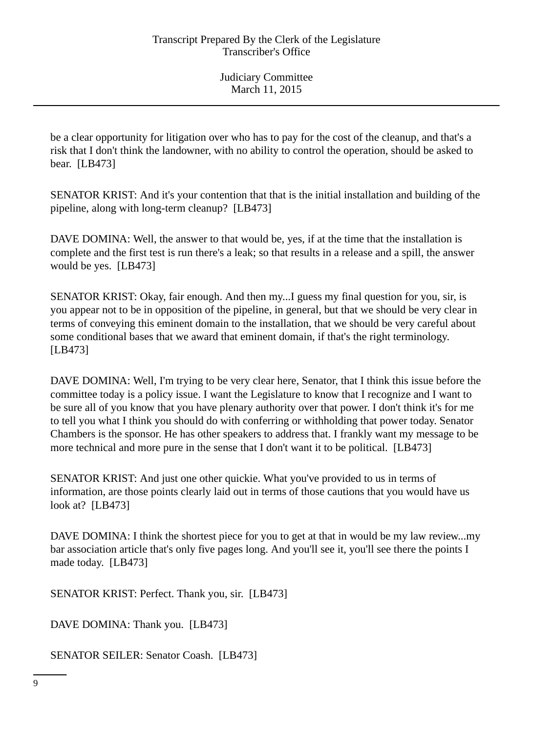be a clear opportunity for litigation over who has to pay for the cost of the cleanup, and that's a risk that I don't think the landowner, with no ability to control the operation, should be asked to bear. [LB473]

SENATOR KRIST: And it's your contention that that is the initial installation and building of the pipeline, along with long-term cleanup? [LB473]

DAVE DOMINA: Well, the answer to that would be, yes, if at the time that the installation is complete and the first test is run there's a leak; so that results in a release and a spill, the answer would be yes. [LB473]

SENATOR KRIST: Okay, fair enough. And then my...I guess my final question for you, sir, is you appear not to be in opposition of the pipeline, in general, but that we should be very clear in terms of conveying this eminent domain to the installation, that we should be very careful about some conditional bases that we award that eminent domain, if that's the right terminology. [LB473]

DAVE DOMINA: Well, I'm trying to be very clear here, Senator, that I think this issue before the committee today is a policy issue. I want the Legislature to know that I recognize and I want to be sure all of you know that you have plenary authority over that power. I don't think it's for me to tell you what I think you should do with conferring or withholding that power today. Senator Chambers is the sponsor. He has other speakers to address that. I frankly want my message to be more technical and more pure in the sense that I don't want it to be political. [LB473]

SENATOR KRIST: And just one other quickie. What you've provided to us in terms of information, are those points clearly laid out in terms of those cautions that you would have us look at? [LB473]

DAVE DOMINA: I think the shortest piece for you to get at that in would be my law review...my bar association article that's only five pages long. And you'll see it, you'll see there the points I made today. [LB473]

SENATOR KRIST: Perfect. Thank you, sir. [LB473]

DAVE DOMINA: Thank you. [LB473]

SENATOR SEILER: Senator Coash. [LB473]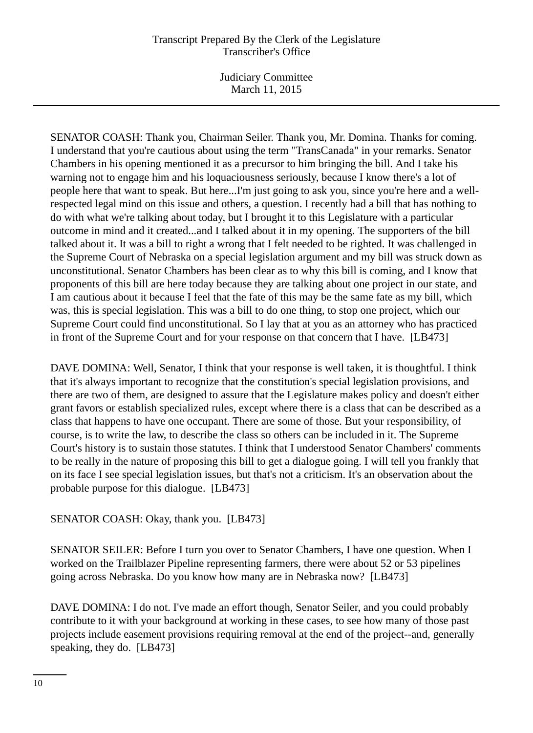Judiciary Committee March 11, 2015

SENATOR COASH: Thank you, Chairman Seiler. Thank you, Mr. Domina. Thanks for coming. I understand that you're cautious about using the term "TransCanada" in your remarks. Senator Chambers in his opening mentioned it as a precursor to him bringing the bill. And I take his warning not to engage him and his loquaciousness seriously, because I know there's a lot of people here that want to speak. But here...I'm just going to ask you, since you're here and a wellrespected legal mind on this issue and others, a question. I recently had a bill that has nothing to do with what we're talking about today, but I brought it to this Legislature with a particular outcome in mind and it created...and I talked about it in my opening. The supporters of the bill talked about it. It was a bill to right a wrong that I felt needed to be righted. It was challenged in the Supreme Court of Nebraska on a special legislation argument and my bill was struck down as unconstitutional. Senator Chambers has been clear as to why this bill is coming, and I know that proponents of this bill are here today because they are talking about one project in our state, and I am cautious about it because I feel that the fate of this may be the same fate as my bill, which was, this is special legislation. This was a bill to do one thing, to stop one project, which our Supreme Court could find unconstitutional. So I lay that at you as an attorney who has practiced in front of the Supreme Court and for your response on that concern that I have. [LB473]

DAVE DOMINA: Well, Senator, I think that your response is well taken, it is thoughtful. I think that it's always important to recognize that the constitution's special legislation provisions, and there are two of them, are designed to assure that the Legislature makes policy and doesn't either grant favors or establish specialized rules, except where there is a class that can be described as a class that happens to have one occupant. There are some of those. But your responsibility, of course, is to write the law, to describe the class so others can be included in it. The Supreme Court's history is to sustain those statutes. I think that I understood Senator Chambers' comments to be really in the nature of proposing this bill to get a dialogue going. I will tell you frankly that on its face I see special legislation issues, but that's not a criticism. It's an observation about the probable purpose for this dialogue. [LB473]

SENATOR COASH: Okay, thank you. [LB473]

SENATOR SEILER: Before I turn you over to Senator Chambers, I have one question. When I worked on the Trailblazer Pipeline representing farmers, there were about 52 or 53 pipelines going across Nebraska. Do you know how many are in Nebraska now? [LB473]

DAVE DOMINA: I do not. I've made an effort though, Senator Seiler, and you could probably contribute to it with your background at working in these cases, to see how many of those past projects include easement provisions requiring removal at the end of the project--and, generally speaking, they do. [LB473]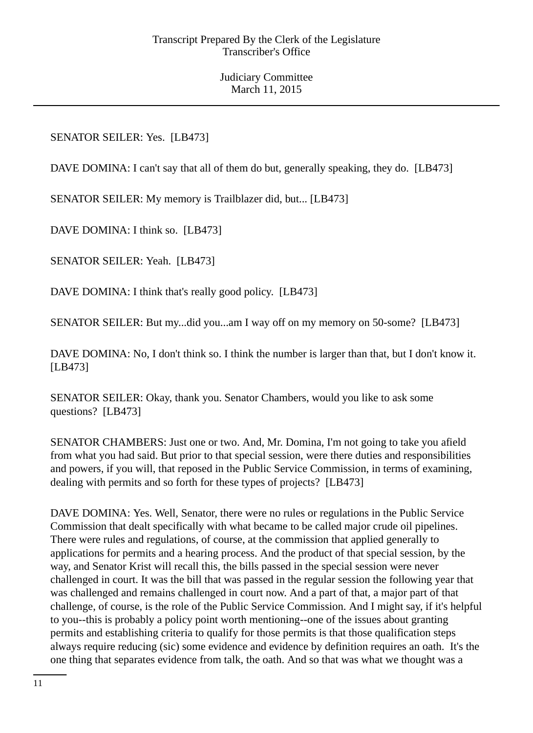## SENATOR SEILER: Yes. [LB473]

DAVE DOMINA: I can't say that all of them do but, generally speaking, they do. [LB473]

SENATOR SEILER: My memory is Trailblazer did, but... [LB473]

DAVE DOMINA: I think so. [LB473]

SENATOR SEILER: Yeah. [LB473]

DAVE DOMINA: I think that's really good policy. [LB473]

SENATOR SEILER: But my...did you...am I way off on my memory on 50-some? [LB473]

DAVE DOMINA: No, I don't think so. I think the number is larger than that, but I don't know it. [LB473]

SENATOR SEILER: Okay, thank you. Senator Chambers, would you like to ask some questions? [LB473]

SENATOR CHAMBERS: Just one or two. And, Mr. Domina, I'm not going to take you afield from what you had said. But prior to that special session, were there duties and responsibilities and powers, if you will, that reposed in the Public Service Commission, in terms of examining, dealing with permits and so forth for these types of projects? [LB473]

DAVE DOMINA: Yes. Well, Senator, there were no rules or regulations in the Public Service Commission that dealt specifically with what became to be called major crude oil pipelines. There were rules and regulations, of course, at the commission that applied generally to applications for permits and a hearing process. And the product of that special session, by the way, and Senator Krist will recall this, the bills passed in the special session were never challenged in court. It was the bill that was passed in the regular session the following year that was challenged and remains challenged in court now. And a part of that, a major part of that challenge, of course, is the role of the Public Service Commission. And I might say, if it's helpful to you--this is probably a policy point worth mentioning--one of the issues about granting permits and establishing criteria to qualify for those permits is that those qualification steps always require reducing (sic) some evidence and evidence by definition requires an oath. It's the one thing that separates evidence from talk, the oath. And so that was what we thought was a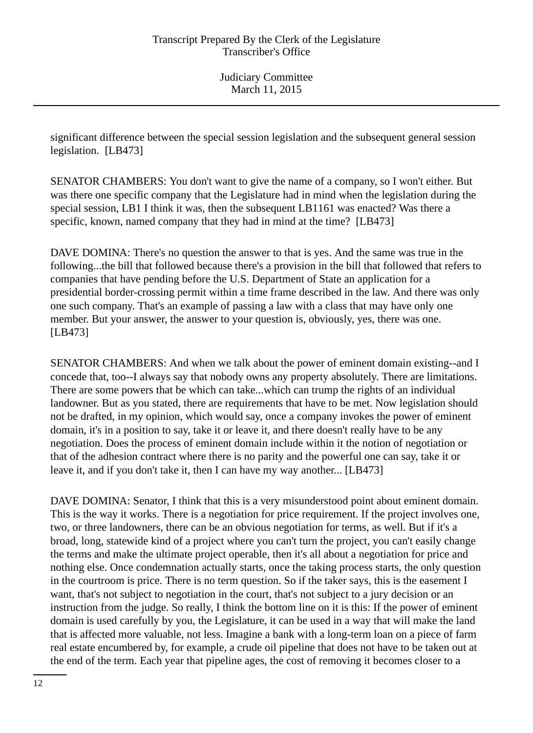significant difference between the special session legislation and the subsequent general session legislation. [LB473]

SENATOR CHAMBERS: You don't want to give the name of a company, so I won't either. But was there one specific company that the Legislature had in mind when the legislation during the special session, LB1 I think it was, then the subsequent LB1161 was enacted? Was there a specific, known, named company that they had in mind at the time? [LB473]

DAVE DOMINA: There's no question the answer to that is yes. And the same was true in the following...the bill that followed because there's a provision in the bill that followed that refers to companies that have pending before the U.S. Department of State an application for a presidential border-crossing permit within a time frame described in the law. And there was only one such company. That's an example of passing a law with a class that may have only one member. But your answer, the answer to your question is, obviously, yes, there was one. [LB473]

SENATOR CHAMBERS: And when we talk about the power of eminent domain existing--and I concede that, too--I always say that nobody owns any property absolutely. There are limitations. There are some powers that be which can take...which can trump the rights of an individual landowner. But as you stated, there are requirements that have to be met. Now legislation should not be drafted, in my opinion, which would say, once a company invokes the power of eminent domain, it's in a position to say, take it or leave it, and there doesn't really have to be any negotiation. Does the process of eminent domain include within it the notion of negotiation or that of the adhesion contract where there is no parity and the powerful one can say, take it or leave it, and if you don't take it, then I can have my way another... [LB473]

DAVE DOMINA: Senator, I think that this is a very misunderstood point about eminent domain. This is the way it works. There is a negotiation for price requirement. If the project involves one, two, or three landowners, there can be an obvious negotiation for terms, as well. But if it's a broad, long, statewide kind of a project where you can't turn the project, you can't easily change the terms and make the ultimate project operable, then it's all about a negotiation for price and nothing else. Once condemnation actually starts, once the taking process starts, the only question in the courtroom is price. There is no term question. So if the taker says, this is the easement I want, that's not subject to negotiation in the court, that's not subject to a jury decision or an instruction from the judge. So really, I think the bottom line on it is this: If the power of eminent domain is used carefully by you, the Legislature, it can be used in a way that will make the land that is affected more valuable, not less. Imagine a bank with a long-term loan on a piece of farm real estate encumbered by, for example, a crude oil pipeline that does not have to be taken out at the end of the term. Each year that pipeline ages, the cost of removing it becomes closer to a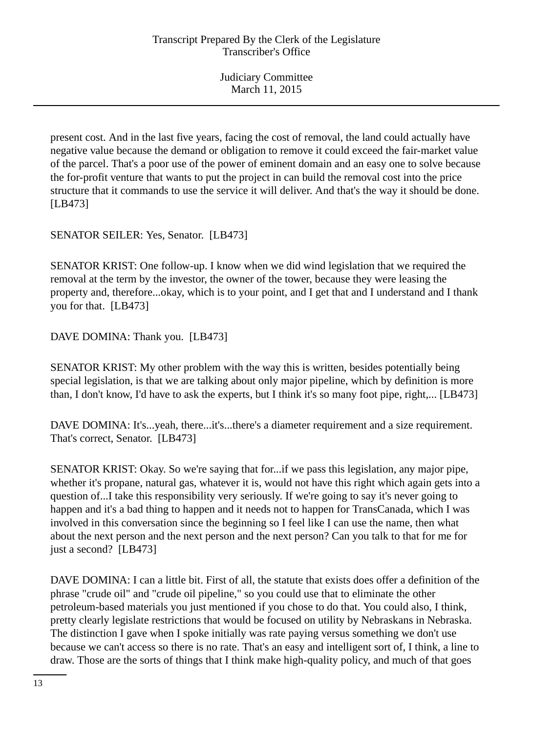present cost. And in the last five years, facing the cost of removal, the land could actually have negative value because the demand or obligation to remove it could exceed the fair-market value of the parcel. That's a poor use of the power of eminent domain and an easy one to solve because the for-profit venture that wants to put the project in can build the removal cost into the price structure that it commands to use the service it will deliver. And that's the way it should be done. [LB473]

SENATOR SEILER: Yes, Senator. [LB473]

SENATOR KRIST: One follow-up. I know when we did wind legislation that we required the removal at the term by the investor, the owner of the tower, because they were leasing the property and, therefore...okay, which is to your point, and I get that and I understand and I thank you for that. [LB473]

DAVE DOMINA: Thank you. [LB473]

SENATOR KRIST: My other problem with the way this is written, besides potentially being special legislation, is that we are talking about only major pipeline, which by definition is more than, I don't know, I'd have to ask the experts, but I think it's so many foot pipe, right,... [LB473]

DAVE DOMINA: It's...yeah, there...it's...there's a diameter requirement and a size requirement. That's correct, Senator. [LB473]

SENATOR KRIST: Okay. So we're saying that for...if we pass this legislation, any major pipe, whether it's propane, natural gas, whatever it is, would not have this right which again gets into a question of...I take this responsibility very seriously. If we're going to say it's never going to happen and it's a bad thing to happen and it needs not to happen for TransCanada, which I was involved in this conversation since the beginning so I feel like I can use the name, then what about the next person and the next person and the next person? Can you talk to that for me for just a second? [LB473]

DAVE DOMINA: I can a little bit. First of all, the statute that exists does offer a definition of the phrase "crude oil" and "crude oil pipeline," so you could use that to eliminate the other petroleum-based materials you just mentioned if you chose to do that. You could also, I think, pretty clearly legislate restrictions that would be focused on utility by Nebraskans in Nebraska. The distinction I gave when I spoke initially was rate paying versus something we don't use because we can't access so there is no rate. That's an easy and intelligent sort of, I think, a line to draw. Those are the sorts of things that I think make high-quality policy, and much of that goes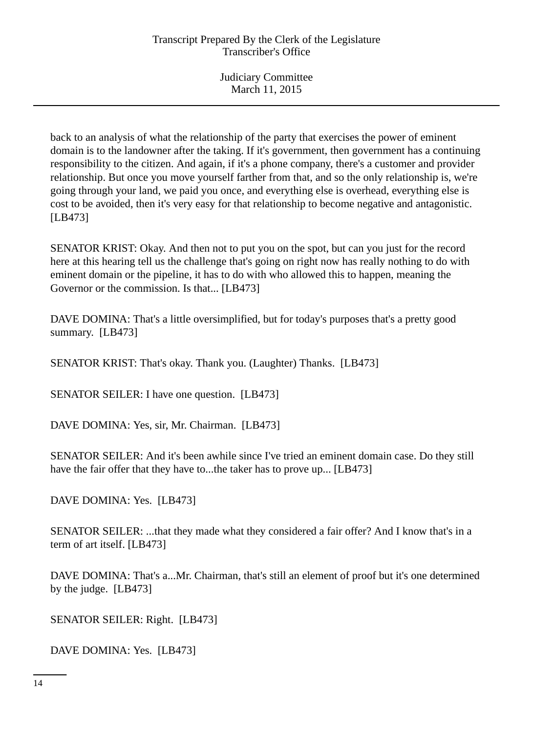back to an analysis of what the relationship of the party that exercises the power of eminent domain is to the landowner after the taking. If it's government, then government has a continuing responsibility to the citizen. And again, if it's a phone company, there's a customer and provider relationship. But once you move yourself farther from that, and so the only relationship is, we're going through your land, we paid you once, and everything else is overhead, everything else is cost to be avoided, then it's very easy for that relationship to become negative and antagonistic. [LB473]

SENATOR KRIST: Okay. And then not to put you on the spot, but can you just for the record here at this hearing tell us the challenge that's going on right now has really nothing to do with eminent domain or the pipeline, it has to do with who allowed this to happen, meaning the Governor or the commission. Is that... [LB473]

DAVE DOMINA: That's a little oversimplified, but for today's purposes that's a pretty good summary. [LB473]

SENATOR KRIST: That's okay. Thank you. (Laughter) Thanks. [LB473]

SENATOR SEILER: I have one question. [LB473]

DAVE DOMINA: Yes, sir, Mr. Chairman. [LB473]

SENATOR SEILER: And it's been awhile since I've tried an eminent domain case. Do they still have the fair offer that they have to...the taker has to prove up... [LB473]

DAVE DOMINA: Yes. [LB473]

SENATOR SEILER: ...that they made what they considered a fair offer? And I know that's in a term of art itself. [LB473]

DAVE DOMINA: That's a...Mr. Chairman, that's still an element of proof but it's one determined by the judge. [LB473]

SENATOR SEILER: Right. [LB473]

DAVE DOMINA: Yes. [LB473]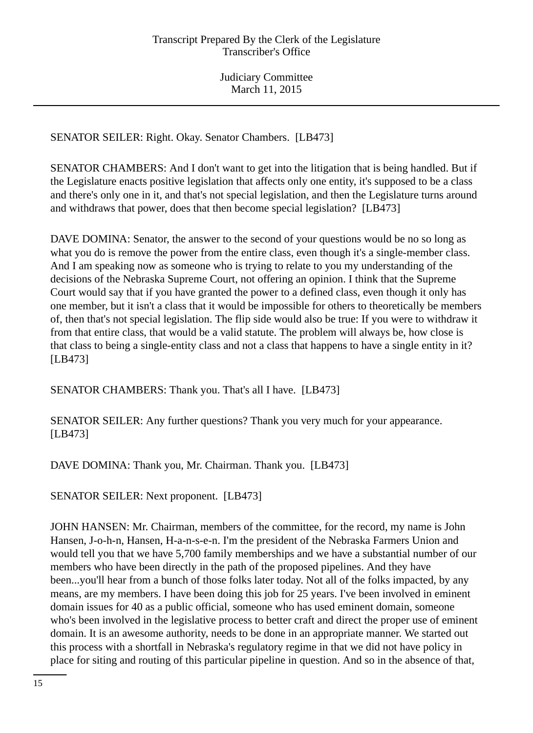SENATOR SEILER: Right. Okay. Senator Chambers. [LB473]

SENATOR CHAMBERS: And I don't want to get into the litigation that is being handled. But if the Legislature enacts positive legislation that affects only one entity, it's supposed to be a class and there's only one in it, and that's not special legislation, and then the Legislature turns around and withdraws that power, does that then become special legislation? [LB473]

DAVE DOMINA: Senator, the answer to the second of your questions would be no so long as what you do is remove the power from the entire class, even though it's a single-member class. And I am speaking now as someone who is trying to relate to you my understanding of the decisions of the Nebraska Supreme Court, not offering an opinion. I think that the Supreme Court would say that if you have granted the power to a defined class, even though it only has one member, but it isn't a class that it would be impossible for others to theoretically be members of, then that's not special legislation. The flip side would also be true: If you were to withdraw it from that entire class, that would be a valid statute. The problem will always be, how close is that class to being a single-entity class and not a class that happens to have a single entity in it? [LB473]

SENATOR CHAMBERS: Thank you. That's all I have. [LB473]

SENATOR SEILER: Any further questions? Thank you very much for your appearance. [LB473]

DAVE DOMINA: Thank you, Mr. Chairman. Thank you. [LB473]

SENATOR SEILER: Next proponent. [LB473]

JOHN HANSEN: Mr. Chairman, members of the committee, for the record, my name is John Hansen, J-o-h-n, Hansen, H-a-n-s-e-n. I'm the president of the Nebraska Farmers Union and would tell you that we have 5,700 family memberships and we have a substantial number of our members who have been directly in the path of the proposed pipelines. And they have been...you'll hear from a bunch of those folks later today. Not all of the folks impacted, by any means, are my members. I have been doing this job for 25 years. I've been involved in eminent domain issues for 40 as a public official, someone who has used eminent domain, someone who's been involved in the legislative process to better craft and direct the proper use of eminent domain. It is an awesome authority, needs to be done in an appropriate manner. We started out this process with a shortfall in Nebraska's regulatory regime in that we did not have policy in place for siting and routing of this particular pipeline in question. And so in the absence of that,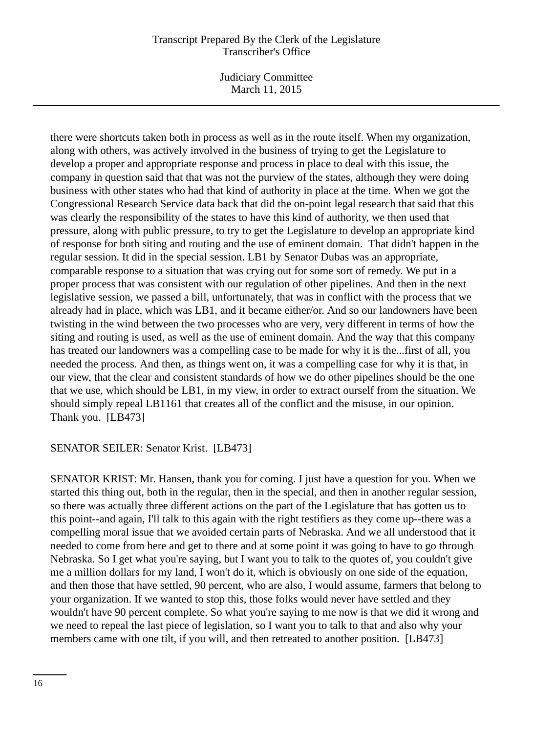Judiciary Committee March 11, 2015

there were shortcuts taken both in process as well as in the route itself. When my organization, along with others, was actively involved in the business of trying to get the Legislature to develop a proper and appropriate response and process in place to deal with this issue, the company in question said that that was not the purview of the states, although they were doing business with other states who had that kind of authority in place at the time. When we got the Congressional Research Service data back that did the on-point legal research that said that this was clearly the responsibility of the states to have this kind of authority, we then used that pressure, along with public pressure, to try to get the Legislature to develop an appropriate kind of response for both siting and routing and the use of eminent domain. That didn't happen in the regular session. It did in the special session. LB1 by Senator Dubas was an appropriate, comparable response to a situation that was crying out for some sort of remedy. We put in a proper process that was consistent with our regulation of other pipelines. And then in the next legislative session, we passed a bill, unfortunately, that was in conflict with the process that we already had in place, which was LB1, and it became either/or. And so our landowners have been twisting in the wind between the two processes who are very, very different in terms of how the siting and routing is used, as well as the use of eminent domain. And the way that this company has treated our landowners was a compelling case to be made for why it is the...first of all, you needed the process. And then, as things went on, it was a compelling case for why it is that, in our view, that the clear and consistent standards of how we do other pipelines should be the one that we use, which should be LB1, in my view, in order to extract ourself from the situation. We should simply repeal LB1161 that creates all of the conflict and the misuse, in our opinion. Thank you. [LB473]

#### SENATOR SEILER: Senator Krist. [LB473]

SENATOR KRIST: Mr. Hansen, thank you for coming. I just have a question for you. When we started this thing out, both in the regular, then in the special, and then in another regular session, so there was actually three different actions on the part of the Legislature that has gotten us to this point--and again, I'll talk to this again with the right testifiers as they come up--there was a compelling moral issue that we avoided certain parts of Nebraska. And we all understood that it needed to come from here and get to there and at some point it was going to have to go through Nebraska. So I get what you're saying, but I want you to talk to the quotes of, you couldn't give me a million dollars for my land, I won't do it, which is obviously on one side of the equation, and then those that have settled, 90 percent, who are also, I would assume, farmers that belong to your organization. If we wanted to stop this, those folks would never have settled and they wouldn't have 90 percent complete. So what you're saying to me now is that we did it wrong and we need to repeal the last piece of legislation, so I want you to talk to that and also why your members came with one tilt, if you will, and then retreated to another position. [LB473]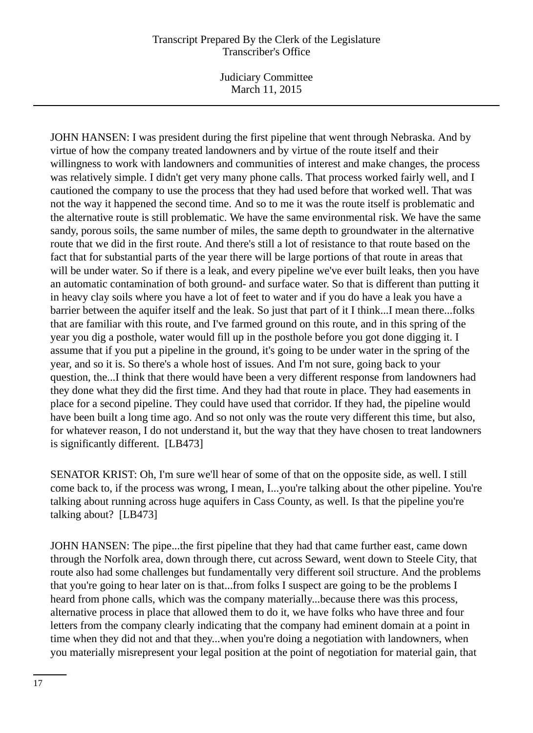Judiciary Committee March 11, 2015

JOHN HANSEN: I was president during the first pipeline that went through Nebraska. And by virtue of how the company treated landowners and by virtue of the route itself and their willingness to work with landowners and communities of interest and make changes, the process was relatively simple. I didn't get very many phone calls. That process worked fairly well, and I cautioned the company to use the process that they had used before that worked well. That was not the way it happened the second time. And so to me it was the route itself is problematic and the alternative route is still problematic. We have the same environmental risk. We have the same sandy, porous soils, the same number of miles, the same depth to groundwater in the alternative route that we did in the first route. And there's still a lot of resistance to that route based on the fact that for substantial parts of the year there will be large portions of that route in areas that will be under water. So if there is a leak, and every pipeline we've ever built leaks, then you have an automatic contamination of both ground- and surface water. So that is different than putting it in heavy clay soils where you have a lot of feet to water and if you do have a leak you have a barrier between the aquifer itself and the leak. So just that part of it I think...I mean there...folks that are familiar with this route, and I've farmed ground on this route, and in this spring of the year you dig a posthole, water would fill up in the posthole before you got done digging it. I assume that if you put a pipeline in the ground, it's going to be under water in the spring of the year, and so it is. So there's a whole host of issues. And I'm not sure, going back to your question, the...I think that there would have been a very different response from landowners had they done what they did the first time. And they had that route in place. They had easements in place for a second pipeline. They could have used that corridor. If they had, the pipeline would have been built a long time ago. And so not only was the route very different this time, but also, for whatever reason, I do not understand it, but the way that they have chosen to treat landowners is significantly different. [LB473]

SENATOR KRIST: Oh, I'm sure we'll hear of some of that on the opposite side, as well. I still come back to, if the process was wrong, I mean, I...you're talking about the other pipeline. You're talking about running across huge aquifers in Cass County, as well. Is that the pipeline you're talking about? [LB473]

JOHN HANSEN: The pipe...the first pipeline that they had that came further east, came down through the Norfolk area, down through there, cut across Seward, went down to Steele City, that route also had some challenges but fundamentally very different soil structure. And the problems that you're going to hear later on is that...from folks I suspect are going to be the problems I heard from phone calls, which was the company materially...because there was this process, alternative process in place that allowed them to do it, we have folks who have three and four letters from the company clearly indicating that the company had eminent domain at a point in time when they did not and that they...when you're doing a negotiation with landowners, when you materially misrepresent your legal position at the point of negotiation for material gain, that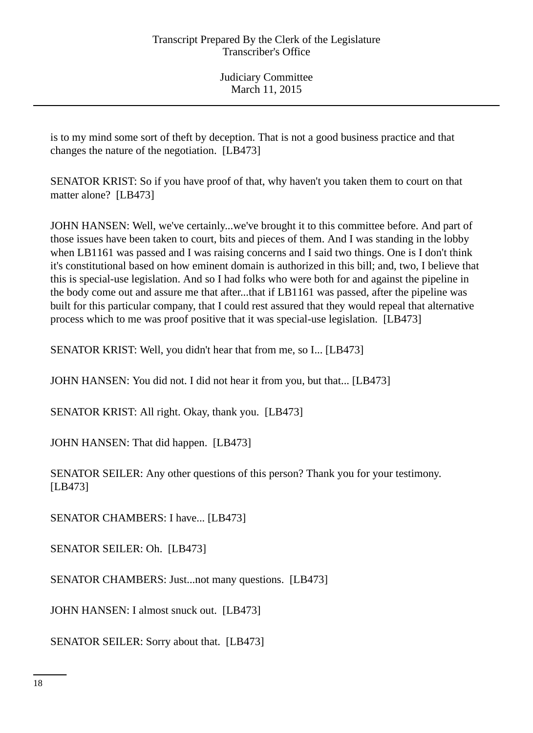is to my mind some sort of theft by deception. That is not a good business practice and that changes the nature of the negotiation. [LB473]

SENATOR KRIST: So if you have proof of that, why haven't you taken them to court on that matter alone? [LB473]

JOHN HANSEN: Well, we've certainly...we've brought it to this committee before. And part of those issues have been taken to court, bits and pieces of them. And I was standing in the lobby when LB1161 was passed and I was raising concerns and I said two things. One is I don't think it's constitutional based on how eminent domain is authorized in this bill; and, two, I believe that this is special-use legislation. And so I had folks who were both for and against the pipeline in the body come out and assure me that after...that if LB1161 was passed, after the pipeline was built for this particular company, that I could rest assured that they would repeal that alternative process which to me was proof positive that it was special-use legislation. [LB473]

SENATOR KRIST: Well, you didn't hear that from me, so I... [LB473]

JOHN HANSEN: You did not. I did not hear it from you, but that... [LB473]

SENATOR KRIST: All right. Okay, thank you. [LB473]

JOHN HANSEN: That did happen. [LB473]

SENATOR SEILER: Any other questions of this person? Thank you for your testimony. [LB473]

SENATOR CHAMBERS: I have... [LB473]

SENATOR SEILER: Oh. [LB473]

SENATOR CHAMBERS: Just...not many questions. [LB473]

JOHN HANSEN: I almost snuck out. [LB473]

SENATOR SEILER: Sorry about that. [LB473]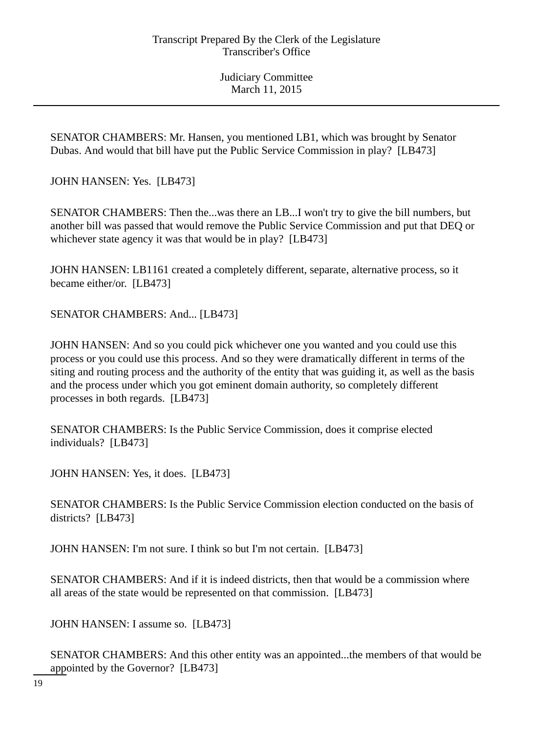SENATOR CHAMBERS: Mr. Hansen, you mentioned LB1, which was brought by Senator Dubas. And would that bill have put the Public Service Commission in play? [LB473]

JOHN HANSEN: Yes. [LB473]

SENATOR CHAMBERS: Then the...was there an LB...I won't try to give the bill numbers, but another bill was passed that would remove the Public Service Commission and put that DEQ or whichever state agency it was that would be in play? [LB473]

JOHN HANSEN: LB1161 created a completely different, separate, alternative process, so it became either/or. [LB473]

SENATOR CHAMBERS: And... [LB473]

JOHN HANSEN: And so you could pick whichever one you wanted and you could use this process or you could use this process. And so they were dramatically different in terms of the siting and routing process and the authority of the entity that was guiding it, as well as the basis and the process under which you got eminent domain authority, so completely different processes in both regards. [LB473]

SENATOR CHAMBERS: Is the Public Service Commission, does it comprise elected individuals? [LB473]

JOHN HANSEN: Yes, it does. [LB473]

SENATOR CHAMBERS: Is the Public Service Commission election conducted on the basis of districts? [LB473]

JOHN HANSEN: I'm not sure. I think so but I'm not certain. [LB473]

SENATOR CHAMBERS: And if it is indeed districts, then that would be a commission where all areas of the state would be represented on that commission. [LB473]

JOHN HANSEN: I assume so. [LB473]

SENATOR CHAMBERS: And this other entity was an appointed...the members of that would be appointed by the Governor? [LB473]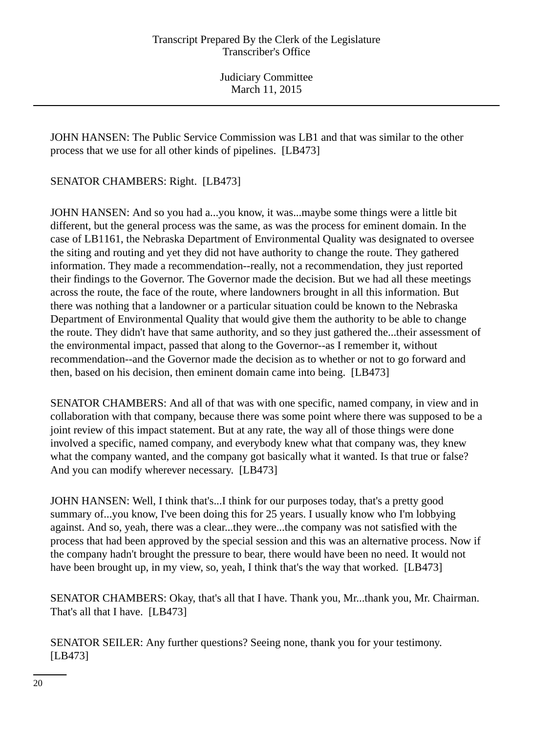JOHN HANSEN: The Public Service Commission was LB1 and that was similar to the other process that we use for all other kinds of pipelines. [LB473]

SENATOR CHAMBERS: Right. [LB473]

JOHN HANSEN: And so you had a...you know, it was...maybe some things were a little bit different, but the general process was the same, as was the process for eminent domain. In the case of LB1161, the Nebraska Department of Environmental Quality was designated to oversee the siting and routing and yet they did not have authority to change the route. They gathered information. They made a recommendation--really, not a recommendation, they just reported their findings to the Governor. The Governor made the decision. But we had all these meetings across the route, the face of the route, where landowners brought in all this information. But there was nothing that a landowner or a particular situation could be known to the Nebraska Department of Environmental Quality that would give them the authority to be able to change the route. They didn't have that same authority, and so they just gathered the...their assessment of the environmental impact, passed that along to the Governor--as I remember it, without recommendation--and the Governor made the decision as to whether or not to go forward and then, based on his decision, then eminent domain came into being. [LB473]

SENATOR CHAMBERS: And all of that was with one specific, named company, in view and in collaboration with that company, because there was some point where there was supposed to be a joint review of this impact statement. But at any rate, the way all of those things were done involved a specific, named company, and everybody knew what that company was, they knew what the company wanted, and the company got basically what it wanted. Is that true or false? And you can modify wherever necessary. [LB473]

JOHN HANSEN: Well, I think that's...I think for our purposes today, that's a pretty good summary of...you know, I've been doing this for 25 years. I usually know who I'm lobbying against. And so, yeah, there was a clear...they were...the company was not satisfied with the process that had been approved by the special session and this was an alternative process. Now if the company hadn't brought the pressure to bear, there would have been no need. It would not have been brought up, in my view, so, yeah, I think that's the way that worked. [LB473]

SENATOR CHAMBERS: Okay, that's all that I have. Thank you, Mr...thank you, Mr. Chairman. That's all that I have. [LB473]

SENATOR SEILER: Any further questions? Seeing none, thank you for your testimony. [LB473]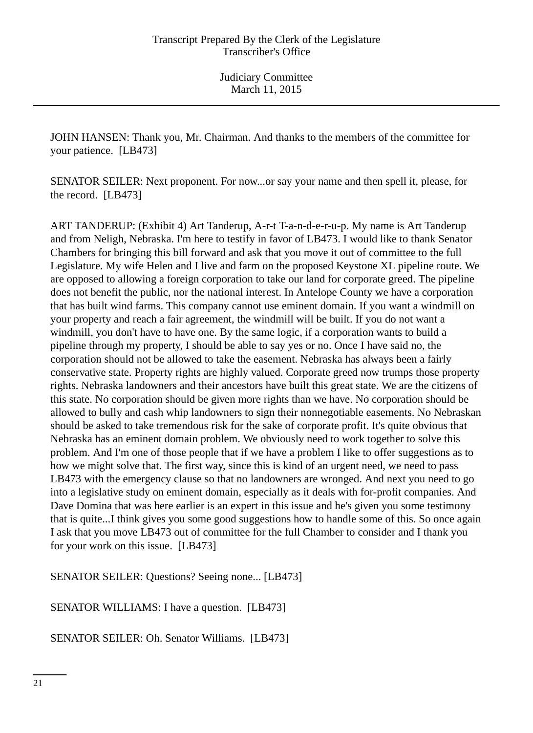JOHN HANSEN: Thank you, Mr. Chairman. And thanks to the members of the committee for your patience. [LB473]

SENATOR SEILER: Next proponent. For now...or say your name and then spell it, please, for the record. [LB473]

ART TANDERUP: (Exhibit 4) Art Tanderup, A-r-t T-a-n-d-e-r-u-p. My name is Art Tanderup and from Neligh, Nebraska. I'm here to testify in favor of LB473. I would like to thank Senator Chambers for bringing this bill forward and ask that you move it out of committee to the full Legislature. My wife Helen and I live and farm on the proposed Keystone XL pipeline route. We are opposed to allowing a foreign corporation to take our land for corporate greed. The pipeline does not benefit the public, nor the national interest. In Antelope County we have a corporation that has built wind farms. This company cannot use eminent domain. If you want a windmill on your property and reach a fair agreement, the windmill will be built. If you do not want a windmill, you don't have to have one. By the same logic, if a corporation wants to build a pipeline through my property, I should be able to say yes or no. Once I have said no, the corporation should not be allowed to take the easement. Nebraska has always been a fairly conservative state. Property rights are highly valued. Corporate greed now trumps those property rights. Nebraska landowners and their ancestors have built this great state. We are the citizens of this state. No corporation should be given more rights than we have. No corporation should be allowed to bully and cash whip landowners to sign their nonnegotiable easements. No Nebraskan should be asked to take tremendous risk for the sake of corporate profit. It's quite obvious that Nebraska has an eminent domain problem. We obviously need to work together to solve this problem. And I'm one of those people that if we have a problem I like to offer suggestions as to how we might solve that. The first way, since this is kind of an urgent need, we need to pass LB473 with the emergency clause so that no landowners are wronged. And next you need to go into a legislative study on eminent domain, especially as it deals with for-profit companies. And Dave Domina that was here earlier is an expert in this issue and he's given you some testimony that is quite...I think gives you some good suggestions how to handle some of this. So once again I ask that you move LB473 out of committee for the full Chamber to consider and I thank you for your work on this issue. [LB473]

SENATOR SEILER: Questions? Seeing none... [LB473]

SENATOR WILLIAMS: I have a question. [LB473]

SENATOR SEILER: Oh. Senator Williams. [LB473]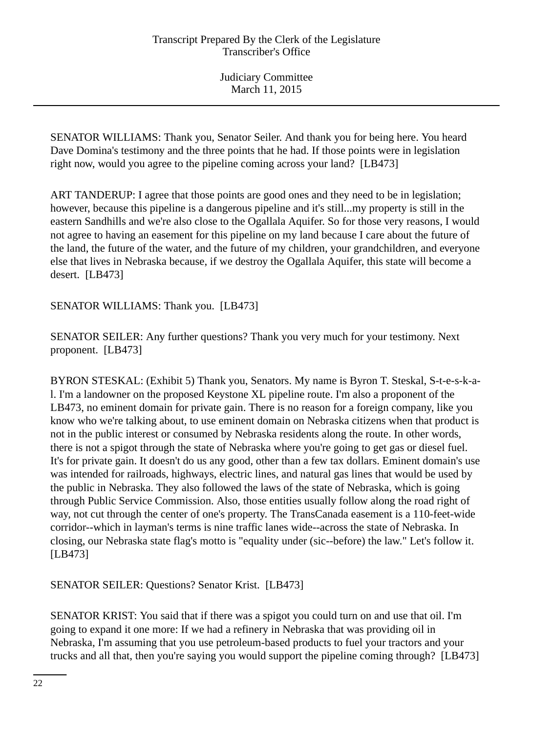SENATOR WILLIAMS: Thank you, Senator Seiler. And thank you for being here. You heard Dave Domina's testimony and the three points that he had. If those points were in legislation right now, would you agree to the pipeline coming across your land? [LB473]

ART TANDERUP: I agree that those points are good ones and they need to be in legislation; however, because this pipeline is a dangerous pipeline and it's still...my property is still in the eastern Sandhills and we're also close to the Ogallala Aquifer. So for those very reasons, I would not agree to having an easement for this pipeline on my land because I care about the future of the land, the future of the water, and the future of my children, your grandchildren, and everyone else that lives in Nebraska because, if we destroy the Ogallala Aquifer, this state will become a desert. [LB473]

SENATOR WILLIAMS: Thank you. [LB473]

SENATOR SEILER: Any further questions? Thank you very much for your testimony. Next proponent. [LB473]

BYRON STESKAL: (Exhibit 5) Thank you, Senators. My name is Byron T. Steskal, S-t-e-s-k-al. I'm a landowner on the proposed Keystone XL pipeline route. I'm also a proponent of the LB473, no eminent domain for private gain. There is no reason for a foreign company, like you know who we're talking about, to use eminent domain on Nebraska citizens when that product is not in the public interest or consumed by Nebraska residents along the route. In other words, there is not a spigot through the state of Nebraska where you're going to get gas or diesel fuel. It's for private gain. It doesn't do us any good, other than a few tax dollars. Eminent domain's use was intended for railroads, highways, electric lines, and natural gas lines that would be used by the public in Nebraska. They also followed the laws of the state of Nebraska, which is going through Public Service Commission. Also, those entities usually follow along the road right of way, not cut through the center of one's property. The TransCanada easement is a 110-feet-wide corridor--which in layman's terms is nine traffic lanes wide--across the state of Nebraska. In closing, our Nebraska state flag's motto is "equality under (sic--before) the law." Let's follow it. [LB473]

SENATOR SEILER: Questions? Senator Krist. [LB473]

SENATOR KRIST: You said that if there was a spigot you could turn on and use that oil. I'm going to expand it one more: If we had a refinery in Nebraska that was providing oil in Nebraska, I'm assuming that you use petroleum-based products to fuel your tractors and your trucks and all that, then you're saying you would support the pipeline coming through? [LB473]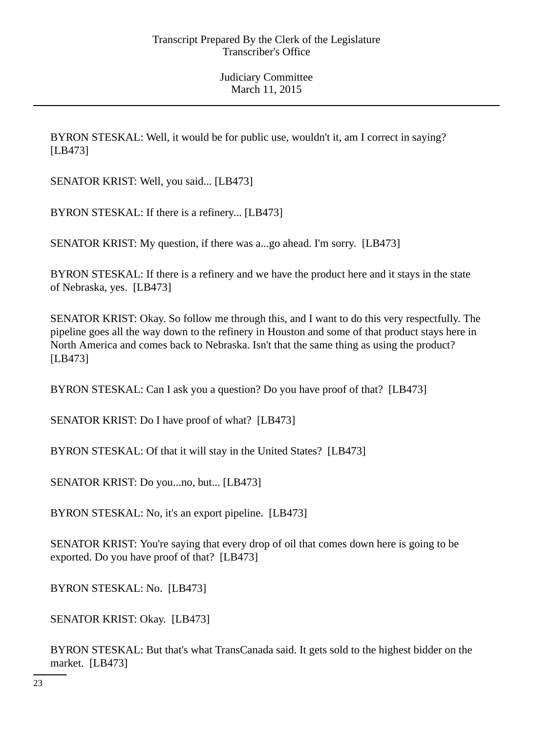BYRON STESKAL: Well, it would be for public use, wouldn't it, am I correct in saying? [LB473]

SENATOR KRIST: Well, you said... [LB473]

BYRON STESKAL: If there is a refinery... [LB473]

SENATOR KRIST: My question, if there was a...go ahead. I'm sorry. [LB473]

BYRON STESKAL: If there is a refinery and we have the product here and it stays in the state of Nebraska, yes. [LB473]

SENATOR KRIST: Okay. So follow me through this, and I want to do this very respectfully. The pipeline goes all the way down to the refinery in Houston and some of that product stays here in North America and comes back to Nebraska. Isn't that the same thing as using the product? [LB473]

BYRON STESKAL: Can I ask you a question? Do you have proof of that? [LB473]

SENATOR KRIST: Do I have proof of what? [LB473]

BYRON STESKAL: Of that it will stay in the United States? [LB473]

SENATOR KRIST: Do you...no, but... [LB473]

BYRON STESKAL: No, it's an export pipeline. [LB473]

SENATOR KRIST: You're saying that every drop of oil that comes down here is going to be exported. Do you have proof of that? [LB473]

BYRON STESKAL: No. [LB473]

SENATOR KRIST: Okay. [LB473]

BYRON STESKAL: But that's what TransCanada said. It gets sold to the highest bidder on the market. [LB473]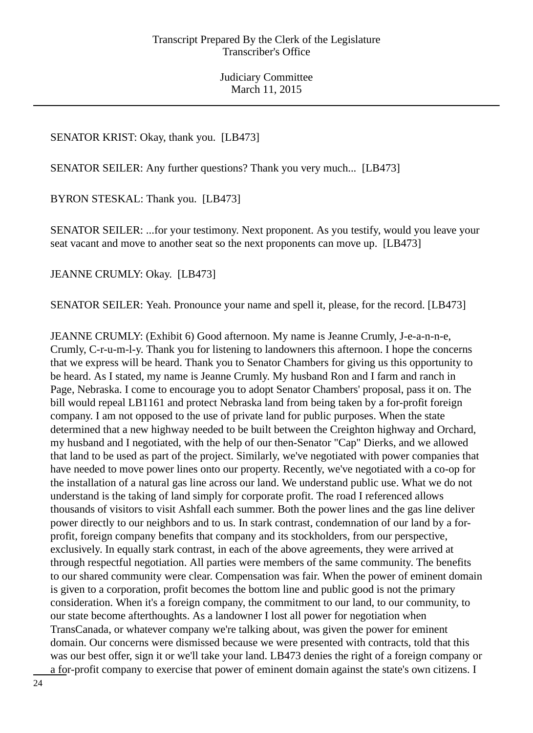#### SENATOR KRIST: Okay, thank you. [LB473]

SENATOR SEILER: Any further questions? Thank you very much... [LB473]

BYRON STESKAL: Thank you. [LB473]

SENATOR SEILER: ...for your testimony. Next proponent. As you testify, would you leave your seat vacant and move to another seat so the next proponents can move up. [LB473]

JEANNE CRUMLY: Okay. [LB473]

SENATOR SEILER: Yeah. Pronounce your name and spell it, please, for the record. [LB473]

JEANNE CRUMLY: (Exhibit 6) Good afternoon. My name is Jeanne Crumly, J-e-a-n-n-e, Crumly, C-r-u-m-l-y. Thank you for listening to landowners this afternoon. I hope the concerns that we express will be heard. Thank you to Senator Chambers for giving us this opportunity to be heard. As I stated, my name is Jeanne Crumly. My husband Ron and I farm and ranch in Page, Nebraska. I come to encourage you to adopt Senator Chambers' proposal, pass it on. The bill would repeal LB1161 and protect Nebraska land from being taken by a for-profit foreign company. I am not opposed to the use of private land for public purposes. When the state determined that a new highway needed to be built between the Creighton highway and Orchard, my husband and I negotiated, with the help of our then-Senator "Cap" Dierks, and we allowed that land to be used as part of the project. Similarly, we've negotiated with power companies that have needed to move power lines onto our property. Recently, we've negotiated with a co-op for the installation of a natural gas line across our land. We understand public use. What we do not understand is the taking of land simply for corporate profit. The road I referenced allows thousands of visitors to visit Ashfall each summer. Both the power lines and the gas line deliver power directly to our neighbors and to us. In stark contrast, condemnation of our land by a forprofit, foreign company benefits that company and its stockholders, from our perspective, exclusively. In equally stark contrast, in each of the above agreements, they were arrived at through respectful negotiation. All parties were members of the same community. The benefits to our shared community were clear. Compensation was fair. When the power of eminent domain is given to a corporation, profit becomes the bottom line and public good is not the primary consideration. When it's a foreign company, the commitment to our land, to our community, to our state become afterthoughts. As a landowner I lost all power for negotiation when TransCanada, or whatever company we're talking about, was given the power for eminent domain. Our concerns were dismissed because we were presented with contracts, told that this was our best offer, sign it or we'll take your land. LB473 denies the right of a foreign company or a for-profit company to exercise that power of eminent domain against the state's own citizens. I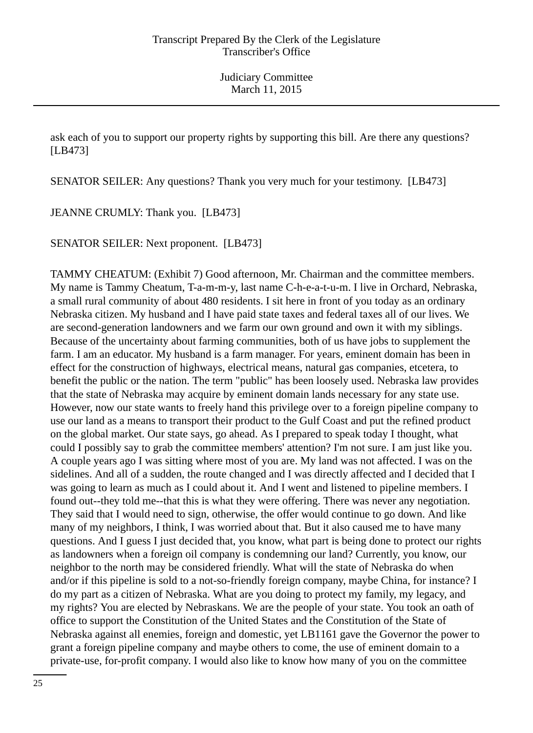ask each of you to support our property rights by supporting this bill. Are there any questions? [LB473]

SENATOR SEILER: Any questions? Thank you very much for your testimony. [LB473]

JEANNE CRUMLY: Thank you. [LB473]

SENATOR SEILER: Next proponent. [LB473]

TAMMY CHEATUM: (Exhibit 7) Good afternoon, Mr. Chairman and the committee members. My name is Tammy Cheatum, T-a-m-m-y, last name C-h-e-a-t-u-m. I live in Orchard, Nebraska, a small rural community of about 480 residents. I sit here in front of you today as an ordinary Nebraska citizen. My husband and I have paid state taxes and federal taxes all of our lives. We are second-generation landowners and we farm our own ground and own it with my siblings. Because of the uncertainty about farming communities, both of us have jobs to supplement the farm. I am an educator. My husband is a farm manager. For years, eminent domain has been in effect for the construction of highways, electrical means, natural gas companies, etcetera, to benefit the public or the nation. The term "public" has been loosely used. Nebraska law provides that the state of Nebraska may acquire by eminent domain lands necessary for any state use. However, now our state wants to freely hand this privilege over to a foreign pipeline company to use our land as a means to transport their product to the Gulf Coast and put the refined product on the global market. Our state says, go ahead. As I prepared to speak today I thought, what could I possibly say to grab the committee members' attention? I'm not sure. I am just like you. A couple years ago I was sitting where most of you are. My land was not affected. I was on the sidelines. And all of a sudden, the route changed and I was directly affected and I decided that I was going to learn as much as I could about it. And I went and listened to pipeline members. I found out--they told me--that this is what they were offering. There was never any negotiation. They said that I would need to sign, otherwise, the offer would continue to go down. And like many of my neighbors, I think, I was worried about that. But it also caused me to have many questions. And I guess I just decided that, you know, what part is being done to protect our rights as landowners when a foreign oil company is condemning our land? Currently, you know, our neighbor to the north may be considered friendly. What will the state of Nebraska do when and/or if this pipeline is sold to a not-so-friendly foreign company, maybe China, for instance? I do my part as a citizen of Nebraska. What are you doing to protect my family, my legacy, and my rights? You are elected by Nebraskans. We are the people of your state. You took an oath of office to support the Constitution of the United States and the Constitution of the State of Nebraska against all enemies, foreign and domestic, yet LB1161 gave the Governor the power to grant a foreign pipeline company and maybe others to come, the use of eminent domain to a private-use, for-profit company. I would also like to know how many of you on the committee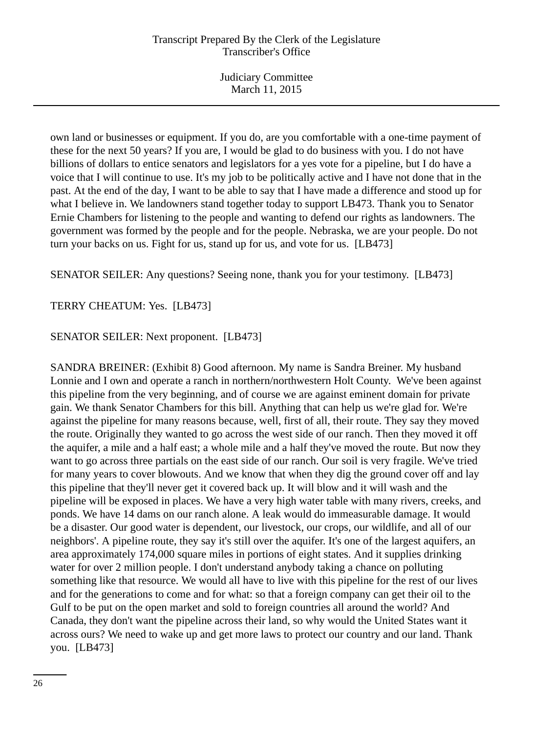own land or businesses or equipment. If you do, are you comfortable with a one-time payment of these for the next 50 years? If you are, I would be glad to do business with you. I do not have billions of dollars to entice senators and legislators for a yes vote for a pipeline, but I do have a voice that I will continue to use. It's my job to be politically active and I have not done that in the past. At the end of the day, I want to be able to say that I have made a difference and stood up for what I believe in. We landowners stand together today to support LB473. Thank you to Senator Ernie Chambers for listening to the people and wanting to defend our rights as landowners. The government was formed by the people and for the people. Nebraska, we are your people. Do not turn your backs on us. Fight for us, stand up for us, and vote for us. [LB473]

SENATOR SEILER: Any questions? Seeing none, thank you for your testimony. [LB473]

TERRY CHEATUM: Yes. [LB473]

## SENATOR SEILER: Next proponent. [LB473]

SANDRA BREINER: (Exhibit 8) Good afternoon. My name is Sandra Breiner. My husband Lonnie and I own and operate a ranch in northern/northwestern Holt County. We've been against this pipeline from the very beginning, and of course we are against eminent domain for private gain. We thank Senator Chambers for this bill. Anything that can help us we're glad for. We're against the pipeline for many reasons because, well, first of all, their route. They say they moved the route. Originally they wanted to go across the west side of our ranch. Then they moved it off the aquifer, a mile and a half east; a whole mile and a half they've moved the route. But now they want to go across three partials on the east side of our ranch. Our soil is very fragile. We've tried for many years to cover blowouts. And we know that when they dig the ground cover off and lay this pipeline that they'll never get it covered back up. It will blow and it will wash and the pipeline will be exposed in places. We have a very high water table with many rivers, creeks, and ponds. We have 14 dams on our ranch alone. A leak would do immeasurable damage. It would be a disaster. Our good water is dependent, our livestock, our crops, our wildlife, and all of our neighbors'. A pipeline route, they say it's still over the aquifer. It's one of the largest aquifers, an area approximately 174,000 square miles in portions of eight states. And it supplies drinking water for over 2 million people. I don't understand anybody taking a chance on polluting something like that resource. We would all have to live with this pipeline for the rest of our lives and for the generations to come and for what: so that a foreign company can get their oil to the Gulf to be put on the open market and sold to foreign countries all around the world? And Canada, they don't want the pipeline across their land, so why would the United States want it across ours? We need to wake up and get more laws to protect our country and our land. Thank you. [LB473]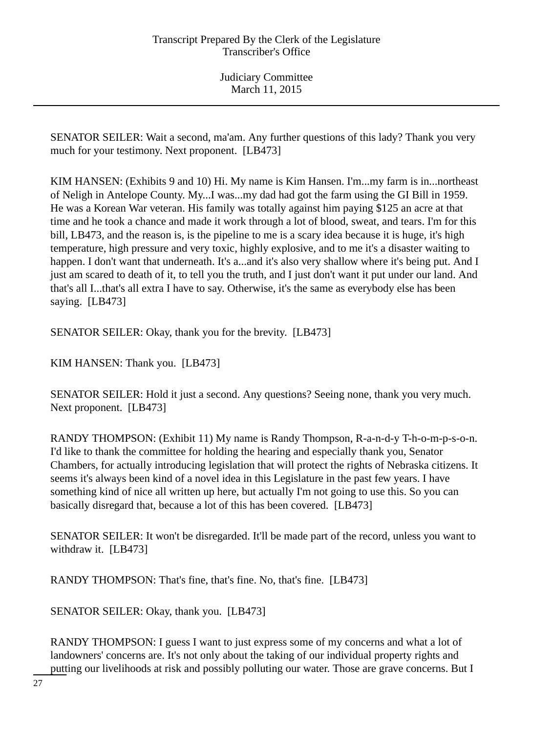SENATOR SEILER: Wait a second, ma'am. Any further questions of this lady? Thank you very much for your testimony. Next proponent. [LB473]

KIM HANSEN: (Exhibits 9 and 10) Hi. My name is Kim Hansen. I'm...my farm is in...northeast of Neligh in Antelope County. My...I was...my dad had got the farm using the GI Bill in 1959. He was a Korean War veteran. His family was totally against him paying \$125 an acre at that time and he took a chance and made it work through a lot of blood, sweat, and tears. I'm for this bill, LB473, and the reason is, is the pipeline to me is a scary idea because it is huge, it's high temperature, high pressure and very toxic, highly explosive, and to me it's a disaster waiting to happen. I don't want that underneath. It's a...and it's also very shallow where it's being put. And I just am scared to death of it, to tell you the truth, and I just don't want it put under our land. And that's all I...that's all extra I have to say. Otherwise, it's the same as everybody else has been saying. [LB473]

SENATOR SEILER: Okay, thank you for the brevity. [LB473]

KIM HANSEN: Thank you. [LB473]

SENATOR SEILER: Hold it just a second. Any questions? Seeing none, thank you very much. Next proponent. [LB473]

RANDY THOMPSON: (Exhibit 11) My name is Randy Thompson, R-a-n-d-y T-h-o-m-p-s-o-n. I'd like to thank the committee for holding the hearing and especially thank you, Senator Chambers, for actually introducing legislation that will protect the rights of Nebraska citizens. It seems it's always been kind of a novel idea in this Legislature in the past few years. I have something kind of nice all written up here, but actually I'm not going to use this. So you can basically disregard that, because a lot of this has been covered. [LB473]

SENATOR SEILER: It won't be disregarded. It'll be made part of the record, unless you want to withdraw it. [LB473]

RANDY THOMPSON: That's fine, that's fine. No, that's fine. [LB473]

SENATOR SEILER: Okay, thank you. [LB473]

RANDY THOMPSON: I guess I want to just express some of my concerns and what a lot of landowners' concerns are. It's not only about the taking of our individual property rights and putting our livelihoods at risk and possibly polluting our water. Those are grave concerns. But I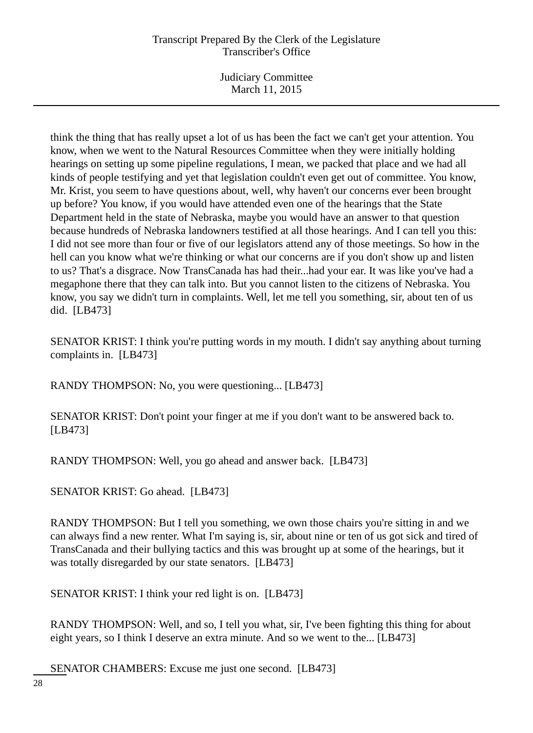Judiciary Committee March 11, 2015

think the thing that has really upset a lot of us has been the fact we can't get your attention. You know, when we went to the Natural Resources Committee when they were initially holding hearings on setting up some pipeline regulations, I mean, we packed that place and we had all kinds of people testifying and yet that legislation couldn't even get out of committee. You know, Mr. Krist, you seem to have questions about, well, why haven't our concerns ever been brought up before? You know, if you would have attended even one of the hearings that the State Department held in the state of Nebraska, maybe you would have an answer to that question because hundreds of Nebraska landowners testified at all those hearings. And I can tell you this: I did not see more than four or five of our legislators attend any of those meetings. So how in the hell can you know what we're thinking or what our concerns are if you don't show up and listen to us? That's a disgrace. Now TransCanada has had their...had your ear. It was like you've had a megaphone there that they can talk into. But you cannot listen to the citizens of Nebraska. You know, you say we didn't turn in complaints. Well, let me tell you something, sir, about ten of us did. [LB473]

SENATOR KRIST: I think you're putting words in my mouth. I didn't say anything about turning complaints in. [LB473]

RANDY THOMPSON: No, you were questioning... [LB473]

SENATOR KRIST: Don't point your finger at me if you don't want to be answered back to. [LB473]

RANDY THOMPSON: Well, you go ahead and answer back. [LB473]

SENATOR KRIST: Go ahead. [LB473]

RANDY THOMPSON: But I tell you something, we own those chairs you're sitting in and we can always find a new renter. What I'm saying is, sir, about nine or ten of us got sick and tired of TransCanada and their bullying tactics and this was brought up at some of the hearings, but it was totally disregarded by our state senators. [LB473]

SENATOR KRIST: I think your red light is on. [LB473]

RANDY THOMPSON: Well, and so, I tell you what, sir, I've been fighting this thing for about eight years, so I think I deserve an extra minute. And so we went to the... [LB473]

SENATOR CHAMBERS: Excuse me just one second. [LB473]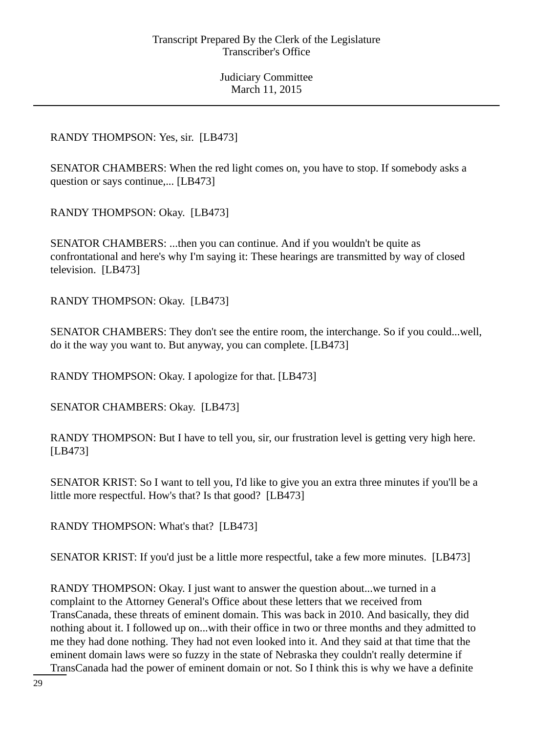## RANDY THOMPSON: Yes, sir. [LB473]

SENATOR CHAMBERS: When the red light comes on, you have to stop. If somebody asks a question or says continue,... [LB473]

RANDY THOMPSON: Okay. [LB473]

SENATOR CHAMBERS: ...then you can continue. And if you wouldn't be quite as confrontational and here's why I'm saying it: These hearings are transmitted by way of closed television. [LB473]

RANDY THOMPSON: Okay. [LB473]

SENATOR CHAMBERS: They don't see the entire room, the interchange. So if you could...well, do it the way you want to. But anyway, you can complete. [LB473]

RANDY THOMPSON: Okay. I apologize for that. [LB473]

SENATOR CHAMBERS: Okay. [LB473]

RANDY THOMPSON: But I have to tell you, sir, our frustration level is getting very high here. [LB473]

SENATOR KRIST: So I want to tell you, I'd like to give you an extra three minutes if you'll be a little more respectful. How's that? Is that good? [LB473]

RANDY THOMPSON: What's that? [LB473]

SENATOR KRIST: If you'd just be a little more respectful, take a few more minutes. [LB473]

RANDY THOMPSON: Okay. I just want to answer the question about...we turned in a complaint to the Attorney General's Office about these letters that we received from TransCanada, these threats of eminent domain. This was back in 2010. And basically, they did nothing about it. I followed up on...with their office in two or three months and they admitted to me they had done nothing. They had not even looked into it. And they said at that time that the eminent domain laws were so fuzzy in the state of Nebraska they couldn't really determine if TransCanada had the power of eminent domain or not. So I think this is why we have a definite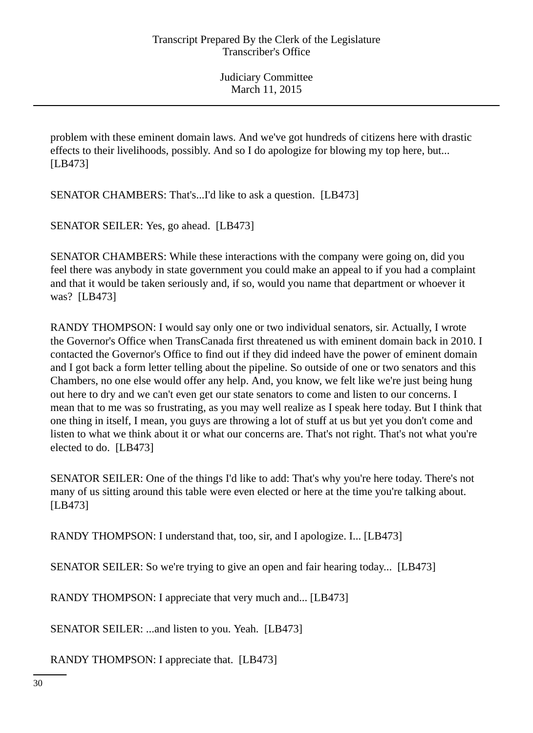problem with these eminent domain laws. And we've got hundreds of citizens here with drastic effects to their livelihoods, possibly. And so I do apologize for blowing my top here, but... [LB473]

SENATOR CHAMBERS: That's...I'd like to ask a question. [LB473]

SENATOR SEILER: Yes, go ahead. [LB473]

SENATOR CHAMBERS: While these interactions with the company were going on, did you feel there was anybody in state government you could make an appeal to if you had a complaint and that it would be taken seriously and, if so, would you name that department or whoever it was? [LB473]

RANDY THOMPSON: I would say only one or two individual senators, sir. Actually, I wrote the Governor's Office when TransCanada first threatened us with eminent domain back in 2010. I contacted the Governor's Office to find out if they did indeed have the power of eminent domain and I got back a form letter telling about the pipeline. So outside of one or two senators and this Chambers, no one else would offer any help. And, you know, we felt like we're just being hung out here to dry and we can't even get our state senators to come and listen to our concerns. I mean that to me was so frustrating, as you may well realize as I speak here today. But I think that one thing in itself, I mean, you guys are throwing a lot of stuff at us but yet you don't come and listen to what we think about it or what our concerns are. That's not right. That's not what you're elected to do. [LB473]

SENATOR SEILER: One of the things I'd like to add: That's why you're here today. There's not many of us sitting around this table were even elected or here at the time you're talking about. [LB473]

RANDY THOMPSON: I understand that, too, sir, and I apologize. I... [LB473]

SENATOR SEILER: So we're trying to give an open and fair hearing today... [LB473]

RANDY THOMPSON: I appreciate that very much and... [LB473]

SENATOR SEILER: ...and listen to you. Yeah. [LB473]

RANDY THOMPSON: I appreciate that. [LB473]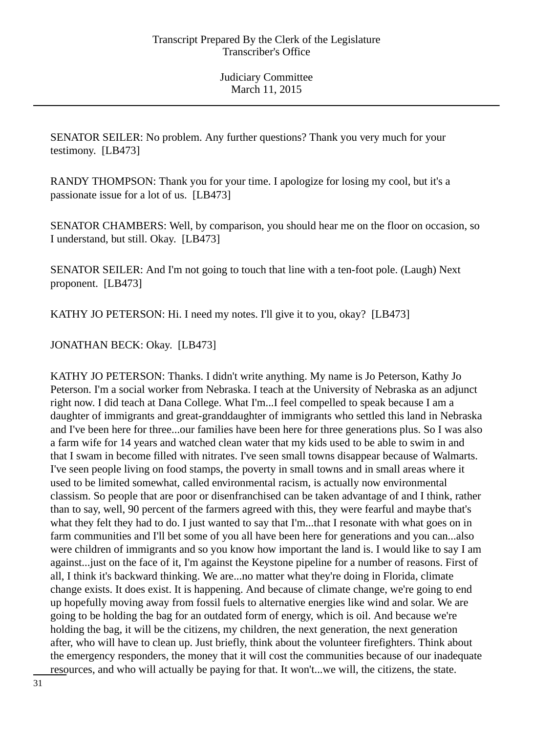SENATOR SEILER: No problem. Any further questions? Thank you very much for your testimony. [LB473]

RANDY THOMPSON: Thank you for your time. I apologize for losing my cool, but it's a passionate issue for a lot of us. [LB473]

SENATOR CHAMBERS: Well, by comparison, you should hear me on the floor on occasion, so I understand, but still. Okay. [LB473]

SENATOR SEILER: And I'm not going to touch that line with a ten-foot pole. (Laugh) Next proponent. [LB473]

KATHY JO PETERSON: Hi. I need my notes. I'll give it to you, okay? [LB473]

JONATHAN BECK: Okay. [LB473]

KATHY JO PETERSON: Thanks. I didn't write anything. My name is Jo Peterson, Kathy Jo Peterson. I'm a social worker from Nebraska. I teach at the University of Nebraska as an adjunct right now. I did teach at Dana College. What I'm...I feel compelled to speak because I am a daughter of immigrants and great-granddaughter of immigrants who settled this land in Nebraska and I've been here for three...our families have been here for three generations plus. So I was also a farm wife for 14 years and watched clean water that my kids used to be able to swim in and that I swam in become filled with nitrates. I've seen small towns disappear because of Walmarts. I've seen people living on food stamps, the poverty in small towns and in small areas where it used to be limited somewhat, called environmental racism, is actually now environmental classism. So people that are poor or disenfranchised can be taken advantage of and I think, rather than to say, well, 90 percent of the farmers agreed with this, they were fearful and maybe that's what they felt they had to do. I just wanted to say that I'm...that I resonate with what goes on in farm communities and I'll bet some of you all have been here for generations and you can...also were children of immigrants and so you know how important the land is. I would like to say I am against...just on the face of it, I'm against the Keystone pipeline for a number of reasons. First of all, I think it's backward thinking. We are...no matter what they're doing in Florida, climate change exists. It does exist. It is happening. And because of climate change, we're going to end up hopefully moving away from fossil fuels to alternative energies like wind and solar. We are going to be holding the bag for an outdated form of energy, which is oil. And because we're holding the bag, it will be the citizens, my children, the next generation, the next generation after, who will have to clean up. Just briefly, think about the volunteer firefighters. Think about the emergency responders, the money that it will cost the communities because of our inadequate resources, and who will actually be paying for that. It won't...we will, the citizens, the state.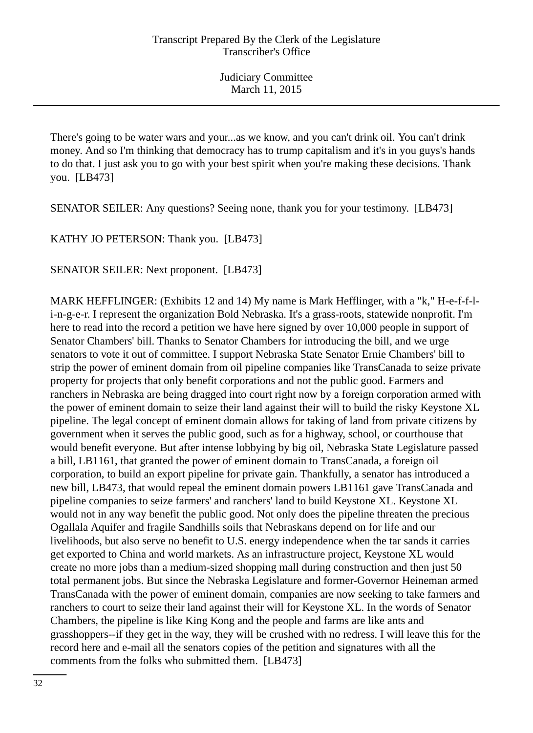There's going to be water wars and your...as we know, and you can't drink oil. You can't drink money. And so I'm thinking that democracy has to trump capitalism and it's in you guys's hands to do that. I just ask you to go with your best spirit when you're making these decisions. Thank you. [LB473]

SENATOR SEILER: Any questions? Seeing none, thank you for your testimony. [LB473]

KATHY JO PETERSON: Thank you. [LB473]

SENATOR SEILER: Next proponent. [LB473]

MARK HEFFLINGER: (Exhibits 12 and 14) My name is Mark Hefflinger, with a "k," H-e-f-f-li-n-g-e-r. I represent the organization Bold Nebraska. It's a grass-roots, statewide nonprofit. I'm here to read into the record a petition we have here signed by over 10,000 people in support of Senator Chambers' bill. Thanks to Senator Chambers for introducing the bill, and we urge senators to vote it out of committee. I support Nebraska State Senator Ernie Chambers' bill to strip the power of eminent domain from oil pipeline companies like TransCanada to seize private property for projects that only benefit corporations and not the public good. Farmers and ranchers in Nebraska are being dragged into court right now by a foreign corporation armed with the power of eminent domain to seize their land against their will to build the risky Keystone XL pipeline. The legal concept of eminent domain allows for taking of land from private citizens by government when it serves the public good, such as for a highway, school, or courthouse that would benefit everyone. But after intense lobbying by big oil, Nebraska State Legislature passed a bill, LB1161, that granted the power of eminent domain to TransCanada, a foreign oil corporation, to build an export pipeline for private gain. Thankfully, a senator has introduced a new bill, LB473, that would repeal the eminent domain powers LB1161 gave TransCanada and pipeline companies to seize farmers' and ranchers' land to build Keystone XL. Keystone XL would not in any way benefit the public good. Not only does the pipeline threaten the precious Ogallala Aquifer and fragile Sandhills soils that Nebraskans depend on for life and our livelihoods, but also serve no benefit to U.S. energy independence when the tar sands it carries get exported to China and world markets. As an infrastructure project, Keystone XL would create no more jobs than a medium-sized shopping mall during construction and then just 50 total permanent jobs. But since the Nebraska Legislature and former-Governor Heineman armed TransCanada with the power of eminent domain, companies are now seeking to take farmers and ranchers to court to seize their land against their will for Keystone XL. In the words of Senator Chambers, the pipeline is like King Kong and the people and farms are like ants and grasshoppers--if they get in the way, they will be crushed with no redress. I will leave this for the record here and e-mail all the senators copies of the petition and signatures with all the comments from the folks who submitted them. [LB473]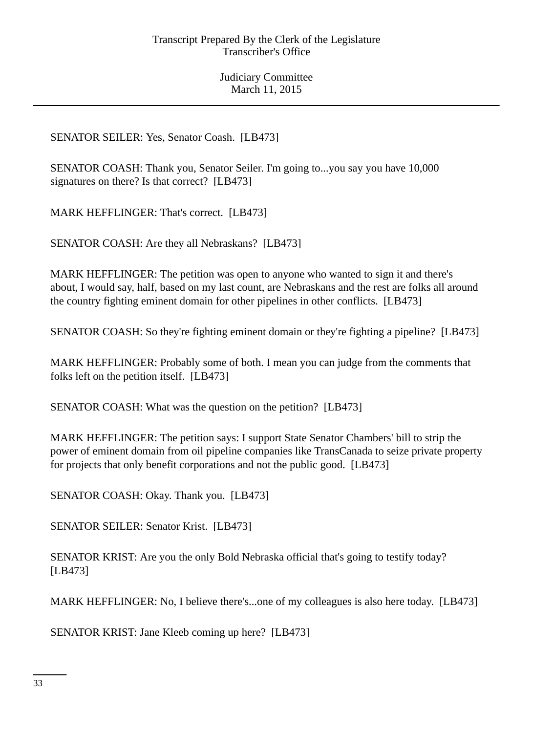SENATOR SEILER: Yes, Senator Coash. [LB473]

SENATOR COASH: Thank you, Senator Seiler. I'm going to...you say you have 10,000 signatures on there? Is that correct? [LB473]

MARK HEFFLINGER: That's correct. [LB473]

SENATOR COASH: Are they all Nebraskans? [LB473]

MARK HEFFLINGER: The petition was open to anyone who wanted to sign it and there's about, I would say, half, based on my last count, are Nebraskans and the rest are folks all around the country fighting eminent domain for other pipelines in other conflicts. [LB473]

SENATOR COASH: So they're fighting eminent domain or they're fighting a pipeline? [LB473]

MARK HEFFLINGER: Probably some of both. I mean you can judge from the comments that folks left on the petition itself. [LB473]

SENATOR COASH: What was the question on the petition? [LB473]

MARK HEFFLINGER: The petition says: I support State Senator Chambers' bill to strip the power of eminent domain from oil pipeline companies like TransCanada to seize private property for projects that only benefit corporations and not the public good. [LB473]

SENATOR COASH: Okay. Thank you. [LB473]

SENATOR SEILER: Senator Krist. [LB473]

SENATOR KRIST: Are you the only Bold Nebraska official that's going to testify today? [LB473]

MARK HEFFLINGER: No, I believe there's...one of my colleagues is also here today. [LB473]

SENATOR KRIST: Jane Kleeb coming up here? [LB473]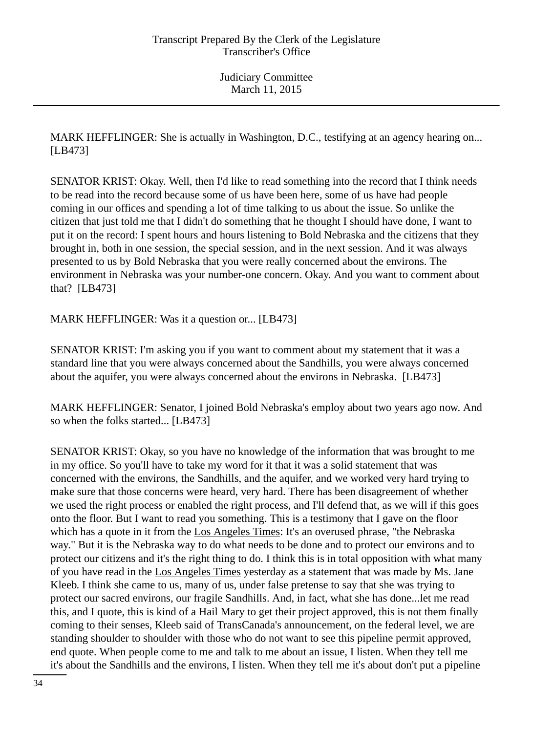MARK HEFFLINGER: She is actually in Washington, D.C., testifying at an agency hearing on... [LB473]

SENATOR KRIST: Okay. Well, then I'd like to read something into the record that I think needs to be read into the record because some of us have been here, some of us have had people coming in our offices and spending a lot of time talking to us about the issue. So unlike the citizen that just told me that I didn't do something that he thought I should have done, I want to put it on the record: I spent hours and hours listening to Bold Nebraska and the citizens that they brought in, both in one session, the special session, and in the next session. And it was always presented to us by Bold Nebraska that you were really concerned about the environs. The environment in Nebraska was your number-one concern. Okay. And you want to comment about that? [LB473]

MARK HEFFLINGER: Was it a question or... [LB473]

SENATOR KRIST: I'm asking you if you want to comment about my statement that it was a standard line that you were always concerned about the Sandhills, you were always concerned about the aquifer, you were always concerned about the environs in Nebraska. [LB473]

MARK HEFFLINGER: Senator, I joined Bold Nebraska's employ about two years ago now. And so when the folks started... [LB473]

SENATOR KRIST: Okay, so you have no knowledge of the information that was brought to me in my office. So you'll have to take my word for it that it was a solid statement that was concerned with the environs, the Sandhills, and the aquifer, and we worked very hard trying to make sure that those concerns were heard, very hard. There has been disagreement of whether we used the right process or enabled the right process, and I'll defend that, as we will if this goes onto the floor. But I want to read you something. This is a testimony that I gave on the floor which has a quote in it from the Los Angeles Times: It's an overused phrase, "the Nebraska way." But it is the Nebraska way to do what needs to be done and to protect our environs and to protect our citizens and it's the right thing to do. I think this is in total opposition with what many of you have read in the Los Angeles Times yesterday as a statement that was made by Ms. Jane Kleeb. I think she came to us, many of us, under false pretense to say that she was trying to protect our sacred environs, our fragile Sandhills. And, in fact, what she has done...let me read this, and I quote, this is kind of a Hail Mary to get their project approved, this is not them finally coming to their senses, Kleeb said of TransCanada's announcement, on the federal level, we are standing shoulder to shoulder with those who do not want to see this pipeline permit approved, end quote. When people come to me and talk to me about an issue, I listen. When they tell me it's about the Sandhills and the environs, I listen. When they tell me it's about don't put a pipeline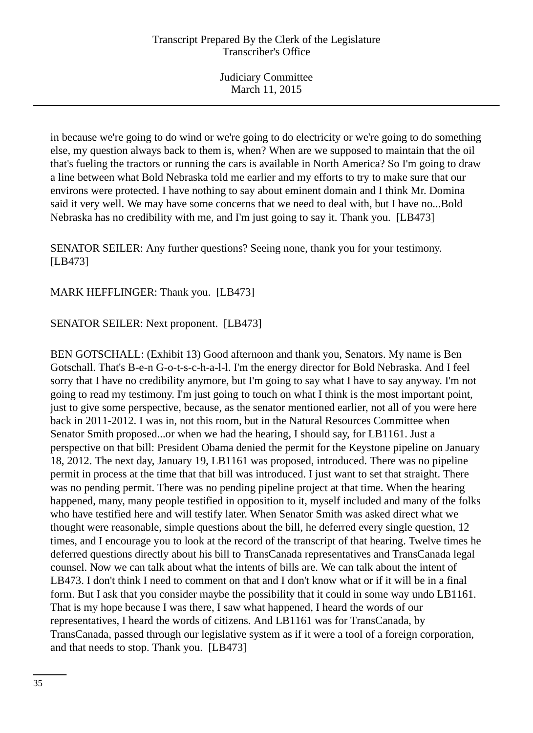in because we're going to do wind or we're going to do electricity or we're going to do something else, my question always back to them is, when? When are we supposed to maintain that the oil that's fueling the tractors or running the cars is available in North America? So I'm going to draw a line between what Bold Nebraska told me earlier and my efforts to try to make sure that our environs were protected. I have nothing to say about eminent domain and I think Mr. Domina said it very well. We may have some concerns that we need to deal with, but I have no...Bold Nebraska has no credibility with me, and I'm just going to say it. Thank you. [LB473]

SENATOR SEILER: Any further questions? Seeing none, thank you for your testimony. [LB473]

MARK HEFFLINGER: Thank you. [LB473]

SENATOR SEILER: Next proponent. [LB473]

BEN GOTSCHALL: (Exhibit 13) Good afternoon and thank you, Senators. My name is Ben Gotschall. That's B-e-n G-o-t-s-c-h-a-l-l. I'm the energy director for Bold Nebraska. And I feel sorry that I have no credibility anymore, but I'm going to say what I have to say anyway. I'm not going to read my testimony. I'm just going to touch on what I think is the most important point, just to give some perspective, because, as the senator mentioned earlier, not all of you were here back in 2011-2012. I was in, not this room, but in the Natural Resources Committee when Senator Smith proposed...or when we had the hearing, I should say, for LB1161. Just a perspective on that bill: President Obama denied the permit for the Keystone pipeline on January 18, 2012. The next day, January 19, LB1161 was proposed, introduced. There was no pipeline permit in process at the time that that bill was introduced. I just want to set that straight. There was no pending permit. There was no pending pipeline project at that time. When the hearing happened, many, many people testified in opposition to it, myself included and many of the folks who have testified here and will testify later. When Senator Smith was asked direct what we thought were reasonable, simple questions about the bill, he deferred every single question, 12 times, and I encourage you to look at the record of the transcript of that hearing. Twelve times he deferred questions directly about his bill to TransCanada representatives and TransCanada legal counsel. Now we can talk about what the intents of bills are. We can talk about the intent of LB473. I don't think I need to comment on that and I don't know what or if it will be in a final form. But I ask that you consider maybe the possibility that it could in some way undo LB1161. That is my hope because I was there, I saw what happened, I heard the words of our representatives, I heard the words of citizens. And LB1161 was for TransCanada, by TransCanada, passed through our legislative system as if it were a tool of a foreign corporation, and that needs to stop. Thank you. [LB473]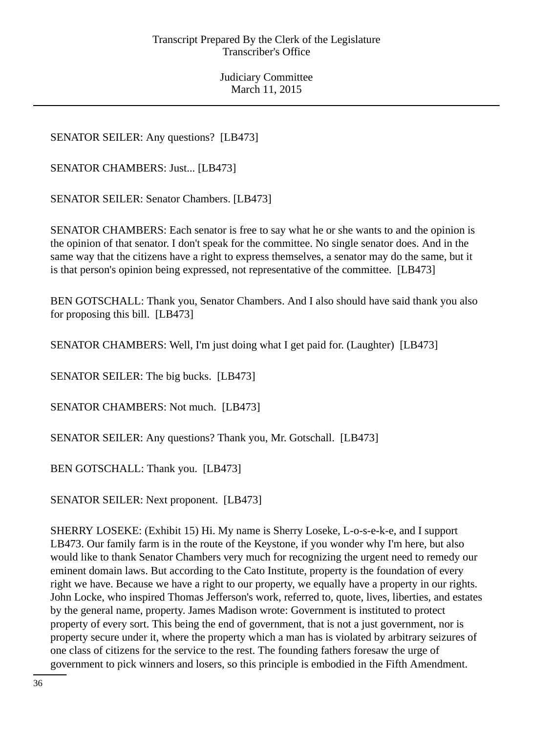SENATOR SEILER: Any questions? [LB473]

SENATOR CHAMBERS: Just... [LB473]

SENATOR SEILER: Senator Chambers. [LB473]

SENATOR CHAMBERS: Each senator is free to say what he or she wants to and the opinion is the opinion of that senator. I don't speak for the committee. No single senator does. And in the same way that the citizens have a right to express themselves, a senator may do the same, but it is that person's opinion being expressed, not representative of the committee. [LB473]

BEN GOTSCHALL: Thank you, Senator Chambers. And I also should have said thank you also for proposing this bill. [LB473]

SENATOR CHAMBERS: Well, I'm just doing what I get paid for. (Laughter) [LB473]

SENATOR SEILER: The big bucks. [LB473]

SENATOR CHAMBERS: Not much. [LB473]

SENATOR SEILER: Any questions? Thank you, Mr. Gotschall. [LB473]

BEN GOTSCHALL: Thank you. [LB473]

SENATOR SEILER: Next proponent. [LB473]

SHERRY LOSEKE: (Exhibit 15) Hi. My name is Sherry Loseke, L-o-s-e-k-e, and I support LB473. Our family farm is in the route of the Keystone, if you wonder why I'm here, but also would like to thank Senator Chambers very much for recognizing the urgent need to remedy our eminent domain laws. But according to the Cato Institute, property is the foundation of every right we have. Because we have a right to our property, we equally have a property in our rights. John Locke, who inspired Thomas Jefferson's work, referred to, quote, lives, liberties, and estates by the general name, property. James Madison wrote: Government is instituted to protect property of every sort. This being the end of government, that is not a just government, nor is property secure under it, where the property which a man has is violated by arbitrary seizures of one class of citizens for the service to the rest. The founding fathers foresaw the urge of government to pick winners and losers, so this principle is embodied in the Fifth Amendment.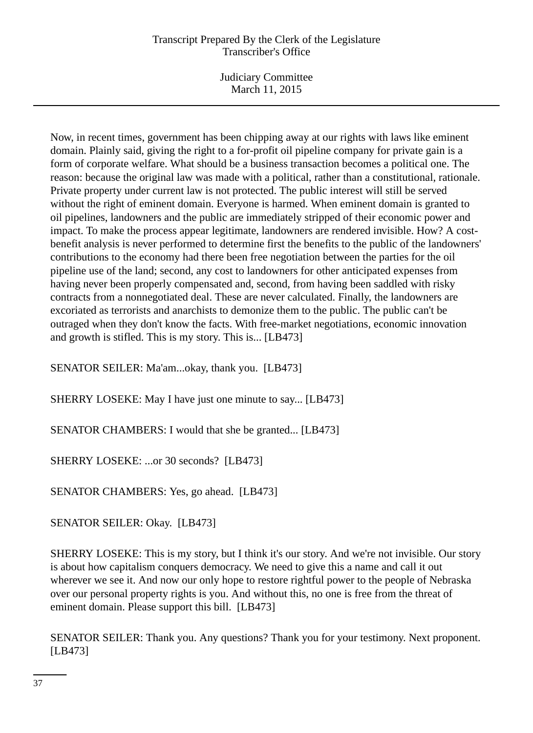Judiciary Committee March 11, 2015

Now, in recent times, government has been chipping away at our rights with laws like eminent domain. Plainly said, giving the right to a for-profit oil pipeline company for private gain is a form of corporate welfare. What should be a business transaction becomes a political one. The reason: because the original law was made with a political, rather than a constitutional, rationale. Private property under current law is not protected. The public interest will still be served without the right of eminent domain. Everyone is harmed. When eminent domain is granted to oil pipelines, landowners and the public are immediately stripped of their economic power and impact. To make the process appear legitimate, landowners are rendered invisible. How? A costbenefit analysis is never performed to determine first the benefits to the public of the landowners' contributions to the economy had there been free negotiation between the parties for the oil pipeline use of the land; second, any cost to landowners for other anticipated expenses from having never been properly compensated and, second, from having been saddled with risky contracts from a nonnegotiated deal. These are never calculated. Finally, the landowners are excoriated as terrorists and anarchists to demonize them to the public. The public can't be outraged when they don't know the facts. With free-market negotiations, economic innovation and growth is stifled. This is my story. This is... [LB473]

SENATOR SEILER: Ma'am...okay, thank you. [LB473]

SHERRY LOSEKE: May I have just one minute to say... [LB473]

SENATOR CHAMBERS: I would that she be granted... [LB473]

SHERRY LOSEKE: ...or 30 seconds? [LB473]

SENATOR CHAMBERS: Yes, go ahead. [LB473]

SENATOR SEILER: Okay. [LB473]

SHERRY LOSEKE: This is my story, but I think it's our story. And we're not invisible. Our story is about how capitalism conquers democracy. We need to give this a name and call it out wherever we see it. And now our only hope to restore rightful power to the people of Nebraska over our personal property rights is you. And without this, no one is free from the threat of eminent domain. Please support this bill. [LB473]

SENATOR SEILER: Thank you. Any questions? Thank you for your testimony. Next proponent. [LB473]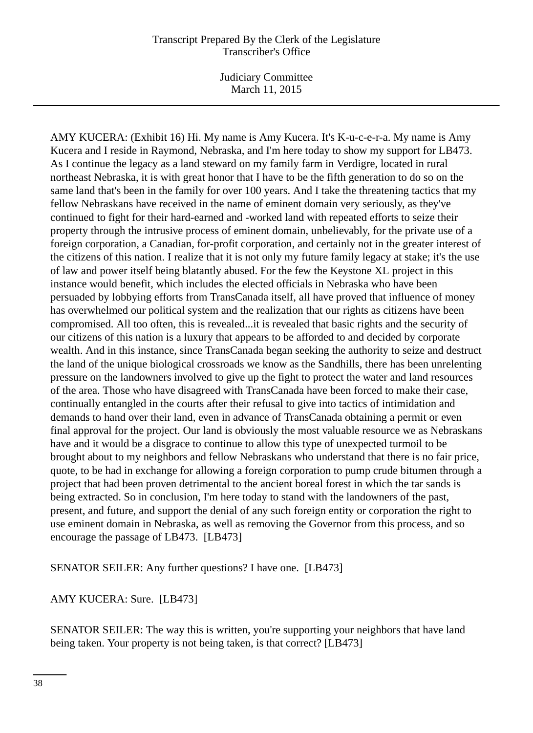Judiciary Committee March 11, 2015

AMY KUCERA: (Exhibit 16) Hi. My name is Amy Kucera. It's K-u-c-e-r-a. My name is Amy Kucera and I reside in Raymond, Nebraska, and I'm here today to show my support for LB473. As I continue the legacy as a land steward on my family farm in Verdigre, located in rural northeast Nebraska, it is with great honor that I have to be the fifth generation to do so on the same land that's been in the family for over 100 years. And I take the threatening tactics that my fellow Nebraskans have received in the name of eminent domain very seriously, as they've continued to fight for their hard-earned and -worked land with repeated efforts to seize their property through the intrusive process of eminent domain, unbelievably, for the private use of a foreign corporation, a Canadian, for-profit corporation, and certainly not in the greater interest of the citizens of this nation. I realize that it is not only my future family legacy at stake; it's the use of law and power itself being blatantly abused. For the few the Keystone XL project in this instance would benefit, which includes the elected officials in Nebraska who have been persuaded by lobbying efforts from TransCanada itself, all have proved that influence of money has overwhelmed our political system and the realization that our rights as citizens have been compromised. All too often, this is revealed...it is revealed that basic rights and the security of our citizens of this nation is a luxury that appears to be afforded to and decided by corporate wealth. And in this instance, since TransCanada began seeking the authority to seize and destruct the land of the unique biological crossroads we know as the Sandhills, there has been unrelenting pressure on the landowners involved to give up the fight to protect the water and land resources of the area. Those who have disagreed with TransCanada have been forced to make their case, continually entangled in the courts after their refusal to give into tactics of intimidation and demands to hand over their land, even in advance of TransCanada obtaining a permit or even final approval for the project. Our land is obviously the most valuable resource we as Nebraskans have and it would be a disgrace to continue to allow this type of unexpected turmoil to be brought about to my neighbors and fellow Nebraskans who understand that there is no fair price, quote, to be had in exchange for allowing a foreign corporation to pump crude bitumen through a project that had been proven detrimental to the ancient boreal forest in which the tar sands is being extracted. So in conclusion, I'm here today to stand with the landowners of the past, present, and future, and support the denial of any such foreign entity or corporation the right to use eminent domain in Nebraska, as well as removing the Governor from this process, and so encourage the passage of LB473. [LB473]

SENATOR SEILER: Any further questions? I have one. [LB473]

AMY KUCERA: Sure. [LB473]

SENATOR SEILER: The way this is written, you're supporting your neighbors that have land being taken. Your property is not being taken, is that correct? [LB473]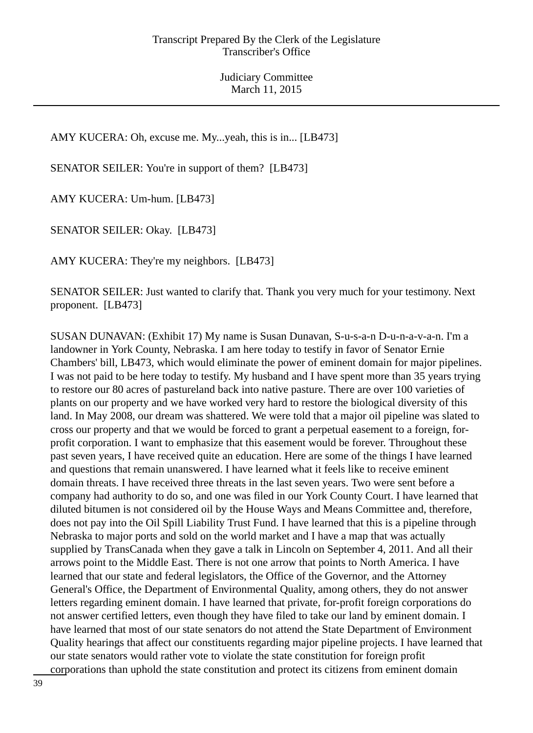AMY KUCERA: Oh, excuse me. My...yeah, this is in... [LB473]

SENATOR SEILER: You're in support of them? [LB473]

AMY KUCERA: Um-hum. [LB473]

SENATOR SEILER: Okay. [LB473]

AMY KUCERA: They're my neighbors. [LB473]

SENATOR SEILER: Just wanted to clarify that. Thank you very much for your testimony. Next proponent. [LB473]

SUSAN DUNAVAN: (Exhibit 17) My name is Susan Dunavan, S-u-s-a-n D-u-n-a-v-a-n. I'm a landowner in York County, Nebraska. I am here today to testify in favor of Senator Ernie Chambers' bill, LB473, which would eliminate the power of eminent domain for major pipelines. I was not paid to be here today to testify. My husband and I have spent more than 35 years trying to restore our 80 acres of pastureland back into native pasture. There are over 100 varieties of plants on our property and we have worked very hard to restore the biological diversity of this land. In May 2008, our dream was shattered. We were told that a major oil pipeline was slated to cross our property and that we would be forced to grant a perpetual easement to a foreign, forprofit corporation. I want to emphasize that this easement would be forever. Throughout these past seven years, I have received quite an education. Here are some of the things I have learned and questions that remain unanswered. I have learned what it feels like to receive eminent domain threats. I have received three threats in the last seven years. Two were sent before a company had authority to do so, and one was filed in our York County Court. I have learned that diluted bitumen is not considered oil by the House Ways and Means Committee and, therefore, does not pay into the Oil Spill Liability Trust Fund. I have learned that this is a pipeline through Nebraska to major ports and sold on the world market and I have a map that was actually supplied by TransCanada when they gave a talk in Lincoln on September 4, 2011. And all their arrows point to the Middle East. There is not one arrow that points to North America. I have learned that our state and federal legislators, the Office of the Governor, and the Attorney General's Office, the Department of Environmental Quality, among others, they do not answer letters regarding eminent domain. I have learned that private, for-profit foreign corporations do not answer certified letters, even though they have filed to take our land by eminent domain. I have learned that most of our state senators do not attend the State Department of Environment Quality hearings that affect our constituents regarding major pipeline projects. I have learned that our state senators would rather vote to violate the state constitution for foreign profit corporations than uphold the state constitution and protect its citizens from eminent domain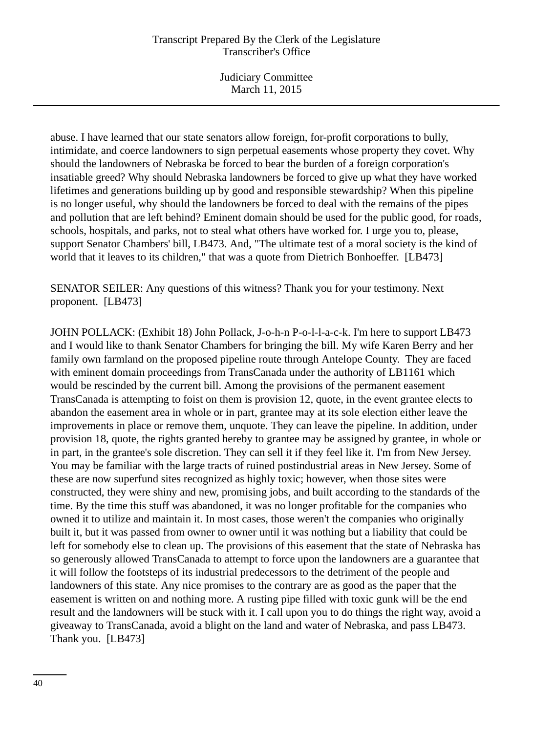Judiciary Committee March 11, 2015

abuse. I have learned that our state senators allow foreign, for-profit corporations to bully, intimidate, and coerce landowners to sign perpetual easements whose property they covet. Why should the landowners of Nebraska be forced to bear the burden of a foreign corporation's insatiable greed? Why should Nebraska landowners be forced to give up what they have worked lifetimes and generations building up by good and responsible stewardship? When this pipeline is no longer useful, why should the landowners be forced to deal with the remains of the pipes and pollution that are left behind? Eminent domain should be used for the public good, for roads, schools, hospitals, and parks, not to steal what others have worked for. I urge you to, please, support Senator Chambers' bill, LB473. And, "The ultimate test of a moral society is the kind of world that it leaves to its children," that was a quote from Dietrich Bonhoeffer. [LB473]

SENATOR SEILER: Any questions of this witness? Thank you for your testimony. Next proponent. [LB473]

JOHN POLLACK: (Exhibit 18) John Pollack, J-o-h-n P-o-l-l-a-c-k. I'm here to support LB473 and I would like to thank Senator Chambers for bringing the bill. My wife Karen Berry and her family own farmland on the proposed pipeline route through Antelope County. They are faced with eminent domain proceedings from TransCanada under the authority of LB1161 which would be rescinded by the current bill. Among the provisions of the permanent easement TransCanada is attempting to foist on them is provision 12, quote, in the event grantee elects to abandon the easement area in whole or in part, grantee may at its sole election either leave the improvements in place or remove them, unquote. They can leave the pipeline. In addition, under provision 18, quote, the rights granted hereby to grantee may be assigned by grantee, in whole or in part, in the grantee's sole discretion. They can sell it if they feel like it. I'm from New Jersey. You may be familiar with the large tracts of ruined postindustrial areas in New Jersey. Some of these are now superfund sites recognized as highly toxic; however, when those sites were constructed, they were shiny and new, promising jobs, and built according to the standards of the time. By the time this stuff was abandoned, it was no longer profitable for the companies who owned it to utilize and maintain it. In most cases, those weren't the companies who originally built it, but it was passed from owner to owner until it was nothing but a liability that could be left for somebody else to clean up. The provisions of this easement that the state of Nebraska has so generously allowed TransCanada to attempt to force upon the landowners are a guarantee that it will follow the footsteps of its industrial predecessors to the detriment of the people and landowners of this state. Any nice promises to the contrary are as good as the paper that the easement is written on and nothing more. A rusting pipe filled with toxic gunk will be the end result and the landowners will be stuck with it. I call upon you to do things the right way, avoid a giveaway to TransCanada, avoid a blight on the land and water of Nebraska, and pass LB473. Thank you. [LB473]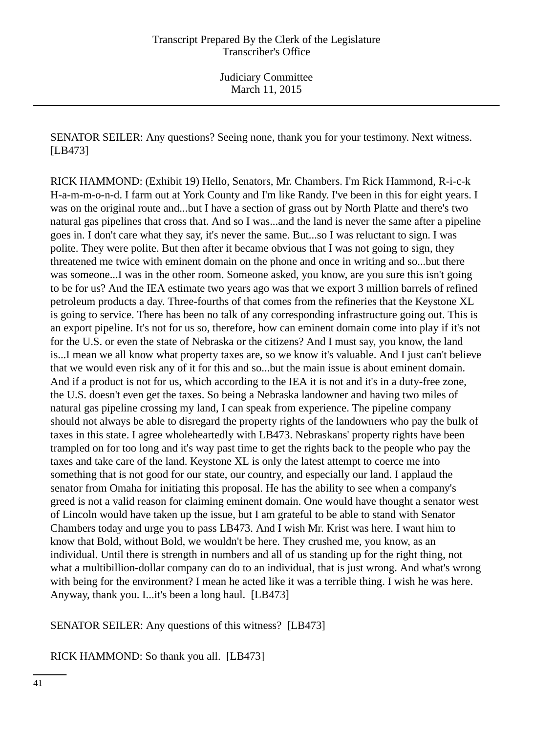SENATOR SEILER: Any questions? Seeing none, thank you for your testimony. Next witness. [LB473]

RICK HAMMOND: (Exhibit 19) Hello, Senators, Mr. Chambers. I'm Rick Hammond, R-i-c-k H-a-m-m-o-n-d. I farm out at York County and I'm like Randy. I've been in this for eight years. I was on the original route and...but I have a section of grass out by North Platte and there's two natural gas pipelines that cross that. And so I was...and the land is never the same after a pipeline goes in. I don't care what they say, it's never the same. But...so I was reluctant to sign. I was polite. They were polite. But then after it became obvious that I was not going to sign, they threatened me twice with eminent domain on the phone and once in writing and so...but there was someone...I was in the other room. Someone asked, you know, are you sure this isn't going to be for us? And the IEA estimate two years ago was that we export 3 million barrels of refined petroleum products a day. Three-fourths of that comes from the refineries that the Keystone XL is going to service. There has been no talk of any corresponding infrastructure going out. This is an export pipeline. It's not for us so, therefore, how can eminent domain come into play if it's not for the U.S. or even the state of Nebraska or the citizens? And I must say, you know, the land is...I mean we all know what property taxes are, so we know it's valuable. And I just can't believe that we would even risk any of it for this and so...but the main issue is about eminent domain. And if a product is not for us, which according to the IEA it is not and it's in a duty-free zone, the U.S. doesn't even get the taxes. So being a Nebraska landowner and having two miles of natural gas pipeline crossing my land, I can speak from experience. The pipeline company should not always be able to disregard the property rights of the landowners who pay the bulk of taxes in this state. I agree wholeheartedly with LB473. Nebraskans' property rights have been trampled on for too long and it's way past time to get the rights back to the people who pay the taxes and take care of the land. Keystone XL is only the latest attempt to coerce me into something that is not good for our state, our country, and especially our land. I applaud the senator from Omaha for initiating this proposal. He has the ability to see when a company's greed is not a valid reason for claiming eminent domain. One would have thought a senator west of Lincoln would have taken up the issue, but I am grateful to be able to stand with Senator Chambers today and urge you to pass LB473. And I wish Mr. Krist was here. I want him to know that Bold, without Bold, we wouldn't be here. They crushed me, you know, as an individual. Until there is strength in numbers and all of us standing up for the right thing, not what a multibillion-dollar company can do to an individual, that is just wrong. And what's wrong with being for the environment? I mean he acted like it was a terrible thing. I wish he was here. Anyway, thank you. I...it's been a long haul. [LB473]

SENATOR SEILER: Any questions of this witness? [LB473]

RICK HAMMOND: So thank you all. [LB473]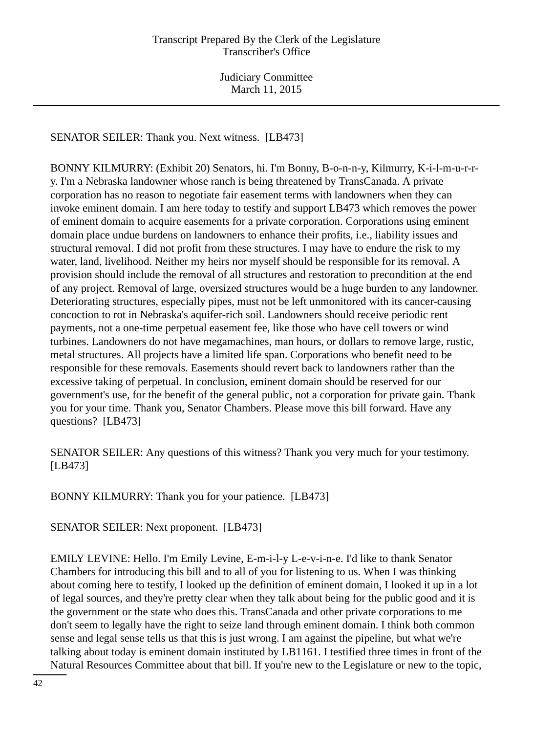SENATOR SEILER: Thank you. Next witness. [LB473]

BONNY KILMURRY: (Exhibit 20) Senators, hi. I'm Bonny, B-o-n-n-y, Kilmurry, K-i-l-m-u-r-ry. I'm a Nebraska landowner whose ranch is being threatened by TransCanada. A private corporation has no reason to negotiate fair easement terms with landowners when they can invoke eminent domain. I am here today to testify and support LB473 which removes the power of eminent domain to acquire easements for a private corporation. Corporations using eminent domain place undue burdens on landowners to enhance their profits, i.e., liability issues and structural removal. I did not profit from these structures. I may have to endure the risk to my water, land, livelihood. Neither my heirs nor myself should be responsible for its removal. A provision should include the removal of all structures and restoration to precondition at the end of any project. Removal of large, oversized structures would be a huge burden to any landowner. Deteriorating structures, especially pipes, must not be left unmonitored with its cancer-causing concoction to rot in Nebraska's aquifer-rich soil. Landowners should receive periodic rent payments, not a one-time perpetual easement fee, like those who have cell towers or wind turbines. Landowners do not have megamachines, man hours, or dollars to remove large, rustic, metal structures. All projects have a limited life span. Corporations who benefit need to be responsible for these removals. Easements should revert back to landowners rather than the excessive taking of perpetual. In conclusion, eminent domain should be reserved for our government's use, for the benefit of the general public, not a corporation for private gain. Thank you for your time. Thank you, Senator Chambers. Please move this bill forward. Have any questions? [LB473]

SENATOR SEILER: Any questions of this witness? Thank you very much for your testimony. [LB473]

BONNY KILMURRY: Thank you for your patience. [LB473]

SENATOR SEILER: Next proponent. [LB473]

EMILY LEVINE: Hello. I'm Emily Levine, E-m-i-l-y L-e-v-i-n-e. I'd like to thank Senator Chambers for introducing this bill and to all of you for listening to us. When I was thinking about coming here to testify, I looked up the definition of eminent domain, I looked it up in a lot of legal sources, and they're pretty clear when they talk about being for the public good and it is the government or the state who does this. TransCanada and other private corporations to me don't seem to legally have the right to seize land through eminent domain. I think both common sense and legal sense tells us that this is just wrong. I am against the pipeline, but what we're talking about today is eminent domain instituted by LB1161. I testified three times in front of the Natural Resources Committee about that bill. If you're new to the Legislature or new to the topic,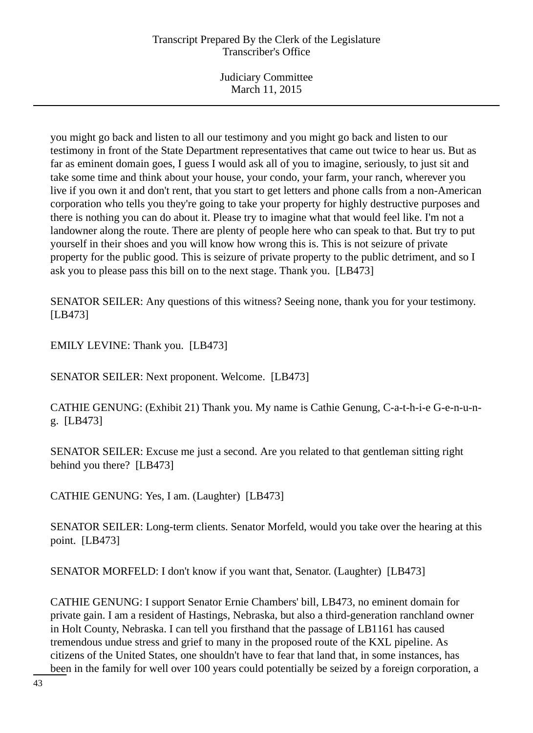Judiciary Committee March 11, 2015

you might go back and listen to all our testimony and you might go back and listen to our testimony in front of the State Department representatives that came out twice to hear us. But as far as eminent domain goes, I guess I would ask all of you to imagine, seriously, to just sit and take some time and think about your house, your condo, your farm, your ranch, wherever you live if you own it and don't rent, that you start to get letters and phone calls from a non-American corporation who tells you they're going to take your property for highly destructive purposes and there is nothing you can do about it. Please try to imagine what that would feel like. I'm not a landowner along the route. There are plenty of people here who can speak to that. But try to put yourself in their shoes and you will know how wrong this is. This is not seizure of private property for the public good. This is seizure of private property to the public detriment, and so I ask you to please pass this bill on to the next stage. Thank you. [LB473]

SENATOR SEILER: Any questions of this witness? Seeing none, thank you for your testimony. [LB473]

EMILY LEVINE: Thank you. [LB473]

SENATOR SEILER: Next proponent. Welcome. [LB473]

CATHIE GENUNG: (Exhibit 21) Thank you. My name is Cathie Genung, C-a-t-h-i-e G-e-n-u-ng. [LB473]

SENATOR SEILER: Excuse me just a second. Are you related to that gentleman sitting right behind you there? [LB473]

CATHIE GENUNG: Yes, I am. (Laughter) [LB473]

SENATOR SEILER: Long-term clients. Senator Morfeld, would you take over the hearing at this point. [LB473]

SENATOR MORFELD: I don't know if you want that, Senator. (Laughter) [LB473]

CATHIE GENUNG: I support Senator Ernie Chambers' bill, LB473, no eminent domain for private gain. I am a resident of Hastings, Nebraska, but also a third-generation ranchland owner in Holt County, Nebraska. I can tell you firsthand that the passage of LB1161 has caused tremendous undue stress and grief to many in the proposed route of the KXL pipeline. As citizens of the United States, one shouldn't have to fear that land that, in some instances, has been in the family for well over 100 years could potentially be seized by a foreign corporation, a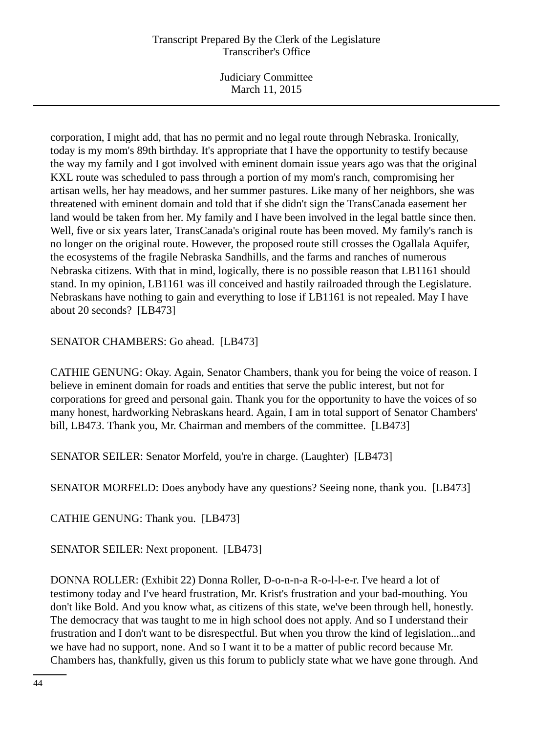Judiciary Committee March 11, 2015

corporation, I might add, that has no permit and no legal route through Nebraska. Ironically, today is my mom's 89th birthday. It's appropriate that I have the opportunity to testify because the way my family and I got involved with eminent domain issue years ago was that the original KXL route was scheduled to pass through a portion of my mom's ranch, compromising her artisan wells, her hay meadows, and her summer pastures. Like many of her neighbors, she was threatened with eminent domain and told that if she didn't sign the TransCanada easement her land would be taken from her. My family and I have been involved in the legal battle since then. Well, five or six years later, TransCanada's original route has been moved. My family's ranch is no longer on the original route. However, the proposed route still crosses the Ogallala Aquifer, the ecosystems of the fragile Nebraska Sandhills, and the farms and ranches of numerous Nebraska citizens. With that in mind, logically, there is no possible reason that LB1161 should stand. In my opinion, LB1161 was ill conceived and hastily railroaded through the Legislature. Nebraskans have nothing to gain and everything to lose if LB1161 is not repealed. May I have about 20 seconds? [LB473]

SENATOR CHAMBERS: Go ahead. [LB473]

CATHIE GENUNG: Okay. Again, Senator Chambers, thank you for being the voice of reason. I believe in eminent domain for roads and entities that serve the public interest, but not for corporations for greed and personal gain. Thank you for the opportunity to have the voices of so many honest, hardworking Nebraskans heard. Again, I am in total support of Senator Chambers' bill, LB473. Thank you, Mr. Chairman and members of the committee. [LB473]

SENATOR SEILER: Senator Morfeld, you're in charge. (Laughter) [LB473]

SENATOR MORFELD: Does anybody have any questions? Seeing none, thank you. [LB473]

CATHIE GENUNG: Thank you. [LB473]

SENATOR SEILER: Next proponent. [LB473]

DONNA ROLLER: (Exhibit 22) Donna Roller, D-o-n-n-a R-o-l-l-e-r. I've heard a lot of testimony today and I've heard frustration, Mr. Krist's frustration and your bad-mouthing. You don't like Bold. And you know what, as citizens of this state, we've been through hell, honestly. The democracy that was taught to me in high school does not apply. And so I understand their frustration and I don't want to be disrespectful. But when you throw the kind of legislation...and we have had no support, none. And so I want it to be a matter of public record because Mr. Chambers has, thankfully, given us this forum to publicly state what we have gone through. And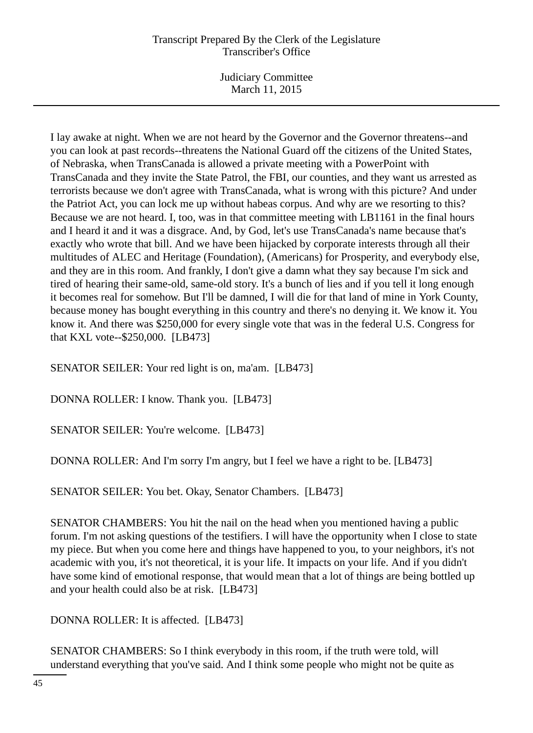Judiciary Committee March 11, 2015

I lay awake at night. When we are not heard by the Governor and the Governor threatens--and you can look at past records--threatens the National Guard off the citizens of the United States, of Nebraska, when TransCanada is allowed a private meeting with a PowerPoint with TransCanada and they invite the State Patrol, the FBI, our counties, and they want us arrested as terrorists because we don't agree with TransCanada, what is wrong with this picture? And under the Patriot Act, you can lock me up without habeas corpus. And why are we resorting to this? Because we are not heard. I, too, was in that committee meeting with LB1161 in the final hours and I heard it and it was a disgrace. And, by God, let's use TransCanada's name because that's exactly who wrote that bill. And we have been hijacked by corporate interests through all their multitudes of ALEC and Heritage (Foundation), (Americans) for Prosperity, and everybody else, and they are in this room. And frankly, I don't give a damn what they say because I'm sick and tired of hearing their same-old, same-old story. It's a bunch of lies and if you tell it long enough it becomes real for somehow. But I'll be damned, I will die for that land of mine in York County, because money has bought everything in this country and there's no denying it. We know it. You know it. And there was \$250,000 for every single vote that was in the federal U.S. Congress for that KXL vote--\$250,000. [LB473]

SENATOR SEILER: Your red light is on, ma'am. [LB473]

DONNA ROLLER: I know. Thank you. [LB473]

SENATOR SEILER: You're welcome. [LB473]

DONNA ROLLER: And I'm sorry I'm angry, but I feel we have a right to be. [LB473]

SENATOR SEILER: You bet. Okay, Senator Chambers. [LB473]

SENATOR CHAMBERS: You hit the nail on the head when you mentioned having a public forum. I'm not asking questions of the testifiers. I will have the opportunity when I close to state my piece. But when you come here and things have happened to you, to your neighbors, it's not academic with you, it's not theoretical, it is your life. It impacts on your life. And if you didn't have some kind of emotional response, that would mean that a lot of things are being bottled up and your health could also be at risk. [LB473]

DONNA ROLLER: It is affected. [LB473]

SENATOR CHAMBERS: So I think everybody in this room, if the truth were told, will understand everything that you've said. And I think some people who might not be quite as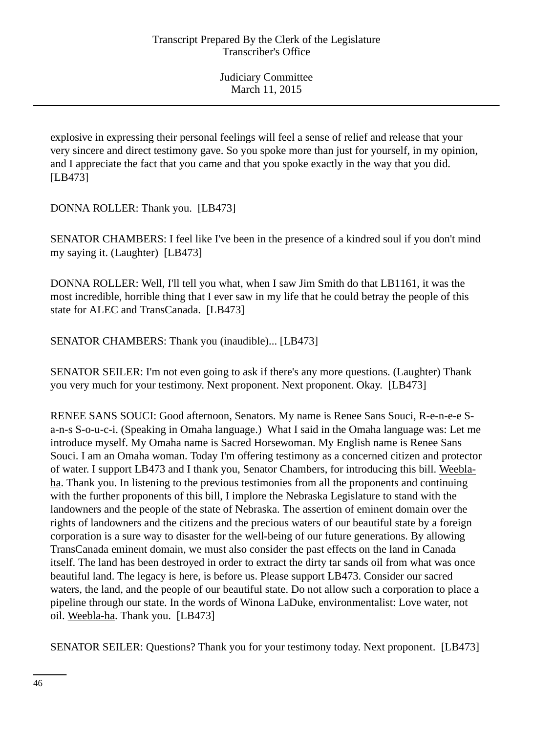explosive in expressing their personal feelings will feel a sense of relief and release that your very sincere and direct testimony gave. So you spoke more than just for yourself, in my opinion, and I appreciate the fact that you came and that you spoke exactly in the way that you did. [LB473]

DONNA ROLLER: Thank you. [LB473]

SENATOR CHAMBERS: I feel like I've been in the presence of a kindred soul if you don't mind my saying it. (Laughter) [LB473]

DONNA ROLLER: Well, I'll tell you what, when I saw Jim Smith do that LB1161, it was the most incredible, horrible thing that I ever saw in my life that he could betray the people of this state for ALEC and TransCanada. [LB473]

SENATOR CHAMBERS: Thank you (inaudible)... [LB473]

SENATOR SEILER: I'm not even going to ask if there's any more questions. (Laughter) Thank you very much for your testimony. Next proponent. Next proponent. Okay. [LB473]

RENEE SANS SOUCI: Good afternoon, Senators. My name is Renee Sans Souci, R-e-n-e-e Sa-n-s S-o-u-c-i. (Speaking in Omaha language.) What I said in the Omaha language was: Let me introduce myself. My Omaha name is Sacred Horsewoman. My English name is Renee Sans Souci. I am an Omaha woman. Today I'm offering testimony as a concerned citizen and protector of water. I support LB473 and I thank you, Senator Chambers, for introducing this bill. Weeblaha. Thank you. In listening to the previous testimonies from all the proponents and continuing with the further proponents of this bill, I implore the Nebraska Legislature to stand with the landowners and the people of the state of Nebraska. The assertion of eminent domain over the rights of landowners and the citizens and the precious waters of our beautiful state by a foreign corporation is a sure way to disaster for the well-being of our future generations. By allowing TransCanada eminent domain, we must also consider the past effects on the land in Canada itself. The land has been destroyed in order to extract the dirty tar sands oil from what was once beautiful land. The legacy is here, is before us. Please support LB473. Consider our sacred waters, the land, and the people of our beautiful state. Do not allow such a corporation to place a pipeline through our state. In the words of Winona LaDuke, environmentalist: Love water, not oil. Weebla-ha. Thank you. [LB473]

SENATOR SEILER: Questions? Thank you for your testimony today. Next proponent. [LB473]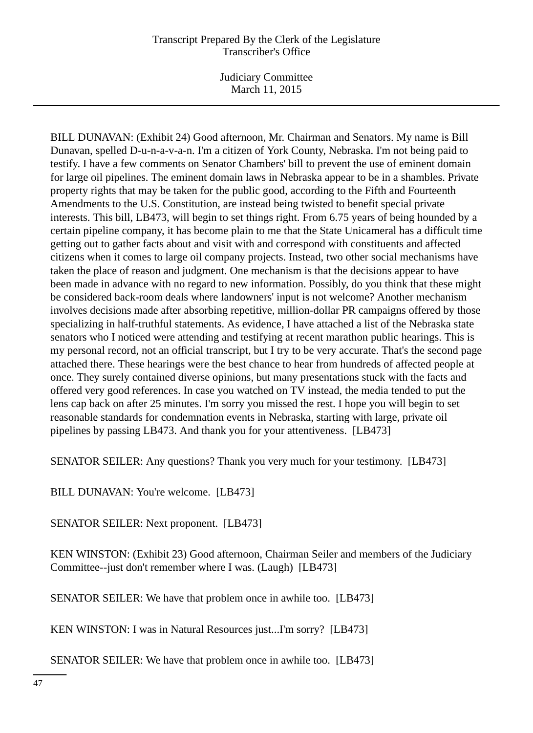Judiciary Committee March 11, 2015

BILL DUNAVAN: (Exhibit 24) Good afternoon, Mr. Chairman and Senators. My name is Bill Dunavan, spelled D-u-n-a-v-a-n. I'm a citizen of York County, Nebraska. I'm not being paid to testify. I have a few comments on Senator Chambers' bill to prevent the use of eminent domain for large oil pipelines. The eminent domain laws in Nebraska appear to be in a shambles. Private property rights that may be taken for the public good, according to the Fifth and Fourteenth Amendments to the U.S. Constitution, are instead being twisted to benefit special private interests. This bill, LB473, will begin to set things right. From 6.75 years of being hounded by a certain pipeline company, it has become plain to me that the State Unicameral has a difficult time getting out to gather facts about and visit with and correspond with constituents and affected citizens when it comes to large oil company projects. Instead, two other social mechanisms have taken the place of reason and judgment. One mechanism is that the decisions appear to have been made in advance with no regard to new information. Possibly, do you think that these might be considered back-room deals where landowners' input is not welcome? Another mechanism involves decisions made after absorbing repetitive, million-dollar PR campaigns offered by those specializing in half-truthful statements. As evidence, I have attached a list of the Nebraska state senators who I noticed were attending and testifying at recent marathon public hearings. This is my personal record, not an official transcript, but I try to be very accurate. That's the second page attached there. These hearings were the best chance to hear from hundreds of affected people at once. They surely contained diverse opinions, but many presentations stuck with the facts and offered very good references. In case you watched on TV instead, the media tended to put the lens cap back on after 25 minutes. I'm sorry you missed the rest. I hope you will begin to set reasonable standards for condemnation events in Nebraska, starting with large, private oil pipelines by passing LB473. And thank you for your attentiveness. [LB473]

SENATOR SEILER: Any questions? Thank you very much for your testimony. [LB473]

BILL DUNAVAN: You're welcome. [LB473]

SENATOR SEILER: Next proponent. [LB473]

KEN WINSTON: (Exhibit 23) Good afternoon, Chairman Seiler and members of the Judiciary Committee--just don't remember where I was. (Laugh) [LB473]

SENATOR SEILER: We have that problem once in awhile too. [LB473]

KEN WINSTON: I was in Natural Resources just...I'm sorry? [LB473]

SENATOR SEILER: We have that problem once in awhile too. [LB473]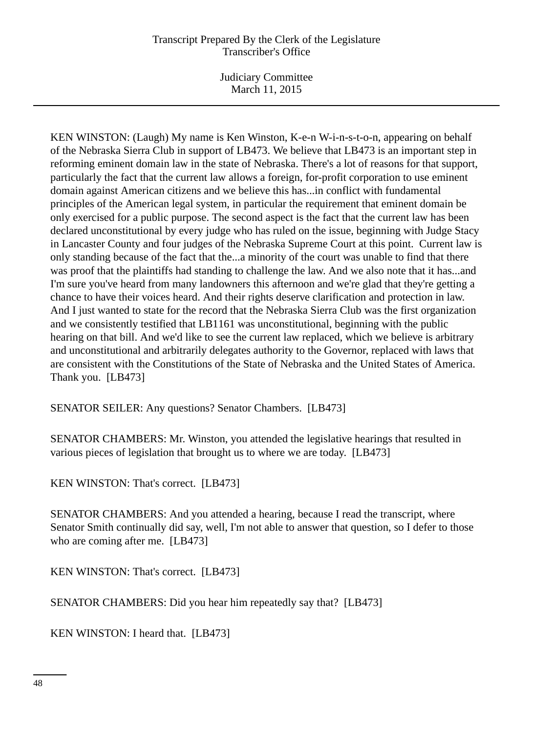Judiciary Committee March 11, 2015

KEN WINSTON: (Laugh) My name is Ken Winston, K-e-n W-i-n-s-t-o-n, appearing on behalf of the Nebraska Sierra Club in support of LB473. We believe that LB473 is an important step in reforming eminent domain law in the state of Nebraska. There's a lot of reasons for that support, particularly the fact that the current law allows a foreign, for-profit corporation to use eminent domain against American citizens and we believe this has...in conflict with fundamental principles of the American legal system, in particular the requirement that eminent domain be only exercised for a public purpose. The second aspect is the fact that the current law has been declared unconstitutional by every judge who has ruled on the issue, beginning with Judge Stacy in Lancaster County and four judges of the Nebraska Supreme Court at this point. Current law is only standing because of the fact that the...a minority of the court was unable to find that there was proof that the plaintiffs had standing to challenge the law. And we also note that it has...and I'm sure you've heard from many landowners this afternoon and we're glad that they're getting a chance to have their voices heard. And their rights deserve clarification and protection in law. And I just wanted to state for the record that the Nebraska Sierra Club was the first organization and we consistently testified that LB1161 was unconstitutional, beginning with the public hearing on that bill. And we'd like to see the current law replaced, which we believe is arbitrary and unconstitutional and arbitrarily delegates authority to the Governor, replaced with laws that are consistent with the Constitutions of the State of Nebraska and the United States of America. Thank you. [LB473]

SENATOR SEILER: Any questions? Senator Chambers. [LB473]

SENATOR CHAMBERS: Mr. Winston, you attended the legislative hearings that resulted in various pieces of legislation that brought us to where we are today. [LB473]

KEN WINSTON: That's correct. [LB473]

SENATOR CHAMBERS: And you attended a hearing, because I read the transcript, where Senator Smith continually did say, well, I'm not able to answer that question, so I defer to those who are coming after me. [LB473]

KEN WINSTON: That's correct. [LB473]

SENATOR CHAMBERS: Did you hear him repeatedly say that? [LB473]

KEN WINSTON: I heard that. [LB473]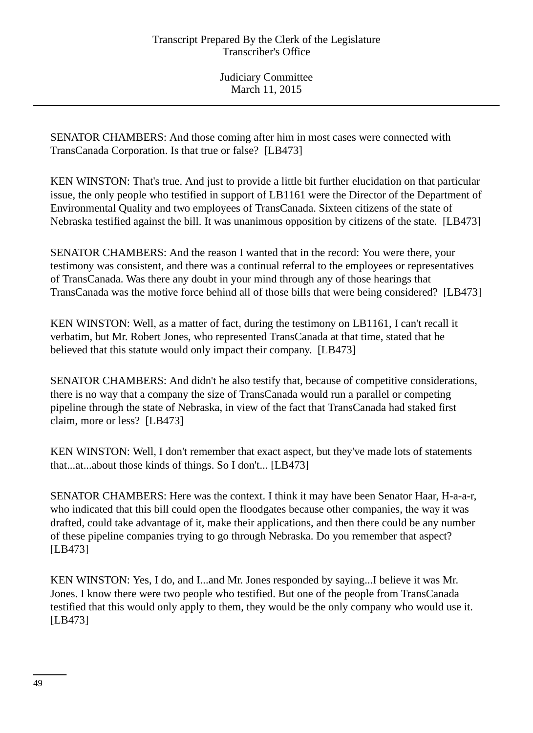SENATOR CHAMBERS: And those coming after him in most cases were connected with TransCanada Corporation. Is that true or false? [LB473]

KEN WINSTON: That's true. And just to provide a little bit further elucidation on that particular issue, the only people who testified in support of LB1161 were the Director of the Department of Environmental Quality and two employees of TransCanada. Sixteen citizens of the state of Nebraska testified against the bill. It was unanimous opposition by citizens of the state. [LB473]

SENATOR CHAMBERS: And the reason I wanted that in the record: You were there, your testimony was consistent, and there was a continual referral to the employees or representatives of TransCanada. Was there any doubt in your mind through any of those hearings that TransCanada was the motive force behind all of those bills that were being considered? [LB473]

KEN WINSTON: Well, as a matter of fact, during the testimony on LB1161, I can't recall it verbatim, but Mr. Robert Jones, who represented TransCanada at that time, stated that he believed that this statute would only impact their company. [LB473]

SENATOR CHAMBERS: And didn't he also testify that, because of competitive considerations, there is no way that a company the size of TransCanada would run a parallel or competing pipeline through the state of Nebraska, in view of the fact that TransCanada had staked first claim, more or less? [LB473]

KEN WINSTON: Well, I don't remember that exact aspect, but they've made lots of statements that...at...about those kinds of things. So I don't... [LB473]

SENATOR CHAMBERS: Here was the context. I think it may have been Senator Haar, H-a-a-r, who indicated that this bill could open the floodgates because other companies, the way it was drafted, could take advantage of it, make their applications, and then there could be any number of these pipeline companies trying to go through Nebraska. Do you remember that aspect? [LB473]

KEN WINSTON: Yes, I do, and I...and Mr. Jones responded by saying...I believe it was Mr. Jones. I know there were two people who testified. But one of the people from TransCanada testified that this would only apply to them, they would be the only company who would use it. [LB473]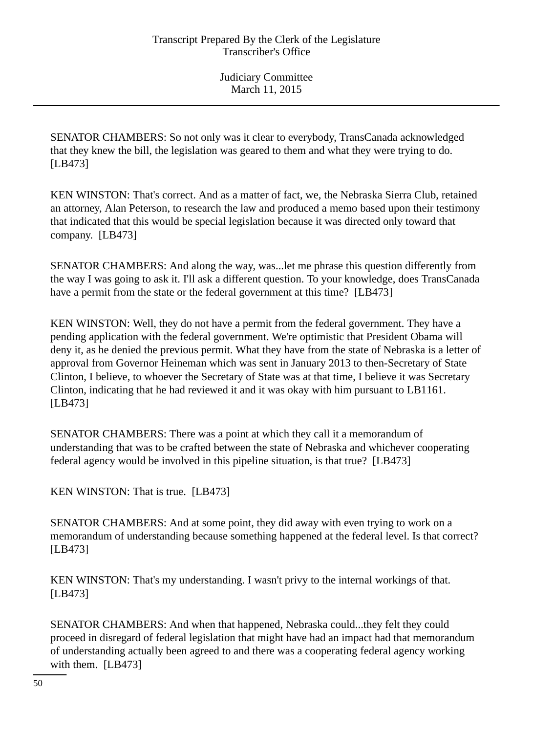SENATOR CHAMBERS: So not only was it clear to everybody, TransCanada acknowledged that they knew the bill, the legislation was geared to them and what they were trying to do. [LB473]

KEN WINSTON: That's correct. And as a matter of fact, we, the Nebraska Sierra Club, retained an attorney, Alan Peterson, to research the law and produced a memo based upon their testimony that indicated that this would be special legislation because it was directed only toward that company. [LB473]

SENATOR CHAMBERS: And along the way, was...let me phrase this question differently from the way I was going to ask it. I'll ask a different question. To your knowledge, does TransCanada have a permit from the state or the federal government at this time? [LB473]

KEN WINSTON: Well, they do not have a permit from the federal government. They have a pending application with the federal government. We're optimistic that President Obama will deny it, as he denied the previous permit. What they have from the state of Nebraska is a letter of approval from Governor Heineman which was sent in January 2013 to then-Secretary of State Clinton, I believe, to whoever the Secretary of State was at that time, I believe it was Secretary Clinton, indicating that he had reviewed it and it was okay with him pursuant to LB1161. [LB473]

SENATOR CHAMBERS: There was a point at which they call it a memorandum of understanding that was to be crafted between the state of Nebraska and whichever cooperating federal agency would be involved in this pipeline situation, is that true? [LB473]

KEN WINSTON: That is true. [LB473]

SENATOR CHAMBERS: And at some point, they did away with even trying to work on a memorandum of understanding because something happened at the federal level. Is that correct? [LB473]

KEN WINSTON: That's my understanding. I wasn't privy to the internal workings of that. [LB473]

SENATOR CHAMBERS: And when that happened, Nebraska could...they felt they could proceed in disregard of federal legislation that might have had an impact had that memorandum of understanding actually been agreed to and there was a cooperating federal agency working with them. [LB473]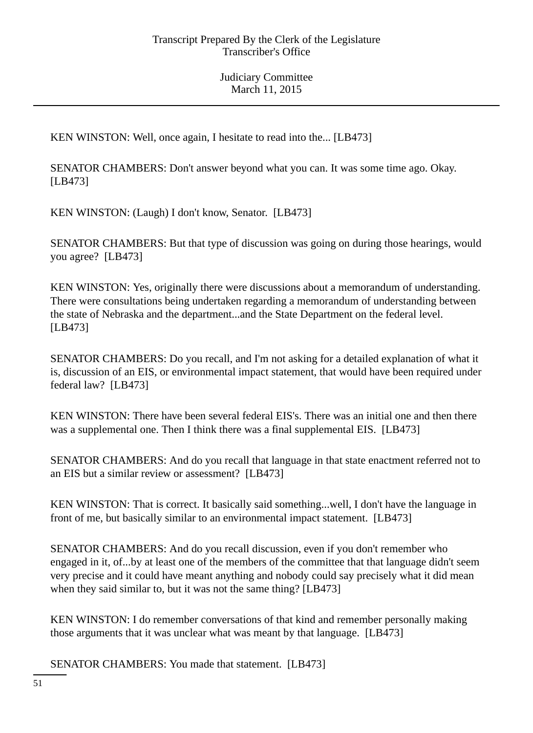KEN WINSTON: Well, once again, I hesitate to read into the... [LB473]

SENATOR CHAMBERS: Don't answer beyond what you can. It was some time ago. Okay. [LB473]

KEN WINSTON: (Laugh) I don't know, Senator. [LB473]

SENATOR CHAMBERS: But that type of discussion was going on during those hearings, would you agree? [LB473]

KEN WINSTON: Yes, originally there were discussions about a memorandum of understanding. There were consultations being undertaken regarding a memorandum of understanding between the state of Nebraska and the department...and the State Department on the federal level. [LB473]

SENATOR CHAMBERS: Do you recall, and I'm not asking for a detailed explanation of what it is, discussion of an EIS, or environmental impact statement, that would have been required under federal law? [LB473]

KEN WINSTON: There have been several federal EIS's. There was an initial one and then there was a supplemental one. Then I think there was a final supplemental EIS. [LB473]

SENATOR CHAMBERS: And do you recall that language in that state enactment referred not to an EIS but a similar review or assessment? [LB473]

KEN WINSTON: That is correct. It basically said something...well, I don't have the language in front of me, but basically similar to an environmental impact statement. [LB473]

SENATOR CHAMBERS: And do you recall discussion, even if you don't remember who engaged in it, of...by at least one of the members of the committee that that language didn't seem very precise and it could have meant anything and nobody could say precisely what it did mean when they said similar to, but it was not the same thing? [LB473]

KEN WINSTON: I do remember conversations of that kind and remember personally making those arguments that it was unclear what was meant by that language. [LB473]

SENATOR CHAMBERS: You made that statement. [LB473]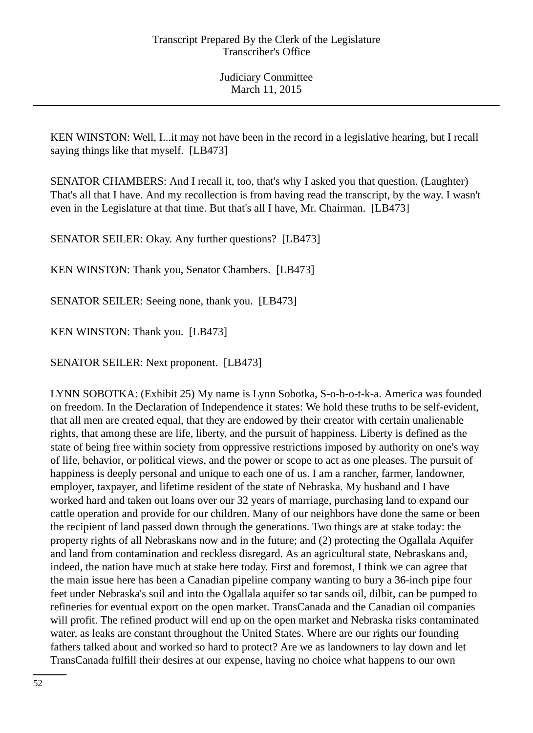KEN WINSTON: Well, I...it may not have been in the record in a legislative hearing, but I recall saying things like that myself. [LB473]

SENATOR CHAMBERS: And I recall it, too, that's why I asked you that question. (Laughter) That's all that I have. And my recollection is from having read the transcript, by the way. I wasn't even in the Legislature at that time. But that's all I have, Mr. Chairman. [LB473]

SENATOR SEILER: Okay. Any further questions? [LB473]

KEN WINSTON: Thank you, Senator Chambers. [LB473]

SENATOR SEILER: Seeing none, thank you. [LB473]

KEN WINSTON: Thank you. [LB473]

SENATOR SEILER: Next proponent. [LB473]

LYNN SOBOTKA: (Exhibit 25) My name is Lynn Sobotka, S-o-b-o-t-k-a. America was founded on freedom. In the Declaration of Independence it states: We hold these truths to be self-evident, that all men are created equal, that they are endowed by their creator with certain unalienable rights, that among these are life, liberty, and the pursuit of happiness. Liberty is defined as the state of being free within society from oppressive restrictions imposed by authority on one's way of life, behavior, or political views, and the power or scope to act as one pleases. The pursuit of happiness is deeply personal and unique to each one of us. I am a rancher, farmer, landowner, employer, taxpayer, and lifetime resident of the state of Nebraska. My husband and I have worked hard and taken out loans over our 32 years of marriage, purchasing land to expand our cattle operation and provide for our children. Many of our neighbors have done the same or been the recipient of land passed down through the generations. Two things are at stake today: the property rights of all Nebraskans now and in the future; and (2) protecting the Ogallala Aquifer and land from contamination and reckless disregard. As an agricultural state, Nebraskans and, indeed, the nation have much at stake here today. First and foremost, I think we can agree that the main issue here has been a Canadian pipeline company wanting to bury a 36-inch pipe four feet under Nebraska's soil and into the Ogallala aquifer so tar sands oil, dilbit, can be pumped to refineries for eventual export on the open market. TransCanada and the Canadian oil companies will profit. The refined product will end up on the open market and Nebraska risks contaminated water, as leaks are constant throughout the United States. Where are our rights our founding fathers talked about and worked so hard to protect? Are we as landowners to lay down and let TransCanada fulfill their desires at our expense, having no choice what happens to our own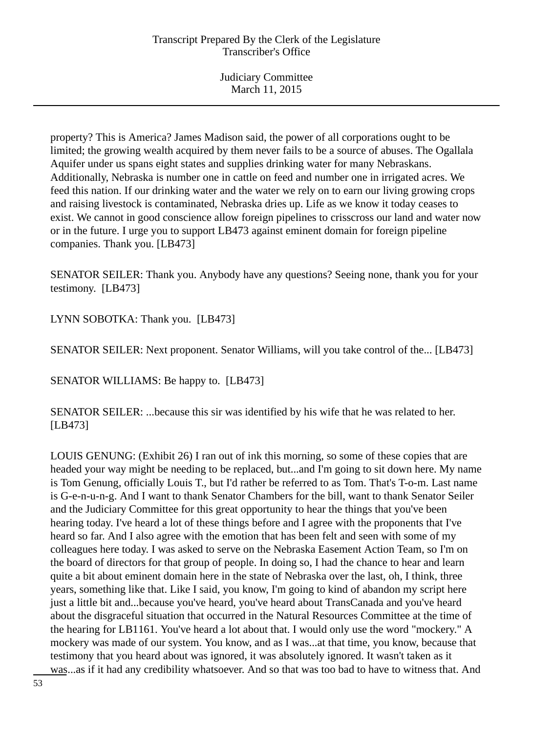property? This is America? James Madison said, the power of all corporations ought to be limited; the growing wealth acquired by them never fails to be a source of abuses. The Ogallala Aquifer under us spans eight states and supplies drinking water for many Nebraskans. Additionally, Nebraska is number one in cattle on feed and number one in irrigated acres. We feed this nation. If our drinking water and the water we rely on to earn our living growing crops and raising livestock is contaminated, Nebraska dries up. Life as we know it today ceases to exist. We cannot in good conscience allow foreign pipelines to crisscross our land and water now or in the future. I urge you to support LB473 against eminent domain for foreign pipeline companies. Thank you. [LB473]

SENATOR SEILER: Thank you. Anybody have any questions? Seeing none, thank you for your testimony. [LB473]

LYNN SOBOTKA: Thank you. [LB473]

SENATOR SEILER: Next proponent. Senator Williams, will you take control of the... [LB473]

SENATOR WILLIAMS: Be happy to. [LB473]

SENATOR SEILER: ...because this sir was identified by his wife that he was related to her. [LB473]

LOUIS GENUNG: (Exhibit 26) I ran out of ink this morning, so some of these copies that are headed your way might be needing to be replaced, but...and I'm going to sit down here. My name is Tom Genung, officially Louis T., but I'd rather be referred to as Tom. That's T-o-m. Last name is G-e-n-u-n-g. And I want to thank Senator Chambers for the bill, want to thank Senator Seiler and the Judiciary Committee for this great opportunity to hear the things that you've been hearing today. I've heard a lot of these things before and I agree with the proponents that I've heard so far. And I also agree with the emotion that has been felt and seen with some of my colleagues here today. I was asked to serve on the Nebraska Easement Action Team, so I'm on the board of directors for that group of people. In doing so, I had the chance to hear and learn quite a bit about eminent domain here in the state of Nebraska over the last, oh, I think, three years, something like that. Like I said, you know, I'm going to kind of abandon my script here just a little bit and...because you've heard, you've heard about TransCanada and you've heard about the disgraceful situation that occurred in the Natural Resources Committee at the time of the hearing for LB1161. You've heard a lot about that. I would only use the word "mockery." A mockery was made of our system. You know, and as I was...at that time, you know, because that testimony that you heard about was ignored, it was absolutely ignored. It wasn't taken as it was...as if it had any credibility whatsoever. And so that was too bad to have to witness that. And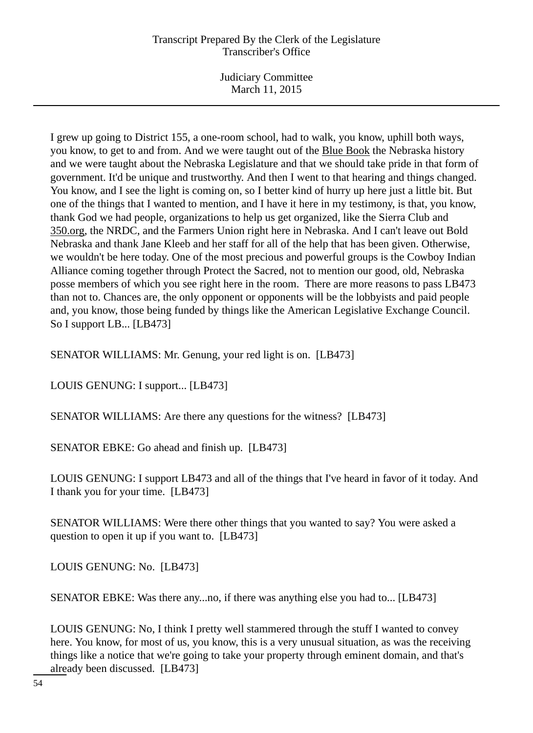Judiciary Committee March 11, 2015

I grew up going to District 155, a one-room school, had to walk, you know, uphill both ways, you know, to get to and from. And we were taught out of the Blue Book the Nebraska history and we were taught about the Nebraska Legislature and that we should take pride in that form of government. It'd be unique and trustworthy. And then I went to that hearing and things changed. You know, and I see the light is coming on, so I better kind of hurry up here just a little bit. But one of the things that I wanted to mention, and I have it here in my testimony, is that, you know, thank God we had people, organizations to help us get organized, like the Sierra Club and 350.org, the NRDC, and the Farmers Union right here in Nebraska. And I can't leave out Bold Nebraska and thank Jane Kleeb and her staff for all of the help that has been given. Otherwise, we wouldn't be here today. One of the most precious and powerful groups is the Cowboy Indian Alliance coming together through Protect the Sacred, not to mention our good, old, Nebraska posse members of which you see right here in the room. There are more reasons to pass LB473 than not to. Chances are, the only opponent or opponents will be the lobbyists and paid people and, you know, those being funded by things like the American Legislative Exchange Council. So I support LB... [LB473]

SENATOR WILLIAMS: Mr. Genung, your red light is on. [LB473]

LOUIS GENUNG: I support... [LB473]

SENATOR WILLIAMS: Are there any questions for the witness? [LB473]

SENATOR EBKE: Go ahead and finish up. [LB473]

LOUIS GENUNG: I support LB473 and all of the things that I've heard in favor of it today. And I thank you for your time. [LB473]

SENATOR WILLIAMS: Were there other things that you wanted to say? You were asked a question to open it up if you want to. [LB473]

LOUIS GENUNG: No. [LB473]

SENATOR EBKE: Was there any...no, if there was anything else you had to... [LB473]

LOUIS GENUNG: No, I think I pretty well stammered through the stuff I wanted to convey here. You know, for most of us, you know, this is a very unusual situation, as was the receiving things like a notice that we're going to take your property through eminent domain, and that's already been discussed. [LB473]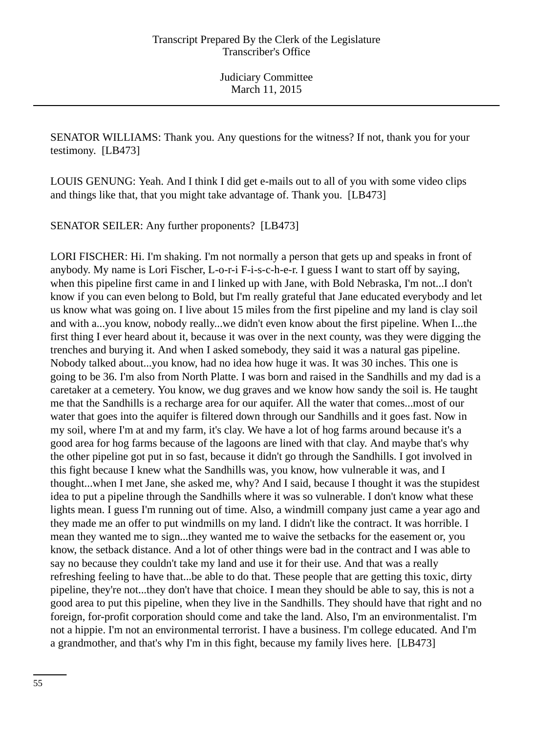SENATOR WILLIAMS: Thank you. Any questions for the witness? If not, thank you for your testimony. [LB473]

LOUIS GENUNG: Yeah. And I think I did get e-mails out to all of you with some video clips and things like that, that you might take advantage of. Thank you. [LB473]

SENATOR SEILER: Any further proponents? [LB473]

LORI FISCHER: Hi. I'm shaking. I'm not normally a person that gets up and speaks in front of anybody. My name is Lori Fischer, L-o-r-i F-i-s-c-h-e-r. I guess I want to start off by saying, when this pipeline first came in and I linked up with Jane, with Bold Nebraska, I'm not...I don't know if you can even belong to Bold, but I'm really grateful that Jane educated everybody and let us know what was going on. I live about 15 miles from the first pipeline and my land is clay soil and with a...you know, nobody really...we didn't even know about the first pipeline. When I...the first thing I ever heard about it, because it was over in the next county, was they were digging the trenches and burying it. And when I asked somebody, they said it was a natural gas pipeline. Nobody talked about...you know, had no idea how huge it was. It was 30 inches. This one is going to be 36. I'm also from North Platte. I was born and raised in the Sandhills and my dad is a caretaker at a cemetery. You know, we dug graves and we know how sandy the soil is. He taught me that the Sandhills is a recharge area for our aquifer. All the water that comes...most of our water that goes into the aquifer is filtered down through our Sandhills and it goes fast. Now in my soil, where I'm at and my farm, it's clay. We have a lot of hog farms around because it's a good area for hog farms because of the lagoons are lined with that clay. And maybe that's why the other pipeline got put in so fast, because it didn't go through the Sandhills. I got involved in this fight because I knew what the Sandhills was, you know, how vulnerable it was, and I thought...when I met Jane, she asked me, why? And I said, because I thought it was the stupidest idea to put a pipeline through the Sandhills where it was so vulnerable. I don't know what these lights mean. I guess I'm running out of time. Also, a windmill company just came a year ago and they made me an offer to put windmills on my land. I didn't like the contract. It was horrible. I mean they wanted me to sign...they wanted me to waive the setbacks for the easement or, you know, the setback distance. And a lot of other things were bad in the contract and I was able to say no because they couldn't take my land and use it for their use. And that was a really refreshing feeling to have that...be able to do that. These people that are getting this toxic, dirty pipeline, they're not...they don't have that choice. I mean they should be able to say, this is not a good area to put this pipeline, when they live in the Sandhills. They should have that right and no foreign, for-profit corporation should come and take the land. Also, I'm an environmentalist. I'm not a hippie. I'm not an environmental terrorist. I have a business. I'm college educated. And I'm a grandmother, and that's why I'm in this fight, because my family lives here. [LB473]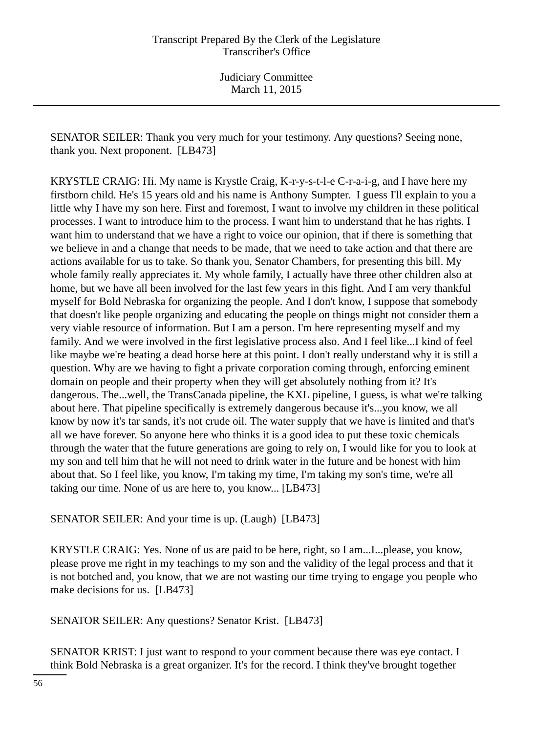SENATOR SEILER: Thank you very much for your testimony. Any questions? Seeing none, thank you. Next proponent. [LB473]

KRYSTLE CRAIG: Hi. My name is Krystle Craig, K-r-y-s-t-l-e C-r-a-i-g, and I have here my firstborn child. He's 15 years old and his name is Anthony Sumpter. I guess I'll explain to you a little why I have my son here. First and foremost, I want to involve my children in these political processes. I want to introduce him to the process. I want him to understand that he has rights. I want him to understand that we have a right to voice our opinion, that if there is something that we believe in and a change that needs to be made, that we need to take action and that there are actions available for us to take. So thank you, Senator Chambers, for presenting this bill. My whole family really appreciates it. My whole family, I actually have three other children also at home, but we have all been involved for the last few years in this fight. And I am very thankful myself for Bold Nebraska for organizing the people. And I don't know, I suppose that somebody that doesn't like people organizing and educating the people on things might not consider them a very viable resource of information. But I am a person. I'm here representing myself and my family. And we were involved in the first legislative process also. And I feel like...I kind of feel like maybe we're beating a dead horse here at this point. I don't really understand why it is still a question. Why are we having to fight a private corporation coming through, enforcing eminent domain on people and their property when they will get absolutely nothing from it? It's dangerous. The...well, the TransCanada pipeline, the KXL pipeline, I guess, is what we're talking about here. That pipeline specifically is extremely dangerous because it's...you know, we all know by now it's tar sands, it's not crude oil. The water supply that we have is limited and that's all we have forever. So anyone here who thinks it is a good idea to put these toxic chemicals through the water that the future generations are going to rely on, I would like for you to look at my son and tell him that he will not need to drink water in the future and be honest with him about that. So I feel like, you know, I'm taking my time, I'm taking my son's time, we're all taking our time. None of us are here to, you know... [LB473]

SENATOR SEILER: And your time is up. (Laugh) [LB473]

KRYSTLE CRAIG: Yes. None of us are paid to be here, right, so I am...I...please, you know, please prove me right in my teachings to my son and the validity of the legal process and that it is not botched and, you know, that we are not wasting our time trying to engage you people who make decisions for us. [LB473]

SENATOR SEILER: Any questions? Senator Krist. [LB473]

SENATOR KRIST: I just want to respond to your comment because there was eye contact. I think Bold Nebraska is a great organizer. It's for the record. I think they've brought together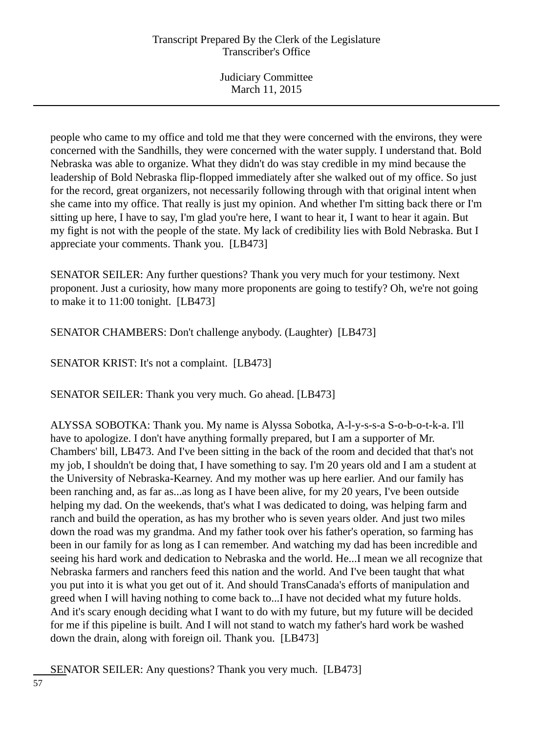Judiciary Committee March 11, 2015

people who came to my office and told me that they were concerned with the environs, they were concerned with the Sandhills, they were concerned with the water supply. I understand that. Bold Nebraska was able to organize. What they didn't do was stay credible in my mind because the leadership of Bold Nebraska flip-flopped immediately after she walked out of my office. So just for the record, great organizers, not necessarily following through with that original intent when she came into my office. That really is just my opinion. And whether I'm sitting back there or I'm sitting up here, I have to say, I'm glad you're here, I want to hear it, I want to hear it again. But my fight is not with the people of the state. My lack of credibility lies with Bold Nebraska. But I appreciate your comments. Thank you. [LB473]

SENATOR SEILER: Any further questions? Thank you very much for your testimony. Next proponent. Just a curiosity, how many more proponents are going to testify? Oh, we're not going to make it to 11:00 tonight. [LB473]

SENATOR CHAMBERS: Don't challenge anybody. (Laughter) [LB473]

SENATOR KRIST: It's not a complaint. [LB473]

SENATOR SEILER: Thank you very much. Go ahead. [LB473]

ALYSSA SOBOTKA: Thank you. My name is Alyssa Sobotka, A-l-y-s-s-a S-o-b-o-t-k-a. I'll have to apologize. I don't have anything formally prepared, but I am a supporter of Mr. Chambers' bill, LB473. And I've been sitting in the back of the room and decided that that's not my job, I shouldn't be doing that, I have something to say. I'm 20 years old and I am a student at the University of Nebraska-Kearney. And my mother was up here earlier. And our family has been ranching and, as far as...as long as I have been alive, for my 20 years, I've been outside helping my dad. On the weekends, that's what I was dedicated to doing, was helping farm and ranch and build the operation, as has my brother who is seven years older. And just two miles down the road was my grandma. And my father took over his father's operation, so farming has been in our family for as long as I can remember. And watching my dad has been incredible and seeing his hard work and dedication to Nebraska and the world. He...I mean we all recognize that Nebraska farmers and ranchers feed this nation and the world. And I've been taught that what you put into it is what you get out of it. And should TransCanada's efforts of manipulation and greed when I will having nothing to come back to...I have not decided what my future holds. And it's scary enough deciding what I want to do with my future, but my future will be decided for me if this pipeline is built. And I will not stand to watch my father's hard work be washed down the drain, along with foreign oil. Thank you. [LB473]

SENATOR SEILER: Any questions? Thank you very much. [LB473]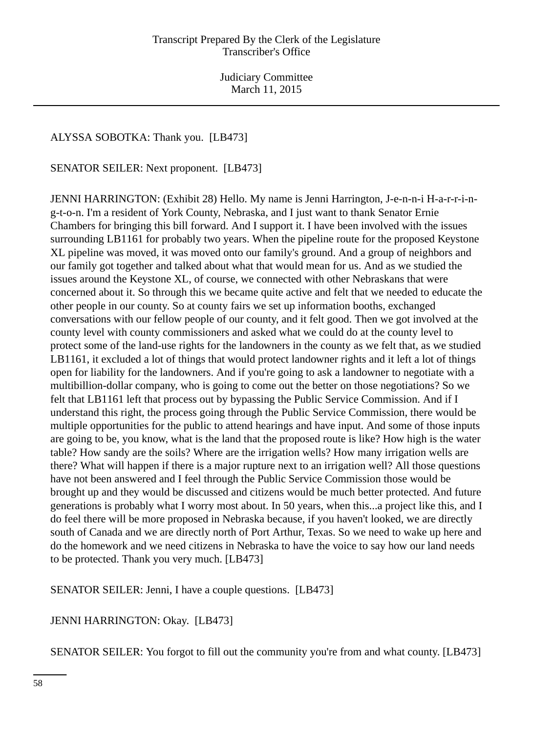## ALYSSA SOBOTKA: Thank you. [LB473]

SENATOR SEILER: Next proponent. [LB473]

JENNI HARRINGTON: (Exhibit 28) Hello. My name is Jenni Harrington, J-e-n-n-i H-a-r-r-i-ng-t-o-n. I'm a resident of York County, Nebraska, and I just want to thank Senator Ernie Chambers for bringing this bill forward. And I support it. I have been involved with the issues surrounding LB1161 for probably two years. When the pipeline route for the proposed Keystone XL pipeline was moved, it was moved onto our family's ground. And a group of neighbors and our family got together and talked about what that would mean for us. And as we studied the issues around the Keystone XL, of course, we connected with other Nebraskans that were concerned about it. So through this we became quite active and felt that we needed to educate the other people in our county. So at county fairs we set up information booths, exchanged conversations with our fellow people of our county, and it felt good. Then we got involved at the county level with county commissioners and asked what we could do at the county level to protect some of the land-use rights for the landowners in the county as we felt that, as we studied LB1161, it excluded a lot of things that would protect landowner rights and it left a lot of things open for liability for the landowners. And if you're going to ask a landowner to negotiate with a multibillion-dollar company, who is going to come out the better on those negotiations? So we felt that LB1161 left that process out by bypassing the Public Service Commission. And if I understand this right, the process going through the Public Service Commission, there would be multiple opportunities for the public to attend hearings and have input. And some of those inputs are going to be, you know, what is the land that the proposed route is like? How high is the water table? How sandy are the soils? Where are the irrigation wells? How many irrigation wells are there? What will happen if there is a major rupture next to an irrigation well? All those questions have not been answered and I feel through the Public Service Commission those would be brought up and they would be discussed and citizens would be much better protected. And future generations is probably what I worry most about. In 50 years, when this...a project like this, and I do feel there will be more proposed in Nebraska because, if you haven't looked, we are directly south of Canada and we are directly north of Port Arthur, Texas. So we need to wake up here and do the homework and we need citizens in Nebraska to have the voice to say how our land needs to be protected. Thank you very much. [LB473]

SENATOR SEILER: Jenni, I have a couple questions. [LB473]

JENNI HARRINGTON: Okay. [LB473]

SENATOR SEILER: You forgot to fill out the community you're from and what county. [LB473]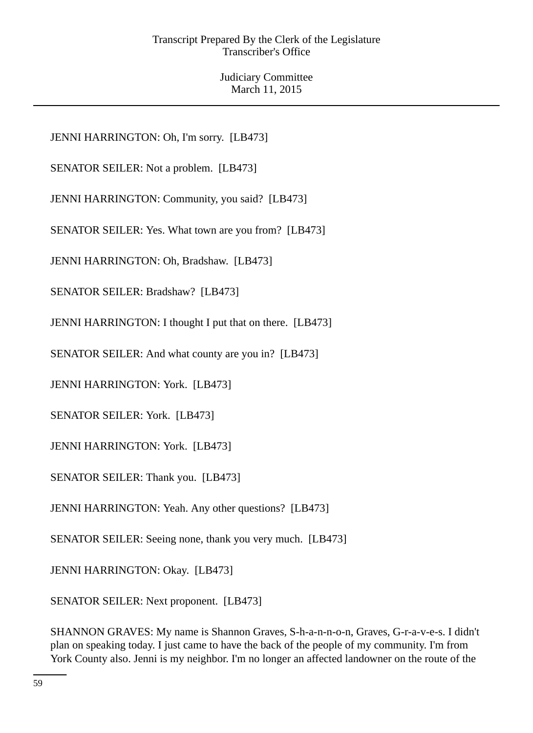JENNI HARRINGTON: Oh, I'm sorry. [LB473]

SENATOR SEILER: Not a problem. [LB473]

JENNI HARRINGTON: Community, you said? [LB473]

SENATOR SEILER: Yes. What town are you from? [LB473]

JENNI HARRINGTON: Oh, Bradshaw. [LB473]

SENATOR SEILER: Bradshaw? [LB473]

JENNI HARRINGTON: I thought I put that on there. [LB473]

SENATOR SEILER: And what county are you in? [LB473]

JENNI HARRINGTON: York. [LB473]

SENATOR SEILER: York. [LB473]

JENNI HARRINGTON: York. [LB473]

SENATOR SEILER: Thank you. [LB473]

JENNI HARRINGTON: Yeah. Any other questions? [LB473]

SENATOR SEILER: Seeing none, thank you very much. [LB473]

JENNI HARRINGTON: Okay. [LB473]

SENATOR SEILER: Next proponent. [LB473]

SHANNON GRAVES: My name is Shannon Graves, S-h-a-n-n-o-n, Graves, G-r-a-v-e-s. I didn't plan on speaking today. I just came to have the back of the people of my community. I'm from York County also. Jenni is my neighbor. I'm no longer an affected landowner on the route of the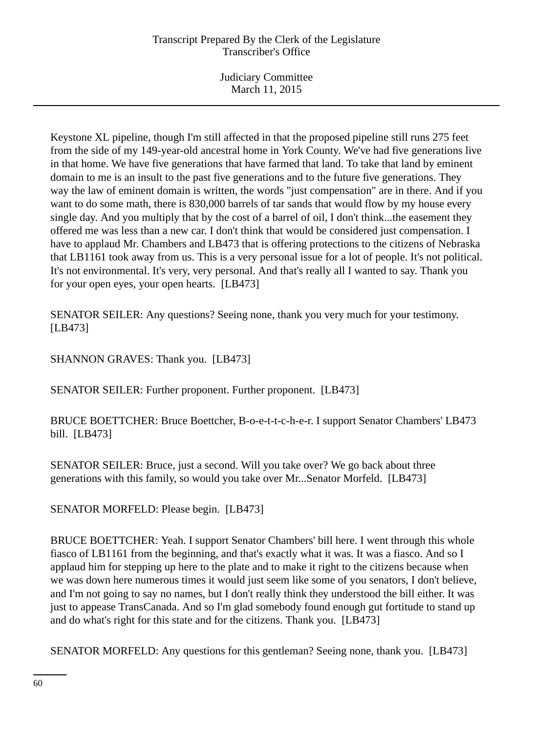Keystone XL pipeline, though I'm still affected in that the proposed pipeline still runs 275 feet from the side of my 149-year-old ancestral home in York County. We've had five generations live in that home. We have five generations that have farmed that land. To take that land by eminent domain to me is an insult to the past five generations and to the future five generations. They way the law of eminent domain is written, the words "just compensation" are in there. And if you want to do some math, there is 830,000 barrels of tar sands that would flow by my house every single day. And you multiply that by the cost of a barrel of oil, I don't think...the easement they offered me was less than a new car. I don't think that would be considered just compensation. I have to applaud Mr. Chambers and LB473 that is offering protections to the citizens of Nebraska that LB1161 took away from us. This is a very personal issue for a lot of people. It's not political. It's not environmental. It's very, very personal. And that's really all I wanted to say. Thank you for your open eyes, your open hearts. [LB473]

SENATOR SEILER: Any questions? Seeing none, thank you very much for your testimony. [LB473]

SHANNON GRAVES: Thank you. [LB473]

SENATOR SEILER: Further proponent. Further proponent. [LB473]

BRUCE BOETTCHER: Bruce Boettcher, B-o-e-t-t-c-h-e-r. I support Senator Chambers' LB473 bill. [LB473]

SENATOR SEILER: Bruce, just a second. Will you take over? We go back about three generations with this family, so would you take over Mr...Senator Morfeld. [LB473]

SENATOR MORFELD: Please begin. [LB473]

BRUCE BOETTCHER: Yeah. I support Senator Chambers' bill here. I went through this whole fiasco of LB1161 from the beginning, and that's exactly what it was. It was a fiasco. And so I applaud him for stepping up here to the plate and to make it right to the citizens because when we was down here numerous times it would just seem like some of you senators, I don't believe, and I'm not going to say no names, but I don't really think they understood the bill either. It was just to appease TransCanada. And so I'm glad somebody found enough gut fortitude to stand up and do what's right for this state and for the citizens. Thank you. [LB473]

SENATOR MORFELD: Any questions for this gentleman? Seeing none, thank you. [LB473]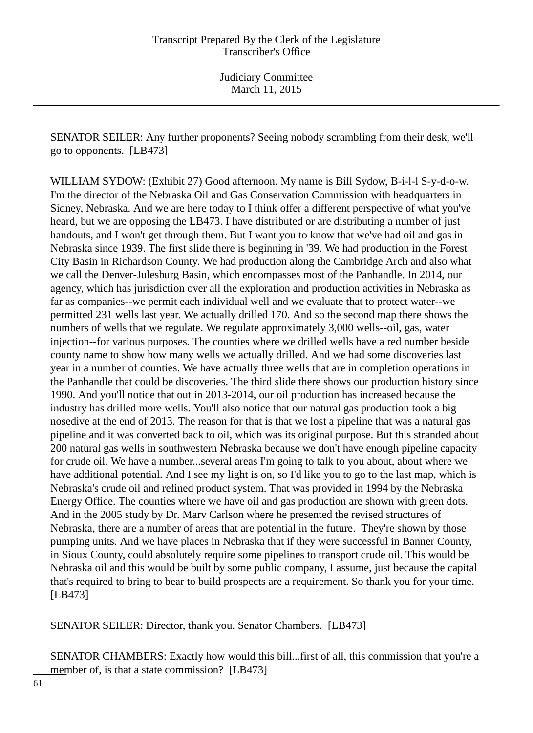SENATOR SEILER: Any further proponents? Seeing nobody scrambling from their desk, we'll go to opponents. [LB473]

WILLIAM SYDOW: (Exhibit 27) Good afternoon. My name is Bill Sydow, B-i-l-l S-y-d-o-w. I'm the director of the Nebraska Oil and Gas Conservation Commission with headquarters in Sidney, Nebraska. And we are here today to I think offer a different perspective of what you've heard, but we are opposing the LB473. I have distributed or are distributing a number of just handouts, and I won't get through them. But I want you to know that we've had oil and gas in Nebraska since 1939. The first slide there is beginning in '39. We had production in the Forest City Basin in Richardson County. We had production along the Cambridge Arch and also what we call the Denver-Julesburg Basin, which encompasses most of the Panhandle. In 2014, our agency, which has jurisdiction over all the exploration and production activities in Nebraska as far as companies--we permit each individual well and we evaluate that to protect water--we permitted 231 wells last year. We actually drilled 170. And so the second map there shows the numbers of wells that we regulate. We regulate approximately 3,000 wells--oil, gas, water injection--for various purposes. The counties where we drilled wells have a red number beside county name to show how many wells we actually drilled. And we had some discoveries last year in a number of counties. We have actually three wells that are in completion operations in the Panhandle that could be discoveries. The third slide there shows our production history since 1990. And you'll notice that out in 2013-2014, our oil production has increased because the industry has drilled more wells. You'll also notice that our natural gas production took a big nosedive at the end of 2013. The reason for that is that we lost a pipeline that was a natural gas pipeline and it was converted back to oil, which was its original purpose. But this stranded about 200 natural gas wells in southwestern Nebraska because we don't have enough pipeline capacity for crude oil. We have a number...several areas I'm going to talk to you about, about where we have additional potential. And I see my light is on, so I'd like you to go to the last map, which is Nebraska's crude oil and refined product system. That was provided in 1994 by the Nebraska Energy Office. The counties where we have oil and gas production are shown with green dots. And in the 2005 study by Dr. Marv Carlson where he presented the revised structures of Nebraska, there are a number of areas that are potential in the future. They're shown by those pumping units. And we have places in Nebraska that if they were successful in Banner County, in Sioux County, could absolutely require some pipelines to transport crude oil. This would be Nebraska oil and this would be built by some public company, I assume, just because the capital that's required to bring to bear to build prospects are a requirement. So thank you for your time. [LB473]

SENATOR SEILER: Director, thank you. Senator Chambers. [LB473]

SENATOR CHAMBERS: Exactly how would this bill...first of all, this commission that you're a member of, is that a state commission? [LB473]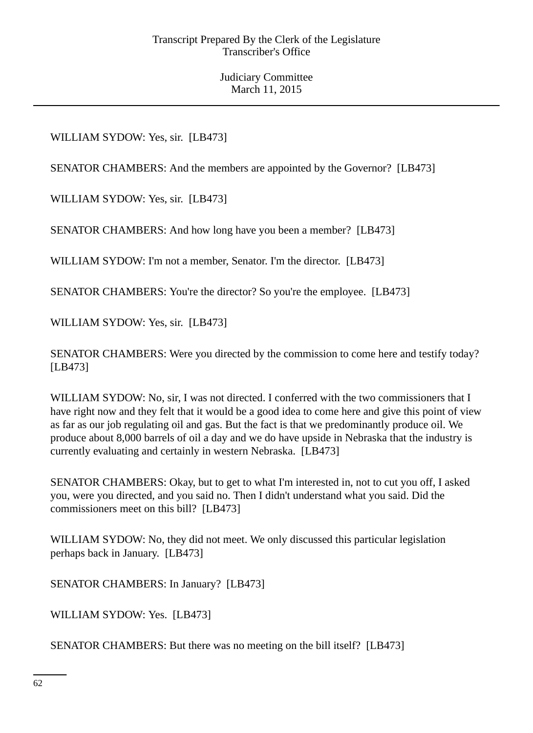# WILLIAM SYDOW: Yes, sir. [LB473]

SENATOR CHAMBERS: And the members are appointed by the Governor? [LB473]

WILLIAM SYDOW: Yes, sir. [LB473]

SENATOR CHAMBERS: And how long have you been a member? [LB473]

WILLIAM SYDOW: I'm not a member, Senator. I'm the director. [LB473]

SENATOR CHAMBERS: You're the director? So you're the employee. [LB473]

WILLIAM SYDOW: Yes, sir. [LB473]

SENATOR CHAMBERS: Were you directed by the commission to come here and testify today? [LB473]

WILLIAM SYDOW: No, sir, I was not directed. I conferred with the two commissioners that I have right now and they felt that it would be a good idea to come here and give this point of view as far as our job regulating oil and gas. But the fact is that we predominantly produce oil. We produce about 8,000 barrels of oil a day and we do have upside in Nebraska that the industry is currently evaluating and certainly in western Nebraska. [LB473]

SENATOR CHAMBERS: Okay, but to get to what I'm interested in, not to cut you off, I asked you, were you directed, and you said no. Then I didn't understand what you said. Did the commissioners meet on this bill? [LB473]

WILLIAM SYDOW: No, they did not meet. We only discussed this particular legislation perhaps back in January. [LB473]

SENATOR CHAMBERS: In January? [LB473]

WILLIAM SYDOW: Yes. [LB473]

SENATOR CHAMBERS: But there was no meeting on the bill itself? [LB473]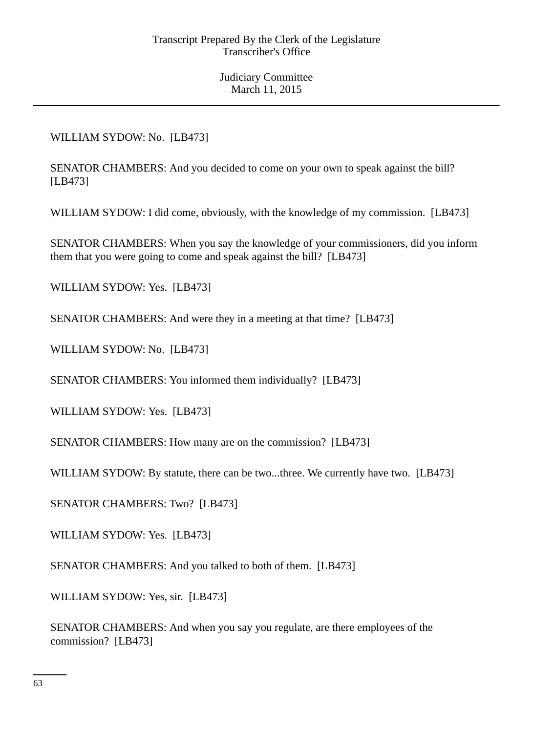# WILLIAM SYDOW: No. [LB473]

SENATOR CHAMBERS: And you decided to come on your own to speak against the bill? [LB473]

WILLIAM SYDOW: I did come, obviously, with the knowledge of my commission. [LB473]

SENATOR CHAMBERS: When you say the knowledge of your commissioners, did you inform them that you were going to come and speak against the bill? [LB473]

WILLIAM SYDOW: Yes. [LB473]

SENATOR CHAMBERS: And were they in a meeting at that time? [LB473]

WILLIAM SYDOW: No. [LB473]

SENATOR CHAMBERS: You informed them individually? [LB473]

WILLIAM SYDOW: Yes. [LB473]

SENATOR CHAMBERS: How many are on the commission? [LB473]

WILLIAM SYDOW: By statute, there can be two...three. We currently have two. [LB473]

SENATOR CHAMBERS: Two? [LB473]

WILLIAM SYDOW: Yes. [LB473]

SENATOR CHAMBERS: And you talked to both of them. [LB473]

WILLIAM SYDOW: Yes, sir. [LB473]

SENATOR CHAMBERS: And when you say you regulate, are there employees of the commission? [LB473]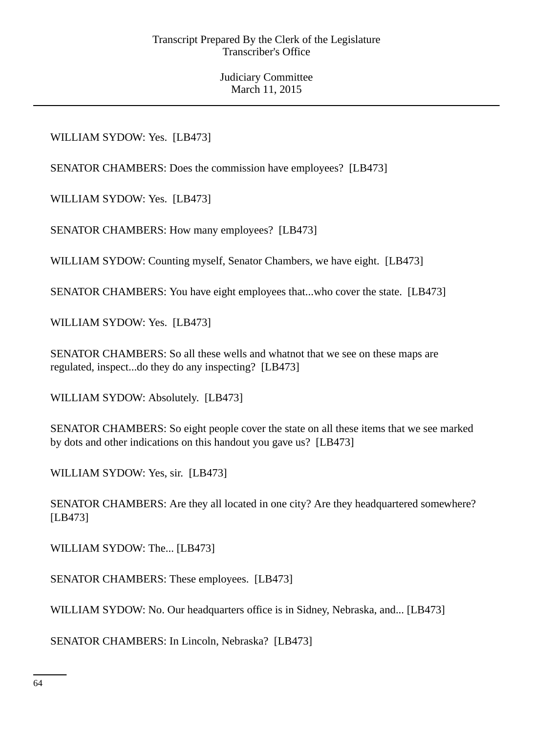## WILLIAM SYDOW: Yes. [LB473]

SENATOR CHAMBERS: Does the commission have employees? [LB473]

WILLIAM SYDOW: Yes. [LB473]

SENATOR CHAMBERS: How many employees? [LB473]

WILLIAM SYDOW: Counting myself, Senator Chambers, we have eight. [LB473]

SENATOR CHAMBERS: You have eight employees that...who cover the state. [LB473]

WILLIAM SYDOW: Yes. [LB473]

SENATOR CHAMBERS: So all these wells and whatnot that we see on these maps are regulated, inspect...do they do any inspecting? [LB473]

WILLIAM SYDOW: Absolutely. [LB473]

SENATOR CHAMBERS: So eight people cover the state on all these items that we see marked by dots and other indications on this handout you gave us? [LB473]

WILLIAM SYDOW: Yes, sir. [LB473]

SENATOR CHAMBERS: Are they all located in one city? Are they headquartered somewhere? [LB473]

WILLIAM SYDOW: The... [LB473]

SENATOR CHAMBERS: These employees. [LB473]

WILLIAM SYDOW: No. Our headquarters office is in Sidney, Nebraska, and... [LB473]

SENATOR CHAMBERS: In Lincoln, Nebraska? [LB473]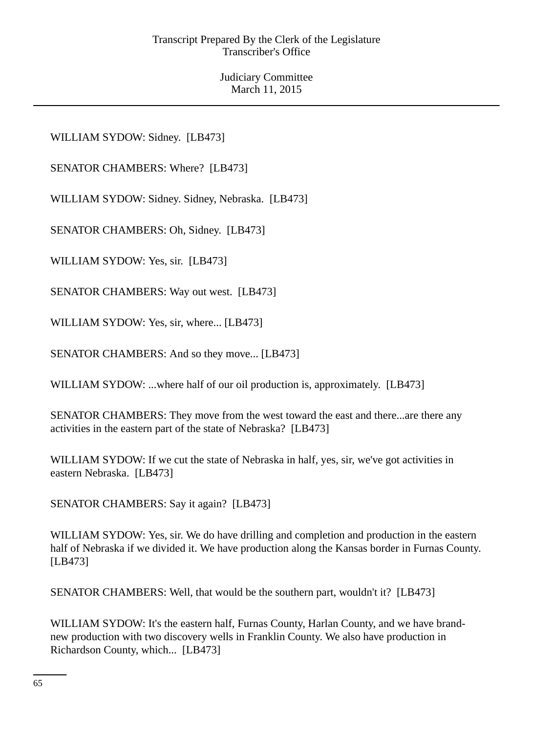WILLIAM SYDOW: Sidney. [LB473]

SENATOR CHAMBERS: Where? [LB473]

WILLIAM SYDOW: Sidney. Sidney, Nebraska. [LB473]

SENATOR CHAMBERS: Oh, Sidney. [LB473]

WILLIAM SYDOW: Yes, sir. [LB473]

SENATOR CHAMBERS: Way out west. [LB473]

WILLIAM SYDOW: Yes, sir, where... [LB473]

SENATOR CHAMBERS: And so they move... [LB473]

WILLIAM SYDOW: ...where half of our oil production is, approximately. [LB473]

SENATOR CHAMBERS: They move from the west toward the east and there...are there any activities in the eastern part of the state of Nebraska? [LB473]

WILLIAM SYDOW: If we cut the state of Nebraska in half, yes, sir, we've got activities in eastern Nebraska. [LB473]

SENATOR CHAMBERS: Say it again? [LB473]

WILLIAM SYDOW: Yes, sir. We do have drilling and completion and production in the eastern half of Nebraska if we divided it. We have production along the Kansas border in Furnas County. [LB473]

SENATOR CHAMBERS: Well, that would be the southern part, wouldn't it? [LB473]

WILLIAM SYDOW: It's the eastern half, Furnas County, Harlan County, and we have brandnew production with two discovery wells in Franklin County. We also have production in Richardson County, which... [LB473]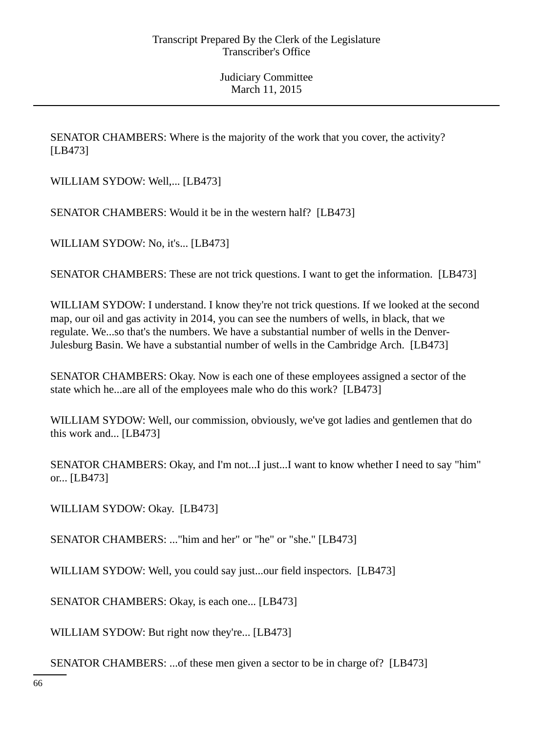SENATOR CHAMBERS: Where is the majority of the work that you cover, the activity? [LB473]

WILLIAM SYDOW: Well,... [LB473]

SENATOR CHAMBERS: Would it be in the western half? [LB473]

WILLIAM SYDOW: No, it's... [LB473]

SENATOR CHAMBERS: These are not trick questions. I want to get the information. [LB473]

WILLIAM SYDOW: I understand. I know they're not trick questions. If we looked at the second map, our oil and gas activity in 2014, you can see the numbers of wells, in black, that we regulate. We...so that's the numbers. We have a substantial number of wells in the Denver-Julesburg Basin. We have a substantial number of wells in the Cambridge Arch. [LB473]

SENATOR CHAMBERS: Okay. Now is each one of these employees assigned a sector of the state which he...are all of the employees male who do this work? [LB473]

WILLIAM SYDOW: Well, our commission, obviously, we've got ladies and gentlemen that do this work and... [LB473]

SENATOR CHAMBERS: Okay, and I'm not...I just...I want to know whether I need to say "him" or... [LB473]

WILLIAM SYDOW: Okay. [LB473]

SENATOR CHAMBERS: ..."him and her" or "he" or "she." [LB473]

WILLIAM SYDOW: Well, you could say just...our field inspectors. [LB473]

SENATOR CHAMBERS: Okay, is each one... [LB473]

WILLIAM SYDOW: But right now they're... [LB473]

SENATOR CHAMBERS: ...of these men given a sector to be in charge of? [LB473]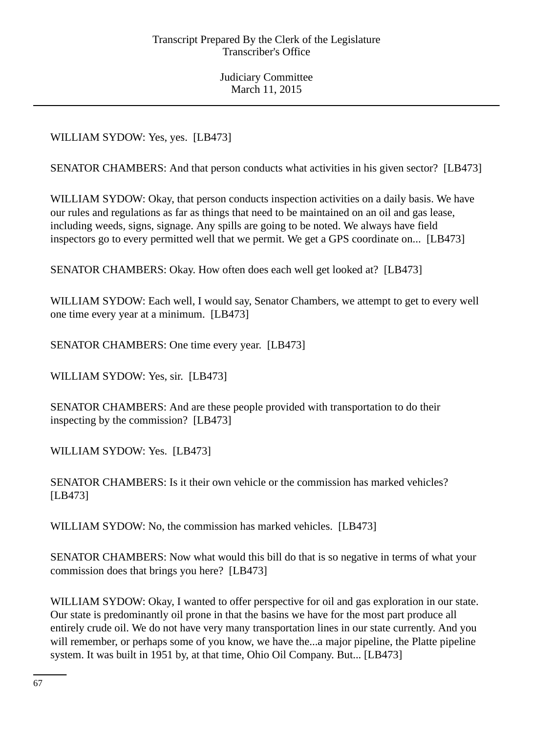WILLIAM SYDOW: Yes, yes. [LB473]

SENATOR CHAMBERS: And that person conducts what activities in his given sector? [LB473]

WILLIAM SYDOW: Okay, that person conducts inspection activities on a daily basis. We have our rules and regulations as far as things that need to be maintained on an oil and gas lease, including weeds, signs, signage. Any spills are going to be noted. We always have field inspectors go to every permitted well that we permit. We get a GPS coordinate on... [LB473]

SENATOR CHAMBERS: Okay. How often does each well get looked at? [LB473]

WILLIAM SYDOW: Each well, I would say, Senator Chambers, we attempt to get to every well one time every year at a minimum. [LB473]

SENATOR CHAMBERS: One time every year. [LB473]

WILLIAM SYDOW: Yes, sir. [LB473]

SENATOR CHAMBERS: And are these people provided with transportation to do their inspecting by the commission? [LB473]

WILLIAM SYDOW: Yes. [LB473]

SENATOR CHAMBERS: Is it their own vehicle or the commission has marked vehicles? [LB473]

WILLIAM SYDOW: No, the commission has marked vehicles. [LB473]

SENATOR CHAMBERS: Now what would this bill do that is so negative in terms of what your commission does that brings you here? [LB473]

WILLIAM SYDOW: Okay, I wanted to offer perspective for oil and gas exploration in our state. Our state is predominantly oil prone in that the basins we have for the most part produce all entirely crude oil. We do not have very many transportation lines in our state currently. And you will remember, or perhaps some of you know, we have the...a major pipeline, the Platte pipeline system. It was built in 1951 by, at that time, Ohio Oil Company. But... [LB473]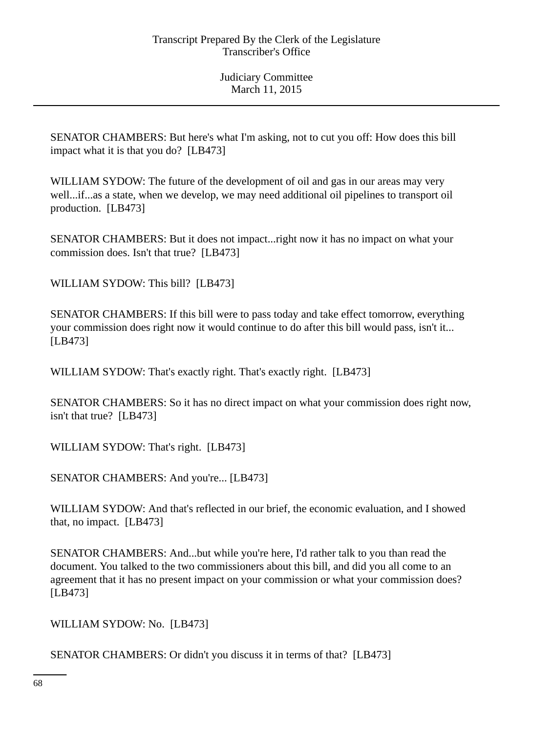SENATOR CHAMBERS: But here's what I'm asking, not to cut you off: How does this bill impact what it is that you do? [LB473]

WILLIAM SYDOW: The future of the development of oil and gas in our areas may very well...if...as a state, when we develop, we may need additional oil pipelines to transport oil production. [LB473]

SENATOR CHAMBERS: But it does not impact...right now it has no impact on what your commission does. Isn't that true? [LB473]

WILLIAM SYDOW: This bill? [LB473]

SENATOR CHAMBERS: If this bill were to pass today and take effect tomorrow, everything your commission does right now it would continue to do after this bill would pass, isn't it... [LB473]

WILLIAM SYDOW: That's exactly right. That's exactly right. [LB473]

SENATOR CHAMBERS: So it has no direct impact on what your commission does right now, isn't that true? [LB473]

WILLIAM SYDOW: That's right. [LB473]

SENATOR CHAMBERS: And you're... [LB473]

WILLIAM SYDOW: And that's reflected in our brief, the economic evaluation, and I showed that, no impact. [LB473]

SENATOR CHAMBERS: And...but while you're here, I'd rather talk to you than read the document. You talked to the two commissioners about this bill, and did you all come to an agreement that it has no present impact on your commission or what your commission does? [LB473]

WILLIAM SYDOW: No. [LB473]

SENATOR CHAMBERS: Or didn't you discuss it in terms of that? [LB473]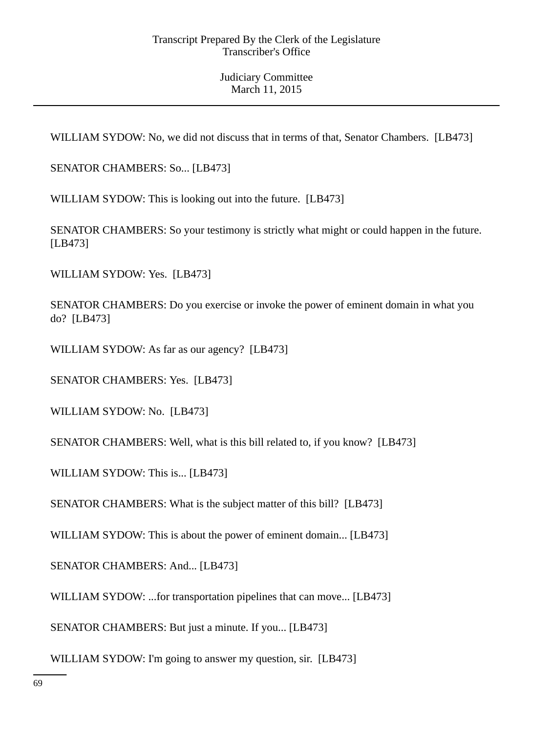WILLIAM SYDOW: No, we did not discuss that in terms of that, Senator Chambers. [LB473]

SENATOR CHAMBERS: So... [LB473]

WILLIAM SYDOW: This is looking out into the future. [LB473]

SENATOR CHAMBERS: So your testimony is strictly what might or could happen in the future. [LB473]

WILLIAM SYDOW: Yes. [LB473]

SENATOR CHAMBERS: Do you exercise or invoke the power of eminent domain in what you do? [LB473]

WILLIAM SYDOW: As far as our agency? [LB473]

SENATOR CHAMBERS: Yes. [LB473]

WILLIAM SYDOW: No. [LB473]

SENATOR CHAMBERS: Well, what is this bill related to, if you know? [LB473]

WILLIAM SYDOW: This is... [LB473]

SENATOR CHAMBERS: What is the subject matter of this bill? [LB473]

WILLIAM SYDOW: This is about the power of eminent domain... [LB473]

SENATOR CHAMBERS: And... [LB473]

WILLIAM SYDOW: ...for transportation pipelines that can move... [LB473]

SENATOR CHAMBERS: But just a minute. If you... [LB473]

WILLIAM SYDOW: I'm going to answer my question, sir. [LB473]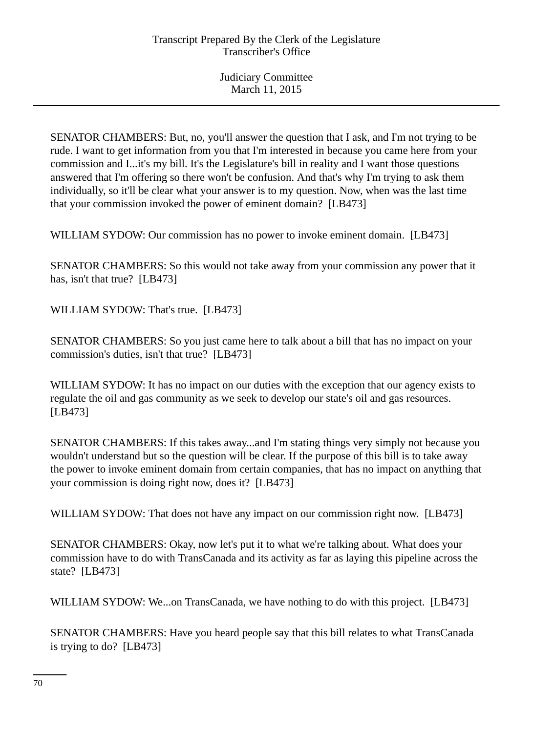SENATOR CHAMBERS: But, no, you'll answer the question that I ask, and I'm not trying to be rude. I want to get information from you that I'm interested in because you came here from your commission and I...it's my bill. It's the Legislature's bill in reality and I want those questions answered that I'm offering so there won't be confusion. And that's why I'm trying to ask them individually, so it'll be clear what your answer is to my question. Now, when was the last time that your commission invoked the power of eminent domain? [LB473]

WILLIAM SYDOW: Our commission has no power to invoke eminent domain. [LB473]

SENATOR CHAMBERS: So this would not take away from your commission any power that it has, isn't that true? [LB473]

WILLIAM SYDOW: That's true. [LB473]

SENATOR CHAMBERS: So you just came here to talk about a bill that has no impact on your commission's duties, isn't that true? [LB473]

WILLIAM SYDOW: It has no impact on our duties with the exception that our agency exists to regulate the oil and gas community as we seek to develop our state's oil and gas resources. [LB473]

SENATOR CHAMBERS: If this takes away...and I'm stating things very simply not because you wouldn't understand but so the question will be clear. If the purpose of this bill is to take away the power to invoke eminent domain from certain companies, that has no impact on anything that your commission is doing right now, does it? [LB473]

WILLIAM SYDOW: That does not have any impact on our commission right now. [LB473]

SENATOR CHAMBERS: Okay, now let's put it to what we're talking about. What does your commission have to do with TransCanada and its activity as far as laying this pipeline across the state? [LB473]

WILLIAM SYDOW: We...on TransCanada, we have nothing to do with this project. [LB473]

SENATOR CHAMBERS: Have you heard people say that this bill relates to what TransCanada is trying to do? [LB473]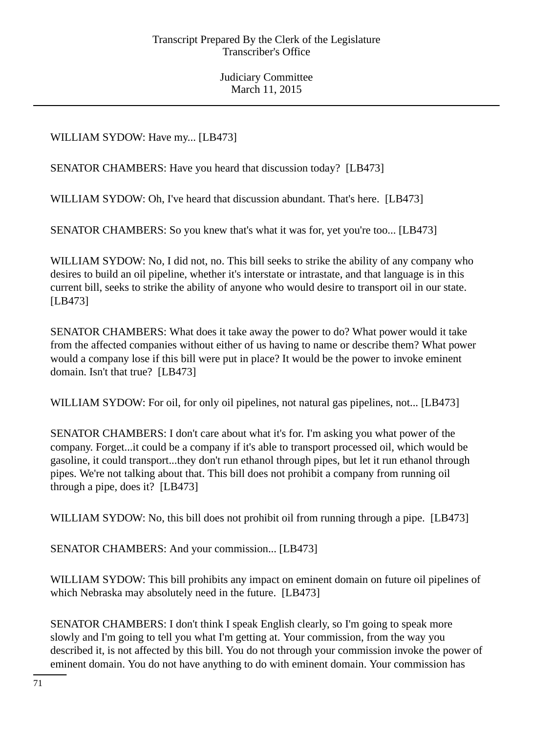WILLIAM SYDOW: Have my... [LB473]

SENATOR CHAMBERS: Have you heard that discussion today? [LB473]

WILLIAM SYDOW: Oh, I've heard that discussion abundant. That's here. [LB473]

SENATOR CHAMBERS: So you knew that's what it was for, yet you're too... [LB473]

WILLIAM SYDOW: No, I did not, no. This bill seeks to strike the ability of any company who desires to build an oil pipeline, whether it's interstate or intrastate, and that language is in this current bill, seeks to strike the ability of anyone who would desire to transport oil in our state. [LB473]

SENATOR CHAMBERS: What does it take away the power to do? What power would it take from the affected companies without either of us having to name or describe them? What power would a company lose if this bill were put in place? It would be the power to invoke eminent domain. Isn't that true? [LB473]

WILLIAM SYDOW: For oil, for only oil pipelines, not natural gas pipelines, not... [LB473]

SENATOR CHAMBERS: I don't care about what it's for. I'm asking you what power of the company. Forget...it could be a company if it's able to transport processed oil, which would be gasoline, it could transport...they don't run ethanol through pipes, but let it run ethanol through pipes. We're not talking about that. This bill does not prohibit a company from running oil through a pipe, does it? [LB473]

WILLIAM SYDOW: No, this bill does not prohibit oil from running through a pipe. [LB473]

SENATOR CHAMBERS: And your commission... [LB473]

WILLIAM SYDOW: This bill prohibits any impact on eminent domain on future oil pipelines of which Nebraska may absolutely need in the future. [LB473]

SENATOR CHAMBERS: I don't think I speak English clearly, so I'm going to speak more slowly and I'm going to tell you what I'm getting at. Your commission, from the way you described it, is not affected by this bill. You do not through your commission invoke the power of eminent domain. You do not have anything to do with eminent domain. Your commission has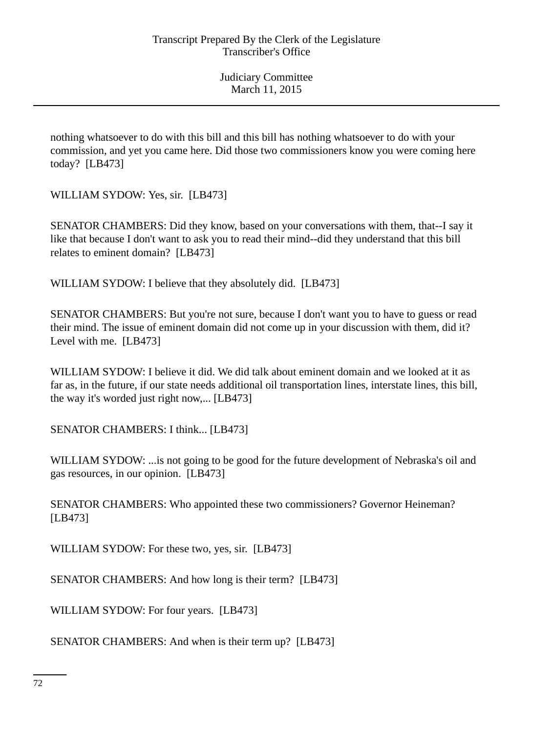nothing whatsoever to do with this bill and this bill has nothing whatsoever to do with your commission, and yet you came here. Did those two commissioners know you were coming here today? [LB473]

WILLIAM SYDOW: Yes, sir. [LB473]

SENATOR CHAMBERS: Did they know, based on your conversations with them, that--I say it like that because I don't want to ask you to read their mind--did they understand that this bill relates to eminent domain? [LB473]

WILLIAM SYDOW: I believe that they absolutely did. [LB473]

SENATOR CHAMBERS: But you're not sure, because I don't want you to have to guess or read their mind. The issue of eminent domain did not come up in your discussion with them, did it? Level with me. [LB473]

WILLIAM SYDOW: I believe it did. We did talk about eminent domain and we looked at it as far as, in the future, if our state needs additional oil transportation lines, interstate lines, this bill, the way it's worded just right now,... [LB473]

SENATOR CHAMBERS: I think... [LB473]

WILLIAM SYDOW: ...is not going to be good for the future development of Nebraska's oil and gas resources, in our opinion. [LB473]

SENATOR CHAMBERS: Who appointed these two commissioners? Governor Heineman? [LB473]

WILLIAM SYDOW: For these two, yes, sir. [LB473]

SENATOR CHAMBERS: And how long is their term? [LB473]

WILLIAM SYDOW: For four years. [LB473]

SENATOR CHAMBERS: And when is their term up? [LB473]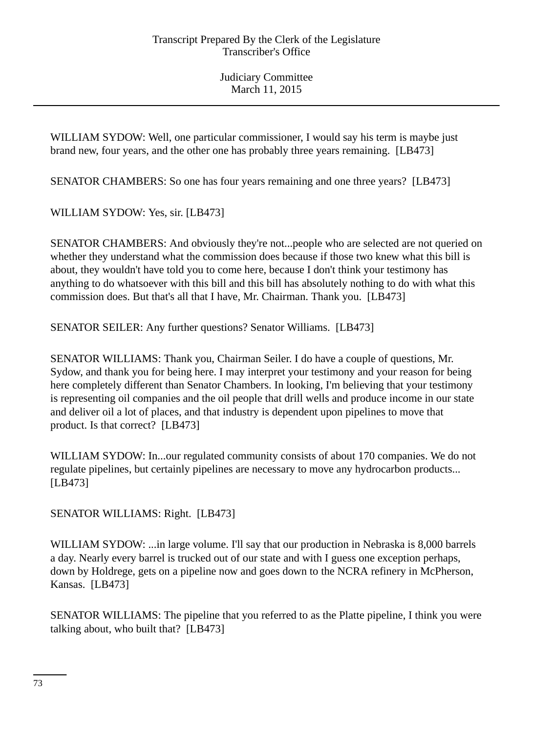WILLIAM SYDOW: Well, one particular commissioner, I would say his term is maybe just brand new, four years, and the other one has probably three years remaining. [LB473]

SENATOR CHAMBERS: So one has four years remaining and one three years? [LB473]

WILLIAM SYDOW: Yes, sir. [LB473]

SENATOR CHAMBERS: And obviously they're not...people who are selected are not queried on whether they understand what the commission does because if those two knew what this bill is about, they wouldn't have told you to come here, because I don't think your testimony has anything to do whatsoever with this bill and this bill has absolutely nothing to do with what this commission does. But that's all that I have, Mr. Chairman. Thank you. [LB473]

SENATOR SEILER: Any further questions? Senator Williams. [LB473]

SENATOR WILLIAMS: Thank you, Chairman Seiler. I do have a couple of questions, Mr. Sydow, and thank you for being here. I may interpret your testimony and your reason for being here completely different than Senator Chambers. In looking, I'm believing that your testimony is representing oil companies and the oil people that drill wells and produce income in our state and deliver oil a lot of places, and that industry is dependent upon pipelines to move that product. Is that correct? [LB473]

WILLIAM SYDOW: In...our regulated community consists of about 170 companies. We do not regulate pipelines, but certainly pipelines are necessary to move any hydrocarbon products... [LB473]

SENATOR WILLIAMS: Right. [LB473]

WILLIAM SYDOW: ...in large volume. I'll say that our production in Nebraska is 8,000 barrels a day. Nearly every barrel is trucked out of our state and with I guess one exception perhaps, down by Holdrege, gets on a pipeline now and goes down to the NCRA refinery in McPherson, Kansas. [LB473]

SENATOR WILLIAMS: The pipeline that you referred to as the Platte pipeline, I think you were talking about, who built that? [LB473]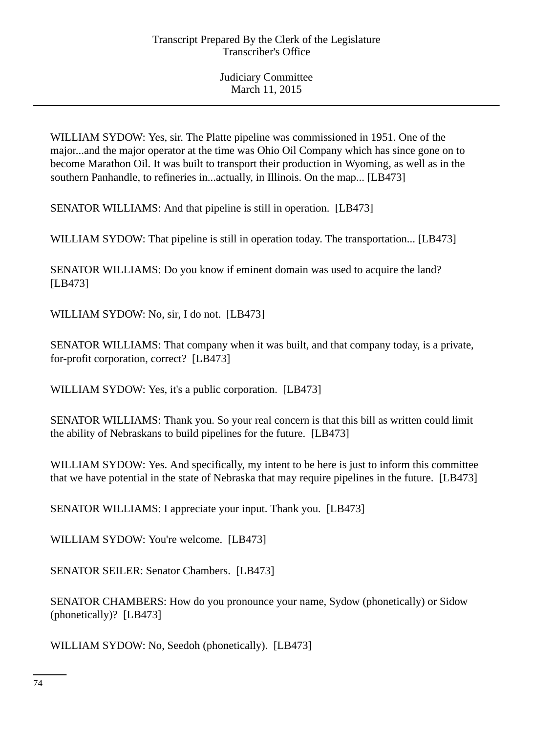WILLIAM SYDOW: Yes, sir. The Platte pipeline was commissioned in 1951. One of the major...and the major operator at the time was Ohio Oil Company which has since gone on to become Marathon Oil. It was built to transport their production in Wyoming, as well as in the southern Panhandle, to refineries in...actually, in Illinois. On the map... [LB473]

SENATOR WILLIAMS: And that pipeline is still in operation. [LB473]

WILLIAM SYDOW: That pipeline is still in operation today. The transportation... [LB473]

SENATOR WILLIAMS: Do you know if eminent domain was used to acquire the land? [LB473]

WILLIAM SYDOW: No, sir, I do not. [LB473]

SENATOR WILLIAMS: That company when it was built, and that company today, is a private, for-profit corporation, correct? [LB473]

WILLIAM SYDOW: Yes, it's a public corporation. [LB473]

SENATOR WILLIAMS: Thank you. So your real concern is that this bill as written could limit the ability of Nebraskans to build pipelines for the future. [LB473]

WILLIAM SYDOW: Yes. And specifically, my intent to be here is just to inform this committee that we have potential in the state of Nebraska that may require pipelines in the future. [LB473]

SENATOR WILLIAMS: I appreciate your input. Thank you. [LB473]

WILLIAM SYDOW: You're welcome. [LB473]

SENATOR SEILER: Senator Chambers. [LB473]

SENATOR CHAMBERS: How do you pronounce your name, Sydow (phonetically) or Sidow (phonetically)? [LB473]

WILLIAM SYDOW: No, Seedoh (phonetically). [LB473]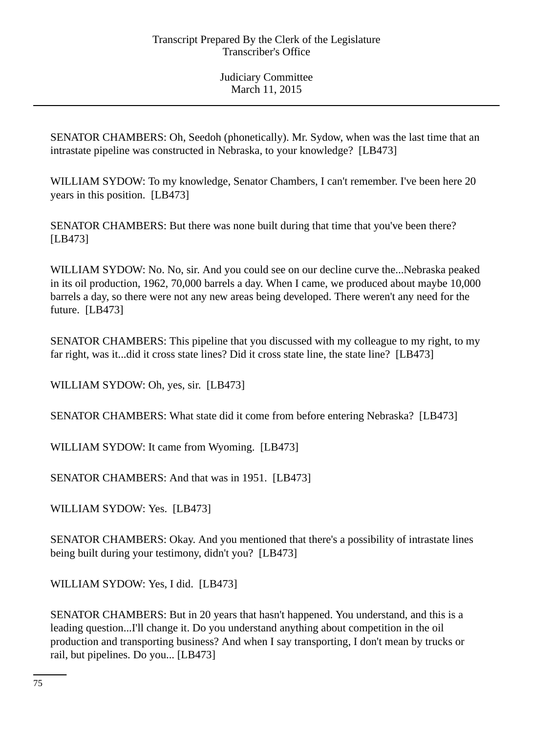SENATOR CHAMBERS: Oh, Seedoh (phonetically). Mr. Sydow, when was the last time that an intrastate pipeline was constructed in Nebraska, to your knowledge? [LB473]

WILLIAM SYDOW: To my knowledge, Senator Chambers, I can't remember. I've been here 20 years in this position. [LB473]

SENATOR CHAMBERS: But there was none built during that time that you've been there? [LB473]

WILLIAM SYDOW: No. No, sir. And you could see on our decline curve the...Nebraska peaked in its oil production, 1962, 70,000 barrels a day. When I came, we produced about maybe 10,000 barrels a day, so there were not any new areas being developed. There weren't any need for the future. [LB473]

SENATOR CHAMBERS: This pipeline that you discussed with my colleague to my right, to my far right, was it...did it cross state lines? Did it cross state line, the state line? [LB473]

WILLIAM SYDOW: Oh, yes, sir. [LB473]

SENATOR CHAMBERS: What state did it come from before entering Nebraska? [LB473]

WILLIAM SYDOW: It came from Wyoming. [LB473]

SENATOR CHAMBERS: And that was in 1951. [LB473]

WILLIAM SYDOW: Yes. [LB473]

SENATOR CHAMBERS: Okay. And you mentioned that there's a possibility of intrastate lines being built during your testimony, didn't you? [LB473]

WILLIAM SYDOW: Yes, I did. [LB473]

SENATOR CHAMBERS: But in 20 years that hasn't happened. You understand, and this is a leading question...I'll change it. Do you understand anything about competition in the oil production and transporting business? And when I say transporting, I don't mean by trucks or rail, but pipelines. Do you... [LB473]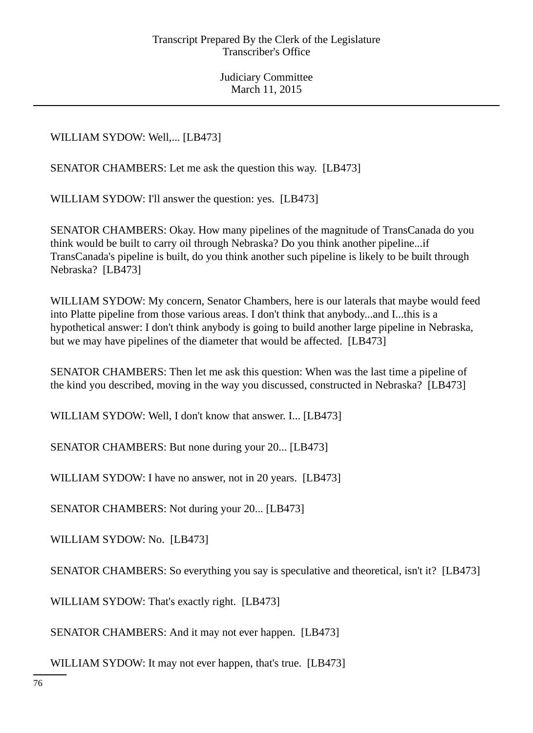WILLIAM SYDOW: Well,... [LB473]

SENATOR CHAMBERS: Let me ask the question this way. [LB473]

WILLIAM SYDOW: I'll answer the question: yes. [LB473]

SENATOR CHAMBERS: Okay. How many pipelines of the magnitude of TransCanada do you think would be built to carry oil through Nebraska? Do you think another pipeline...if TransCanada's pipeline is built, do you think another such pipeline is likely to be built through Nebraska? [LB473]

WILLIAM SYDOW: My concern, Senator Chambers, here is our laterals that maybe would feed into Platte pipeline from those various areas. I don't think that anybody...and I...this is a hypothetical answer: I don't think anybody is going to build another large pipeline in Nebraska, but we may have pipelines of the diameter that would be affected. [LB473]

SENATOR CHAMBERS: Then let me ask this question: When was the last time a pipeline of the kind you described, moving in the way you discussed, constructed in Nebraska? [LB473]

WILLIAM SYDOW: Well, I don't know that answer. I... [LB473]

SENATOR CHAMBERS: But none during your 20... [LB473]

WILLIAM SYDOW: I have no answer, not in 20 years. [LB473]

SENATOR CHAMBERS: Not during your 20... [LB473]

WILLIAM SYDOW: No. [LB473]

SENATOR CHAMBERS: So everything you say is speculative and theoretical, isn't it? [LB473]

WILLIAM SYDOW: That's exactly right. [LB473]

SENATOR CHAMBERS: And it may not ever happen. [LB473]

WILLIAM SYDOW: It may not ever happen, that's true. [LB473]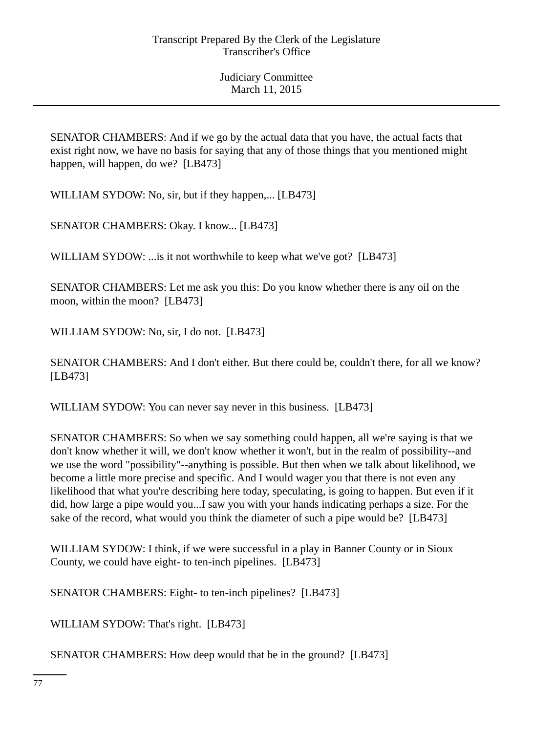SENATOR CHAMBERS: And if we go by the actual data that you have, the actual facts that exist right now, we have no basis for saying that any of those things that you mentioned might happen, will happen, do we? [LB473]

WILLIAM SYDOW: No, sir, but if they happen,... [LB473]

SENATOR CHAMBERS: Okay. I know... [LB473]

WILLIAM SYDOW: ... is it not worthwhile to keep what we've got? [LB473]

SENATOR CHAMBERS: Let me ask you this: Do you know whether there is any oil on the moon, within the moon? [LB473]

WILLIAM SYDOW: No, sir, I do not. [LB473]

SENATOR CHAMBERS: And I don't either. But there could be, couldn't there, for all we know? [LB473]

WILLIAM SYDOW: You can never say never in this business. [LB473]

SENATOR CHAMBERS: So when we say something could happen, all we're saying is that we don't know whether it will, we don't know whether it won't, but in the realm of possibility--and we use the word "possibility"--anything is possible. But then when we talk about likelihood, we become a little more precise and specific. And I would wager you that there is not even any likelihood that what you're describing here today, speculating, is going to happen. But even if it did, how large a pipe would you...I saw you with your hands indicating perhaps a size. For the sake of the record, what would you think the diameter of such a pipe would be? [LB473]

WILLIAM SYDOW: I think, if we were successful in a play in Banner County or in Sioux County, we could have eight- to ten-inch pipelines. [LB473]

SENATOR CHAMBERS: Eight- to ten-inch pipelines? [LB473]

WILLIAM SYDOW: That's right. [LB473]

SENATOR CHAMBERS: How deep would that be in the ground? [LB473]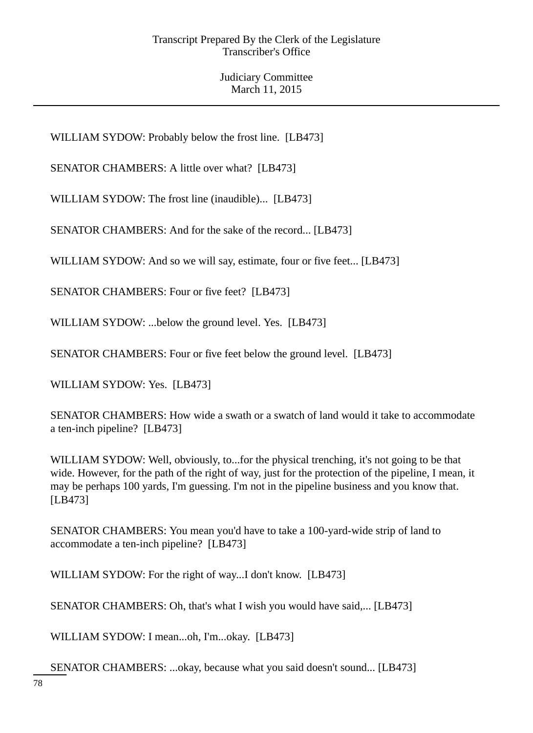WILLIAM SYDOW: Probably below the frost line. [LB473]

SENATOR CHAMBERS: A little over what? [LB473]

WILLIAM SYDOW: The frost line (inaudible)... [LB473]

SENATOR CHAMBERS: And for the sake of the record... [LB473]

WILLIAM SYDOW: And so we will say, estimate, four or five feet... [LB473]

SENATOR CHAMBERS: Four or five feet? [LB473]

WILLIAM SYDOW: ...below the ground level. Yes. [LB473]

SENATOR CHAMBERS: Four or five feet below the ground level. [LB473]

WILLIAM SYDOW: Yes. [LB473]

SENATOR CHAMBERS: How wide a swath or a swatch of land would it take to accommodate a ten-inch pipeline? [LB473]

WILLIAM SYDOW: Well, obviously, to...for the physical trenching, it's not going to be that wide. However, for the path of the right of way, just for the protection of the pipeline, I mean, it may be perhaps 100 yards, I'm guessing. I'm not in the pipeline business and you know that. [LB473]

SENATOR CHAMBERS: You mean you'd have to take a 100-yard-wide strip of land to accommodate a ten-inch pipeline? [LB473]

WILLIAM SYDOW: For the right of way...I don't know. [LB473]

SENATOR CHAMBERS: Oh, that's what I wish you would have said,... [LB473]

WILLIAM SYDOW: I mean...oh, I'm...okay. [LB473]

SENATOR CHAMBERS: ...okay, because what you said doesn't sound... [LB473]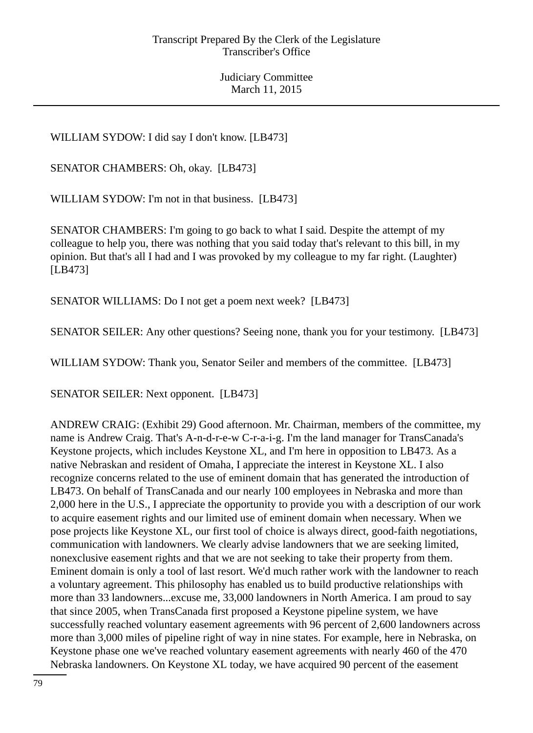WILLIAM SYDOW: I did say I don't know. [LB473]

SENATOR CHAMBERS: Oh, okay. [LB473]

WILLIAM SYDOW: I'm not in that business. [LB473]

SENATOR CHAMBERS: I'm going to go back to what I said. Despite the attempt of my colleague to help you, there was nothing that you said today that's relevant to this bill, in my opinion. But that's all I had and I was provoked by my colleague to my far right. (Laughter) [LB473]

SENATOR WILLIAMS: Do I not get a poem next week? [LB473]

SENATOR SEILER: Any other questions? Seeing none, thank you for your testimony. [LB473]

WILLIAM SYDOW: Thank you, Senator Seiler and members of the committee. [LB473]

SENATOR SEILER: Next opponent. [LB473]

ANDREW CRAIG: (Exhibit 29) Good afternoon. Mr. Chairman, members of the committee, my name is Andrew Craig. That's A-n-d-r-e-w C-r-a-i-g. I'm the land manager for TransCanada's Keystone projects, which includes Keystone XL, and I'm here in opposition to LB473. As a native Nebraskan and resident of Omaha, I appreciate the interest in Keystone XL. I also recognize concerns related to the use of eminent domain that has generated the introduction of LB473. On behalf of TransCanada and our nearly 100 employees in Nebraska and more than 2,000 here in the U.S., I appreciate the opportunity to provide you with a description of our work to acquire easement rights and our limited use of eminent domain when necessary. When we pose projects like Keystone XL, our first tool of choice is always direct, good-faith negotiations, communication with landowners. We clearly advise landowners that we are seeking limited, nonexclusive easement rights and that we are not seeking to take their property from them. Eminent domain is only a tool of last resort. We'd much rather work with the landowner to reach a voluntary agreement. This philosophy has enabled us to build productive relationships with more than 33 landowners...excuse me, 33,000 landowners in North America. I am proud to say that since 2005, when TransCanada first proposed a Keystone pipeline system, we have successfully reached voluntary easement agreements with 96 percent of 2,600 landowners across more than 3,000 miles of pipeline right of way in nine states. For example, here in Nebraska, on Keystone phase one we've reached voluntary easement agreements with nearly 460 of the 470 Nebraska landowners. On Keystone XL today, we have acquired 90 percent of the easement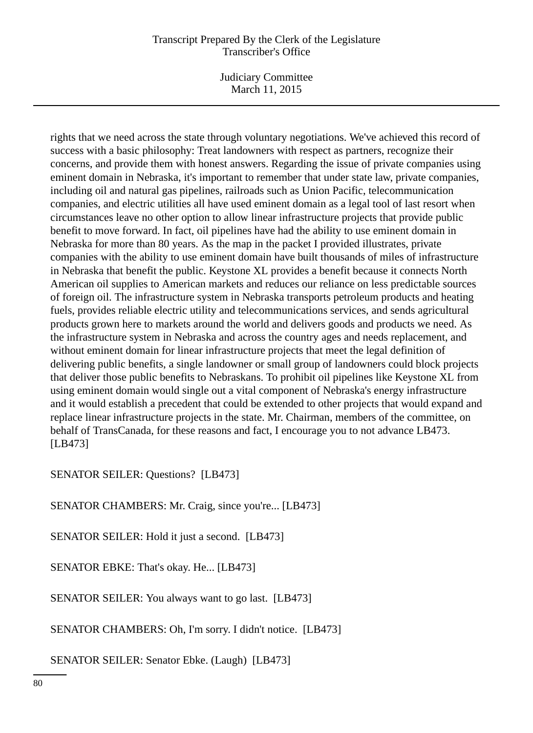## Transcript Prepared By the Clerk of the Legislature Transcriber's Office

Judiciary Committee March 11, 2015

rights that we need across the state through voluntary negotiations. We've achieved this record of success with a basic philosophy: Treat landowners with respect as partners, recognize their concerns, and provide them with honest answers. Regarding the issue of private companies using eminent domain in Nebraska, it's important to remember that under state law, private companies, including oil and natural gas pipelines, railroads such as Union Pacific, telecommunication companies, and electric utilities all have used eminent domain as a legal tool of last resort when circumstances leave no other option to allow linear infrastructure projects that provide public benefit to move forward. In fact, oil pipelines have had the ability to use eminent domain in Nebraska for more than 80 years. As the map in the packet I provided illustrates, private companies with the ability to use eminent domain have built thousands of miles of infrastructure in Nebraska that benefit the public. Keystone XL provides a benefit because it connects North American oil supplies to American markets and reduces our reliance on less predictable sources of foreign oil. The infrastructure system in Nebraska transports petroleum products and heating fuels, provides reliable electric utility and telecommunications services, and sends agricultural products grown here to markets around the world and delivers goods and products we need. As the infrastructure system in Nebraska and across the country ages and needs replacement, and without eminent domain for linear infrastructure projects that meet the legal definition of delivering public benefits, a single landowner or small group of landowners could block projects that deliver those public benefits to Nebraskans. To prohibit oil pipelines like Keystone XL from using eminent domain would single out a vital component of Nebraska's energy infrastructure and it would establish a precedent that could be extended to other projects that would expand and replace linear infrastructure projects in the state. Mr. Chairman, members of the committee, on behalf of TransCanada, for these reasons and fact, I encourage you to not advance LB473. [LB473]

SENATOR SEILER: Questions? [LB473]

SENATOR CHAMBERS: Mr. Craig, since you're... [LB473]

SENATOR SEILER: Hold it just a second. [LB473]

SENATOR EBKE: That's okay. He... [LB473]

SENATOR SEILER: You always want to go last. [LB473]

SENATOR CHAMBERS: Oh, I'm sorry. I didn't notice. [LB473]

SENATOR SEILER: Senator Ebke. (Laugh) [LB473]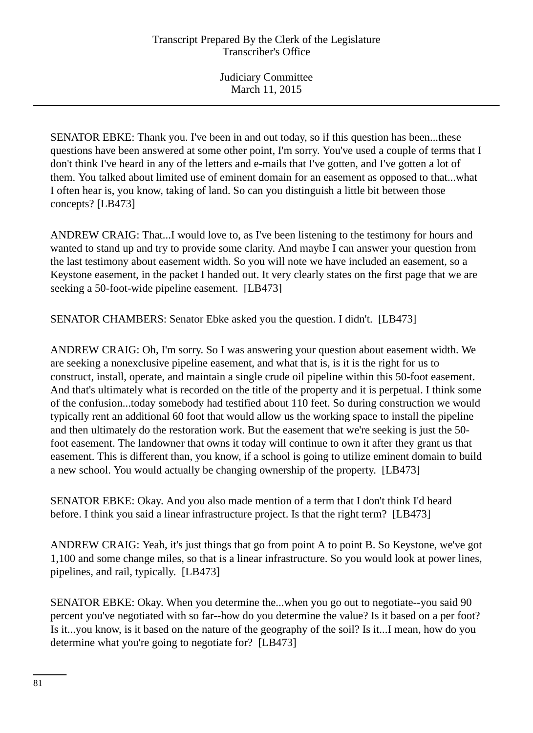SENATOR EBKE: Thank you. I've been in and out today, so if this question has been...these questions have been answered at some other point, I'm sorry. You've used a couple of terms that I don't think I've heard in any of the letters and e-mails that I've gotten, and I've gotten a lot of them. You talked about limited use of eminent domain for an easement as opposed to that...what I often hear is, you know, taking of land. So can you distinguish a little bit between those concepts? [LB473]

ANDREW CRAIG: That...I would love to, as I've been listening to the testimony for hours and wanted to stand up and try to provide some clarity. And maybe I can answer your question from the last testimony about easement width. So you will note we have included an easement, so a Keystone easement, in the packet I handed out. It very clearly states on the first page that we are seeking a 50-foot-wide pipeline easement. [LB473]

SENATOR CHAMBERS: Senator Ebke asked you the question. I didn't. [LB473]

ANDREW CRAIG: Oh, I'm sorry. So I was answering your question about easement width. We are seeking a nonexclusive pipeline easement, and what that is, is it is the right for us to construct, install, operate, and maintain a single crude oil pipeline within this 50-foot easement. And that's ultimately what is recorded on the title of the property and it is perpetual. I think some of the confusion...today somebody had testified about 110 feet. So during construction we would typically rent an additional 60 foot that would allow us the working space to install the pipeline and then ultimately do the restoration work. But the easement that we're seeking is just the 50 foot easement. The landowner that owns it today will continue to own it after they grant us that easement. This is different than, you know, if a school is going to utilize eminent domain to build a new school. You would actually be changing ownership of the property. [LB473]

SENATOR EBKE: Okay. And you also made mention of a term that I don't think I'd heard before. I think you said a linear infrastructure project. Is that the right term? [LB473]

ANDREW CRAIG: Yeah, it's just things that go from point A to point B. So Keystone, we've got 1,100 and some change miles, so that is a linear infrastructure. So you would look at power lines, pipelines, and rail, typically. [LB473]

SENATOR EBKE: Okay. When you determine the...when you go out to negotiate--you said 90 percent you've negotiated with so far--how do you determine the value? Is it based on a per foot? Is it...you know, is it based on the nature of the geography of the soil? Is it...I mean, how do you determine what you're going to negotiate for? [LB473]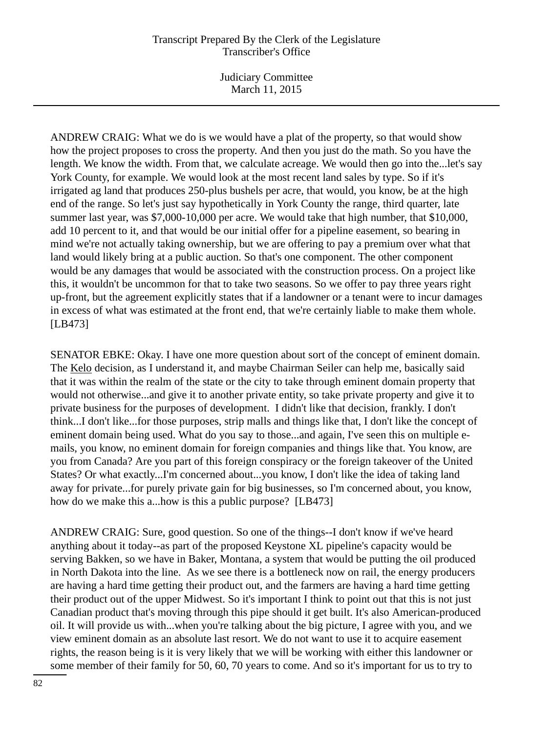## Transcript Prepared By the Clerk of the Legislature Transcriber's Office

Judiciary Committee March 11, 2015

ANDREW CRAIG: What we do is we would have a plat of the property, so that would show how the project proposes to cross the property. And then you just do the math. So you have the length. We know the width. From that, we calculate acreage. We would then go into the...let's say York County, for example. We would look at the most recent land sales by type. So if it's irrigated ag land that produces 250-plus bushels per acre, that would, you know, be at the high end of the range. So let's just say hypothetically in York County the range, third quarter, late summer last year, was \$7,000-10,000 per acre. We would take that high number, that \$10,000, add 10 percent to it, and that would be our initial offer for a pipeline easement, so bearing in mind we're not actually taking ownership, but we are offering to pay a premium over what that land would likely bring at a public auction. So that's one component. The other component would be any damages that would be associated with the construction process. On a project like this, it wouldn't be uncommon for that to take two seasons. So we offer to pay three years right up-front, but the agreement explicitly states that if a landowner or a tenant were to incur damages in excess of what was estimated at the front end, that we're certainly liable to make them whole. [LB473]

SENATOR EBKE: Okay. I have one more question about sort of the concept of eminent domain. The Kelo decision, as I understand it, and maybe Chairman Seiler can help me, basically said that it was within the realm of the state or the city to take through eminent domain property that would not otherwise...and give it to another private entity, so take private property and give it to private business for the purposes of development. I didn't like that decision, frankly. I don't think...I don't like...for those purposes, strip malls and things like that, I don't like the concept of eminent domain being used. What do you say to those...and again, I've seen this on multiple emails, you know, no eminent domain for foreign companies and things like that. You know, are you from Canada? Are you part of this foreign conspiracy or the foreign takeover of the United States? Or what exactly...I'm concerned about...you know, I don't like the idea of taking land away for private...for purely private gain for big businesses, so I'm concerned about, you know, how do we make this a...how is this a public purpose? [LB473]

ANDREW CRAIG: Sure, good question. So one of the things--I don't know if we've heard anything about it today--as part of the proposed Keystone XL pipeline's capacity would be serving Bakken, so we have in Baker, Montana, a system that would be putting the oil produced in North Dakota into the line. As we see there is a bottleneck now on rail, the energy producers are having a hard time getting their product out, and the farmers are having a hard time getting their product out of the upper Midwest. So it's important I think to point out that this is not just Canadian product that's moving through this pipe should it get built. It's also American-produced oil. It will provide us with...when you're talking about the big picture, I agree with you, and we view eminent domain as an absolute last resort. We do not want to use it to acquire easement rights, the reason being is it is very likely that we will be working with either this landowner or some member of their family for 50, 60, 70 years to come. And so it's important for us to try to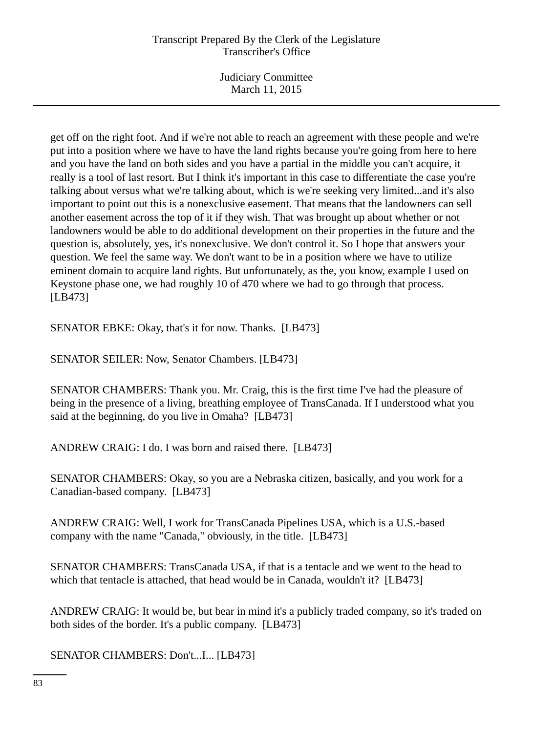# Transcript Prepared By the Clerk of the Legislature Transcriber's Office

Judiciary Committee March 11, 2015

get off on the right foot. And if we're not able to reach an agreement with these people and we're put into a position where we have to have the land rights because you're going from here to here and you have the land on both sides and you have a partial in the middle you can't acquire, it really is a tool of last resort. But I think it's important in this case to differentiate the case you're talking about versus what we're talking about, which is we're seeking very limited...and it's also important to point out this is a nonexclusive easement. That means that the landowners can sell another easement across the top of it if they wish. That was brought up about whether or not landowners would be able to do additional development on their properties in the future and the question is, absolutely, yes, it's nonexclusive. We don't control it. So I hope that answers your question. We feel the same way. We don't want to be in a position where we have to utilize eminent domain to acquire land rights. But unfortunately, as the, you know, example I used on Keystone phase one, we had roughly 10 of 470 where we had to go through that process. [LB473]

SENATOR EBKE: Okay, that's it for now. Thanks. [LB473]

SENATOR SEILER: Now, Senator Chambers. [LB473]

SENATOR CHAMBERS: Thank you. Mr. Craig, this is the first time I've had the pleasure of being in the presence of a living, breathing employee of TransCanada. If I understood what you said at the beginning, do you live in Omaha? [LB473]

ANDREW CRAIG: I do. I was born and raised there. [LB473]

SENATOR CHAMBERS: Okay, so you are a Nebraska citizen, basically, and you work for a Canadian-based company. [LB473]

ANDREW CRAIG: Well, I work for TransCanada Pipelines USA, which is a U.S.-based company with the name "Canada," obviously, in the title. [LB473]

SENATOR CHAMBERS: TransCanada USA, if that is a tentacle and we went to the head to which that tentacle is attached, that head would be in Canada, wouldn't it? [LB473]

ANDREW CRAIG: It would be, but bear in mind it's a publicly traded company, so it's traded on both sides of the border. It's a public company. [LB473]

SENATOR CHAMBERS: Don't...I... [LB473]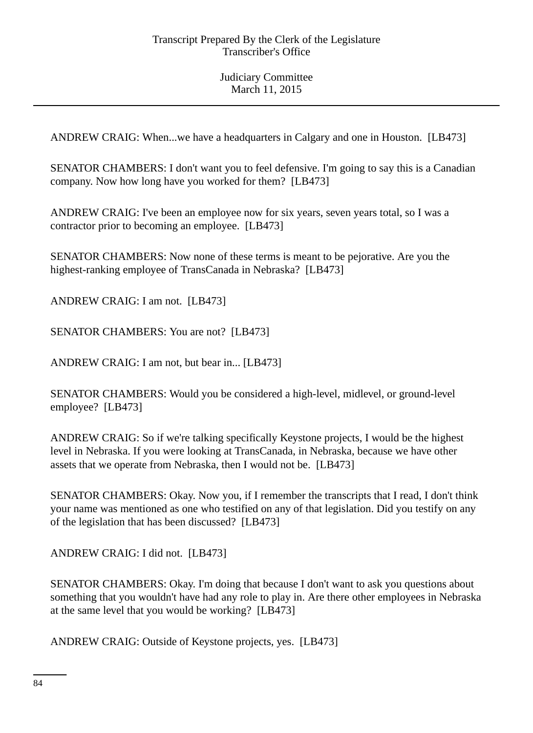ANDREW CRAIG: When...we have a headquarters in Calgary and one in Houston. [LB473]

SENATOR CHAMBERS: I don't want you to feel defensive. I'm going to say this is a Canadian company. Now how long have you worked for them? [LB473]

ANDREW CRAIG: I've been an employee now for six years, seven years total, so I was a contractor prior to becoming an employee. [LB473]

SENATOR CHAMBERS: Now none of these terms is meant to be pejorative. Are you the highest-ranking employee of TransCanada in Nebraska? [LB473]

ANDREW CRAIG: I am not. [LB473]

SENATOR CHAMBERS: You are not? [LB473]

ANDREW CRAIG: I am not, but bear in... [LB473]

SENATOR CHAMBERS: Would you be considered a high-level, midlevel, or ground-level employee? [LB473]

ANDREW CRAIG: So if we're talking specifically Keystone projects, I would be the highest level in Nebraska. If you were looking at TransCanada, in Nebraska, because we have other assets that we operate from Nebraska, then I would not be. [LB473]

SENATOR CHAMBERS: Okay. Now you, if I remember the transcripts that I read, I don't think your name was mentioned as one who testified on any of that legislation. Did you testify on any of the legislation that has been discussed? [LB473]

ANDREW CRAIG: I did not. [LB473]

SENATOR CHAMBERS: Okay. I'm doing that because I don't want to ask you questions about something that you wouldn't have had any role to play in. Are there other employees in Nebraska at the same level that you would be working? [LB473]

ANDREW CRAIG: Outside of Keystone projects, yes. [LB473]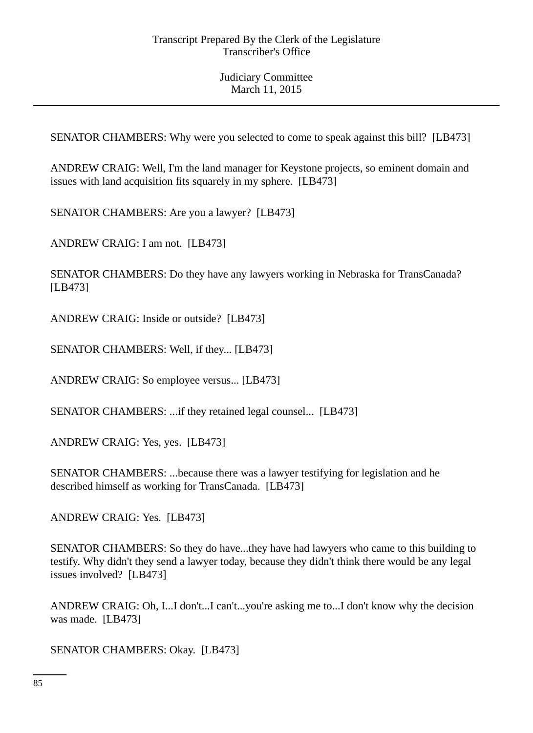SENATOR CHAMBERS: Why were you selected to come to speak against this bill? [LB473]

ANDREW CRAIG: Well, I'm the land manager for Keystone projects, so eminent domain and issues with land acquisition fits squarely in my sphere. [LB473]

SENATOR CHAMBERS: Are you a lawyer? [LB473]

ANDREW CRAIG: I am not. [LB473]

SENATOR CHAMBERS: Do they have any lawyers working in Nebraska for TransCanada? [LB473]

ANDREW CRAIG: Inside or outside? [LB473]

SENATOR CHAMBERS: Well, if they... [LB473]

ANDREW CRAIG: So employee versus... [LB473]

SENATOR CHAMBERS: ...if they retained legal counsel... [LB473]

ANDREW CRAIG: Yes, yes. [LB473]

SENATOR CHAMBERS: ...because there was a lawyer testifying for legislation and he described himself as working for TransCanada. [LB473]

ANDREW CRAIG: Yes. [LB473]

SENATOR CHAMBERS: So they do have...they have had lawyers who came to this building to testify. Why didn't they send a lawyer today, because they didn't think there would be any legal issues involved? [LB473]

ANDREW CRAIG: Oh, I...I don't...I can't...you're asking me to...I don't know why the decision was made. [LB473]

SENATOR CHAMBERS: Okay. [LB473]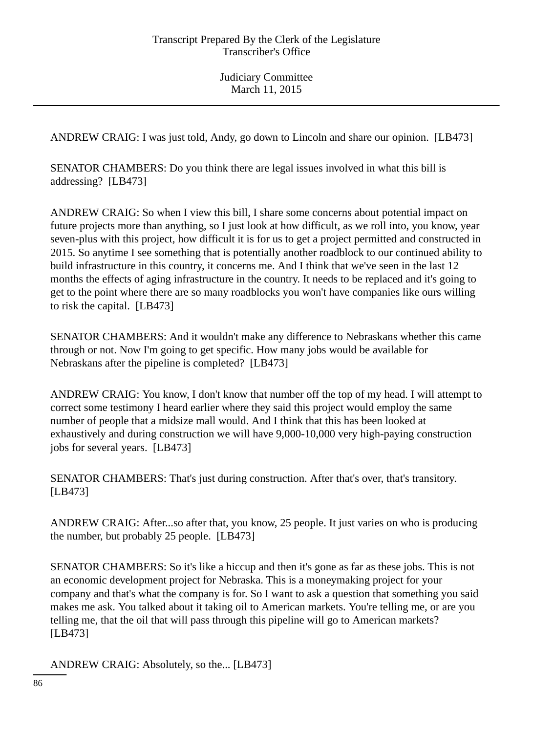ANDREW CRAIG: I was just told, Andy, go down to Lincoln and share our opinion. [LB473]

SENATOR CHAMBERS: Do you think there are legal issues involved in what this bill is addressing? [LB473]

ANDREW CRAIG: So when I view this bill, I share some concerns about potential impact on future projects more than anything, so I just look at how difficult, as we roll into, you know, year seven-plus with this project, how difficult it is for us to get a project permitted and constructed in 2015. So anytime I see something that is potentially another roadblock to our continued ability to build infrastructure in this country, it concerns me. And I think that we've seen in the last 12 months the effects of aging infrastructure in the country. It needs to be replaced and it's going to get to the point where there are so many roadblocks you won't have companies like ours willing to risk the capital. [LB473]

SENATOR CHAMBERS: And it wouldn't make any difference to Nebraskans whether this came through or not. Now I'm going to get specific. How many jobs would be available for Nebraskans after the pipeline is completed? [LB473]

ANDREW CRAIG: You know, I don't know that number off the top of my head. I will attempt to correct some testimony I heard earlier where they said this project would employ the same number of people that a midsize mall would. And I think that this has been looked at exhaustively and during construction we will have 9,000-10,000 very high-paying construction jobs for several years. [LB473]

SENATOR CHAMBERS: That's just during construction. After that's over, that's transitory. [LB473]

ANDREW CRAIG: After...so after that, you know, 25 people. It just varies on who is producing the number, but probably 25 people. [LB473]

SENATOR CHAMBERS: So it's like a hiccup and then it's gone as far as these jobs. This is not an economic development project for Nebraska. This is a moneymaking project for your company and that's what the company is for. So I want to ask a question that something you said makes me ask. You talked about it taking oil to American markets. You're telling me, or are you telling me, that the oil that will pass through this pipeline will go to American markets? [LB473]

ANDREW CRAIG: Absolutely, so the... [LB473]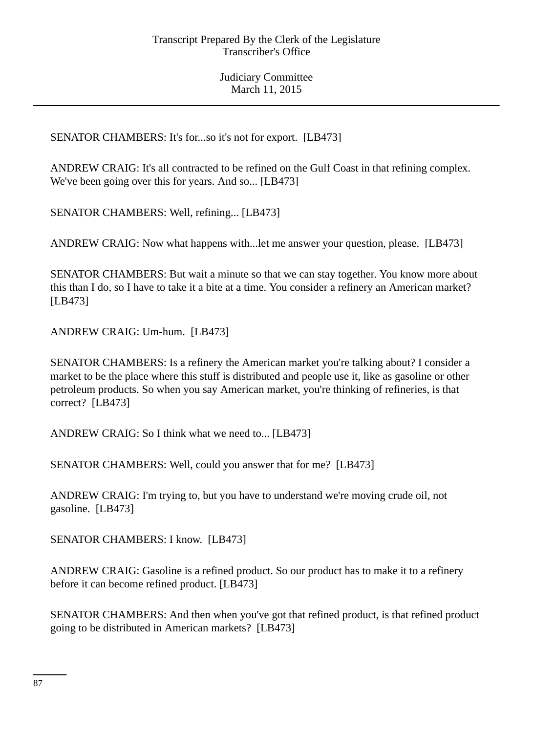SENATOR CHAMBERS: It's for...so it's not for export. [LB473]

ANDREW CRAIG: It's all contracted to be refined on the Gulf Coast in that refining complex. We've been going over this for years. And so... [LB473]

SENATOR CHAMBERS: Well, refining... [LB473]

ANDREW CRAIG: Now what happens with...let me answer your question, please. [LB473]

SENATOR CHAMBERS: But wait a minute so that we can stay together. You know more about this than I do, so I have to take it a bite at a time. You consider a refinery an American market? [LB473]

ANDREW CRAIG: Um-hum. [LB473]

SENATOR CHAMBERS: Is a refinery the American market you're talking about? I consider a market to be the place where this stuff is distributed and people use it, like as gasoline or other petroleum products. So when you say American market, you're thinking of refineries, is that correct? [LB473]

ANDREW CRAIG: So I think what we need to... [LB473]

SENATOR CHAMBERS: Well, could you answer that for me? [LB473]

ANDREW CRAIG: I'm trying to, but you have to understand we're moving crude oil, not gasoline. [LB473]

SENATOR CHAMBERS: I know. [LB473]

ANDREW CRAIG: Gasoline is a refined product. So our product has to make it to a refinery before it can become refined product. [LB473]

SENATOR CHAMBERS: And then when you've got that refined product, is that refined product going to be distributed in American markets? [LB473]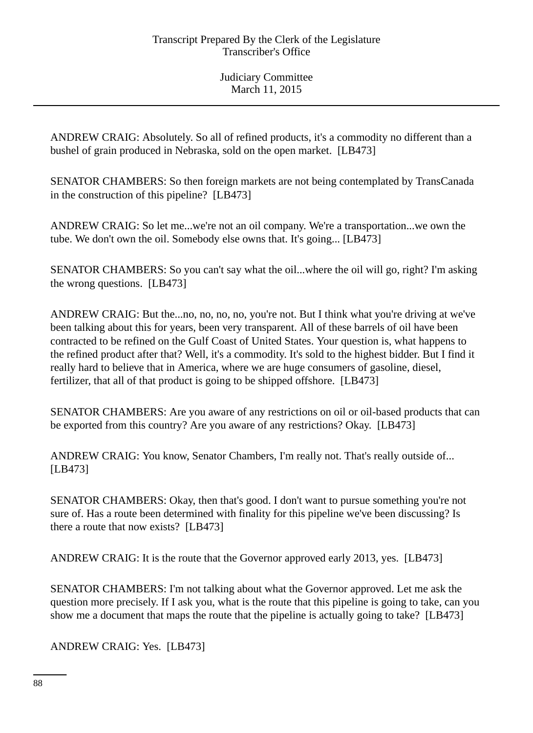ANDREW CRAIG: Absolutely. So all of refined products, it's a commodity no different than a bushel of grain produced in Nebraska, sold on the open market. [LB473]

SENATOR CHAMBERS: So then foreign markets are not being contemplated by TransCanada in the construction of this pipeline? [LB473]

ANDREW CRAIG: So let me...we're not an oil company. We're a transportation...we own the tube. We don't own the oil. Somebody else owns that. It's going... [LB473]

SENATOR CHAMBERS: So you can't say what the oil...where the oil will go, right? I'm asking the wrong questions. [LB473]

ANDREW CRAIG: But the...no, no, no, no, you're not. But I think what you're driving at we've been talking about this for years, been very transparent. All of these barrels of oil have been contracted to be refined on the Gulf Coast of United States. Your question is, what happens to the refined product after that? Well, it's a commodity. It's sold to the highest bidder. But I find it really hard to believe that in America, where we are huge consumers of gasoline, diesel, fertilizer, that all of that product is going to be shipped offshore. [LB473]

SENATOR CHAMBERS: Are you aware of any restrictions on oil or oil-based products that can be exported from this country? Are you aware of any restrictions? Okay. [LB473]

ANDREW CRAIG: You know, Senator Chambers, I'm really not. That's really outside of... [LB473]

SENATOR CHAMBERS: Okay, then that's good. I don't want to pursue something you're not sure of. Has a route been determined with finality for this pipeline we've been discussing? Is there a route that now exists? [LB473]

ANDREW CRAIG: It is the route that the Governor approved early 2013, yes. [LB473]

SENATOR CHAMBERS: I'm not talking about what the Governor approved. Let me ask the question more precisely. If I ask you, what is the route that this pipeline is going to take, can you show me a document that maps the route that the pipeline is actually going to take? [LB473]

ANDREW CRAIG: Yes. [LB473]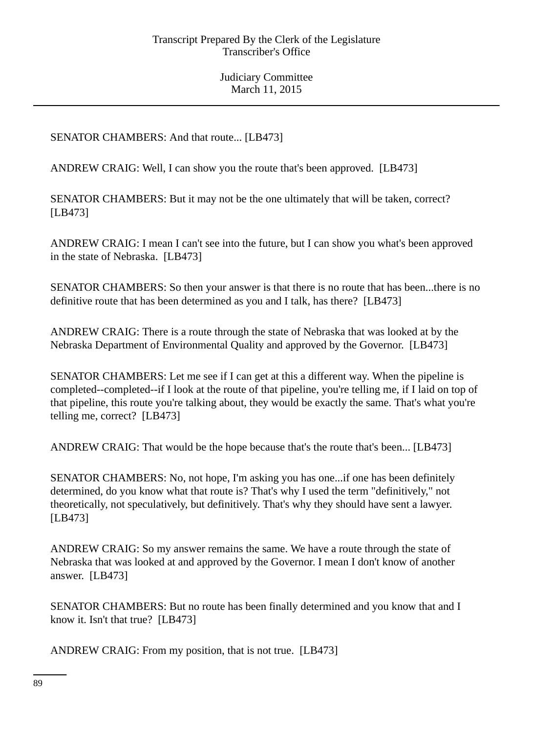SENATOR CHAMBERS: And that route... [LB473]

ANDREW CRAIG: Well, I can show you the route that's been approved. [LB473]

SENATOR CHAMBERS: But it may not be the one ultimately that will be taken, correct? [LB473]

ANDREW CRAIG: I mean I can't see into the future, but I can show you what's been approved in the state of Nebraska. [LB473]

SENATOR CHAMBERS: So then your answer is that there is no route that has been...there is no definitive route that has been determined as you and I talk, has there? [LB473]

ANDREW CRAIG: There is a route through the state of Nebraska that was looked at by the Nebraska Department of Environmental Quality and approved by the Governor. [LB473]

SENATOR CHAMBERS: Let me see if I can get at this a different way. When the pipeline is completed--completed--if I look at the route of that pipeline, you're telling me, if I laid on top of that pipeline, this route you're talking about, they would be exactly the same. That's what you're telling me, correct? [LB473]

ANDREW CRAIG: That would be the hope because that's the route that's been... [LB473]

SENATOR CHAMBERS: No, not hope, I'm asking you has one...if one has been definitely determined, do you know what that route is? That's why I used the term "definitively," not theoretically, not speculatively, but definitively. That's why they should have sent a lawyer. [LB473]

ANDREW CRAIG: So my answer remains the same. We have a route through the state of Nebraska that was looked at and approved by the Governor. I mean I don't know of another answer. [LB473]

SENATOR CHAMBERS: But no route has been finally determined and you know that and I know it. Isn't that true? [LB473]

ANDREW CRAIG: From my position, that is not true. [LB473]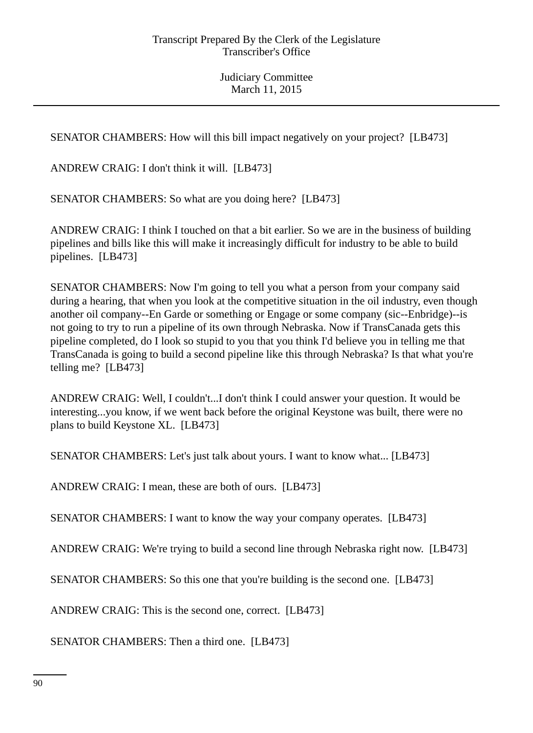SENATOR CHAMBERS: How will this bill impact negatively on your project? [LB473]

ANDREW CRAIG: I don't think it will. [LB473]

SENATOR CHAMBERS: So what are you doing here? [LB473]

ANDREW CRAIG: I think I touched on that a bit earlier. So we are in the business of building pipelines and bills like this will make it increasingly difficult for industry to be able to build pipelines. [LB473]

SENATOR CHAMBERS: Now I'm going to tell you what a person from your company said during a hearing, that when you look at the competitive situation in the oil industry, even though another oil company--En Garde or something or Engage or some company (sic--Enbridge)--is not going to try to run a pipeline of its own through Nebraska. Now if TransCanada gets this pipeline completed, do I look so stupid to you that you think I'd believe you in telling me that TransCanada is going to build a second pipeline like this through Nebraska? Is that what you're telling me? [LB473]

ANDREW CRAIG: Well, I couldn't...I don't think I could answer your question. It would be interesting...you know, if we went back before the original Keystone was built, there were no plans to build Keystone XL. [LB473]

SENATOR CHAMBERS: Let's just talk about yours. I want to know what... [LB473]

ANDREW CRAIG: I mean, these are both of ours. [LB473]

SENATOR CHAMBERS: I want to know the way your company operates. [LB473]

ANDREW CRAIG: We're trying to build a second line through Nebraska right now. [LB473]

SENATOR CHAMBERS: So this one that you're building is the second one. [LB473]

ANDREW CRAIG: This is the second one, correct. [LB473]

SENATOR CHAMBERS: Then a third one. [LB473]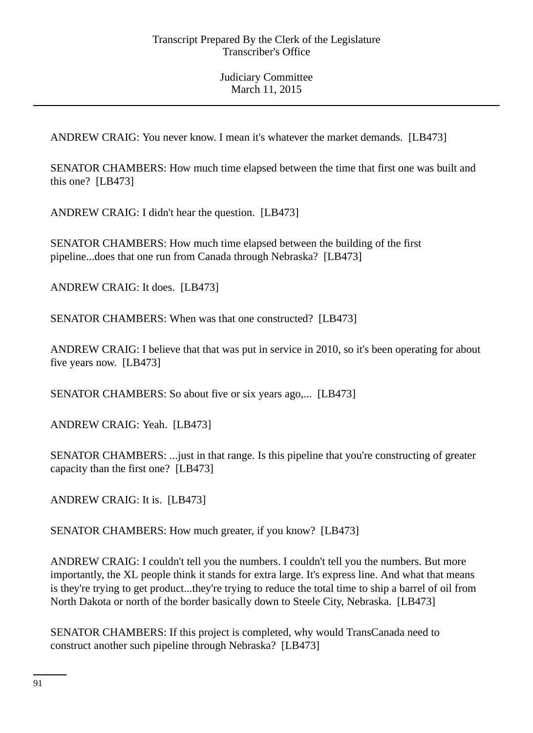ANDREW CRAIG: You never know. I mean it's whatever the market demands. [LB473]

SENATOR CHAMBERS: How much time elapsed between the time that first one was built and this one? [LB473]

ANDREW CRAIG: I didn't hear the question. [LB473]

SENATOR CHAMBERS: How much time elapsed between the building of the first pipeline...does that one run from Canada through Nebraska? [LB473]

ANDREW CRAIG: It does. [LB473]

SENATOR CHAMBERS: When was that one constructed? [LB473]

ANDREW CRAIG: I believe that that was put in service in 2010, so it's been operating for about five years now. [LB473]

SENATOR CHAMBERS: So about five or six years ago,... [LB473]

ANDREW CRAIG: Yeah. [LB473]

SENATOR CHAMBERS: ...just in that range. Is this pipeline that you're constructing of greater capacity than the first one? [LB473]

ANDREW CRAIG: It is. [LB473]

SENATOR CHAMBERS: How much greater, if you know? [LB473]

ANDREW CRAIG: I couldn't tell you the numbers. I couldn't tell you the numbers. But more importantly, the XL people think it stands for extra large. It's express line. And what that means is they're trying to get product...they're trying to reduce the total time to ship a barrel of oil from North Dakota or north of the border basically down to Steele City, Nebraska. [LB473]

SENATOR CHAMBERS: If this project is completed, why would TransCanada need to construct another such pipeline through Nebraska? [LB473]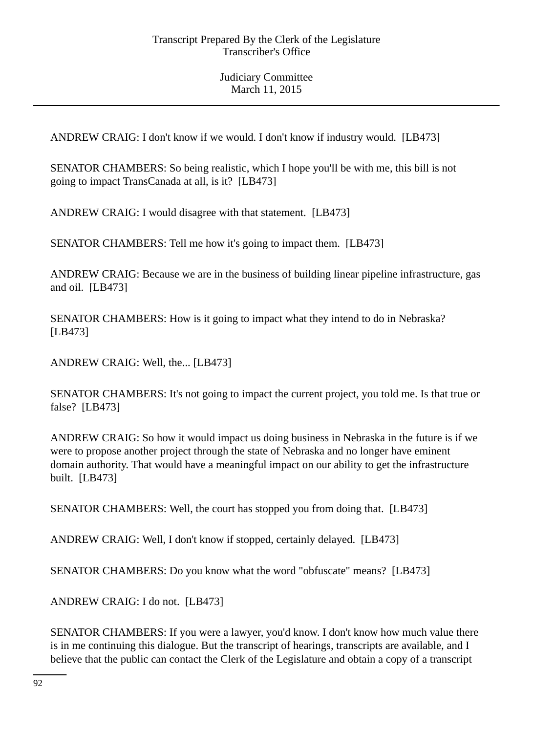ANDREW CRAIG: I don't know if we would. I don't know if industry would. [LB473]

SENATOR CHAMBERS: So being realistic, which I hope you'll be with me, this bill is not going to impact TransCanada at all, is it? [LB473]

ANDREW CRAIG: I would disagree with that statement. [LB473]

SENATOR CHAMBERS: Tell me how it's going to impact them. [LB473]

ANDREW CRAIG: Because we are in the business of building linear pipeline infrastructure, gas and oil. [LB473]

SENATOR CHAMBERS: How is it going to impact what they intend to do in Nebraska? [LB473]

ANDREW CRAIG: Well, the... [LB473]

SENATOR CHAMBERS: It's not going to impact the current project, you told me. Is that true or false? [LB473]

ANDREW CRAIG: So how it would impact us doing business in Nebraska in the future is if we were to propose another project through the state of Nebraska and no longer have eminent domain authority. That would have a meaningful impact on our ability to get the infrastructure built. [LB473]

SENATOR CHAMBERS: Well, the court has stopped you from doing that. [LB473]

ANDREW CRAIG: Well, I don't know if stopped, certainly delayed. [LB473]

SENATOR CHAMBERS: Do you know what the word "obfuscate" means? [LB473]

ANDREW CRAIG: I do not. [LB473]

SENATOR CHAMBERS: If you were a lawyer, you'd know. I don't know how much value there is in me continuing this dialogue. But the transcript of hearings, transcripts are available, and I believe that the public can contact the Clerk of the Legislature and obtain a copy of a transcript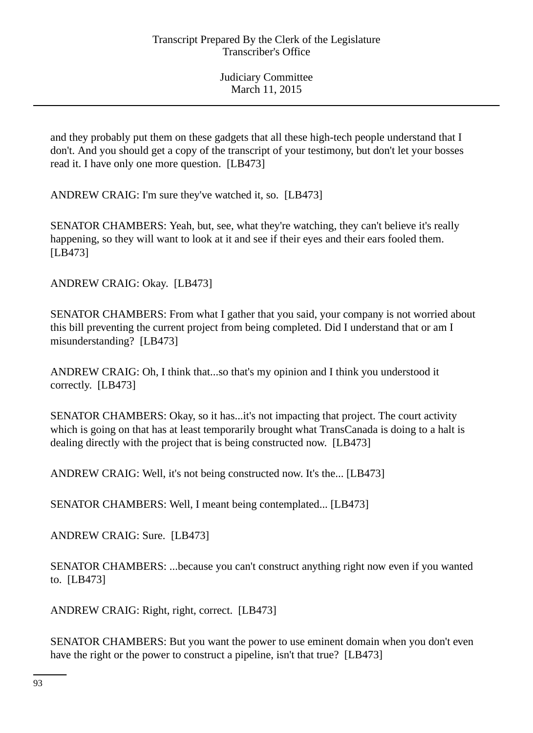and they probably put them on these gadgets that all these high-tech people understand that I don't. And you should get a copy of the transcript of your testimony, but don't let your bosses read it. I have only one more question. [LB473]

ANDREW CRAIG: I'm sure they've watched it, so. [LB473]

SENATOR CHAMBERS: Yeah, but, see, what they're watching, they can't believe it's really happening, so they will want to look at it and see if their eyes and their ears fooled them. [LB473]

ANDREW CRAIG: Okay. [LB473]

SENATOR CHAMBERS: From what I gather that you said, your company is not worried about this bill preventing the current project from being completed. Did I understand that or am I misunderstanding? [LB473]

ANDREW CRAIG: Oh, I think that...so that's my opinion and I think you understood it correctly. [LB473]

SENATOR CHAMBERS: Okay, so it has...it's not impacting that project. The court activity which is going on that has at least temporarily brought what TransCanada is doing to a halt is dealing directly with the project that is being constructed now. [LB473]

ANDREW CRAIG: Well, it's not being constructed now. It's the... [LB473]

SENATOR CHAMBERS: Well, I meant being contemplated... [LB473]

ANDREW CRAIG: Sure. [LB473]

SENATOR CHAMBERS: ...because you can't construct anything right now even if you wanted to. [LB473]

ANDREW CRAIG: Right, right, correct. [LB473]

SENATOR CHAMBERS: But you want the power to use eminent domain when you don't even have the right or the power to construct a pipeline, isn't that true? [LB473]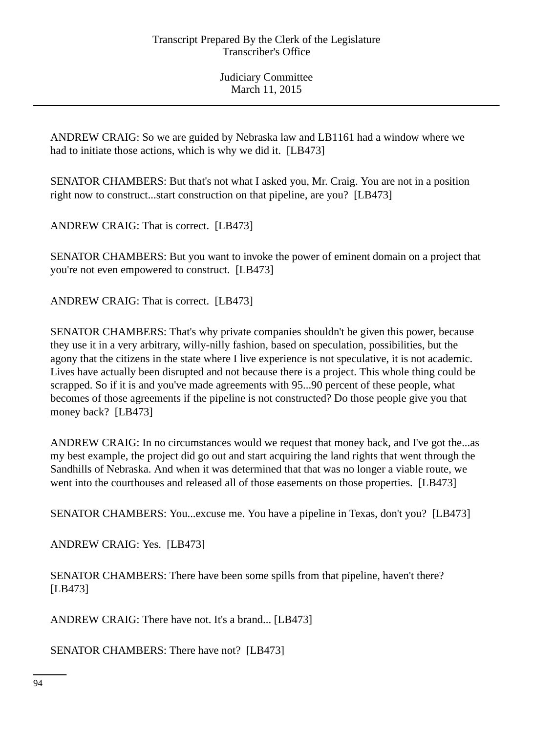ANDREW CRAIG: So we are guided by Nebraska law and LB1161 had a window where we had to initiate those actions, which is why we did it. [LB473]

SENATOR CHAMBERS: But that's not what I asked you, Mr. Craig. You are not in a position right now to construct...start construction on that pipeline, are you? [LB473]

ANDREW CRAIG: That is correct. [LB473]

SENATOR CHAMBERS: But you want to invoke the power of eminent domain on a project that you're not even empowered to construct. [LB473]

ANDREW CRAIG: That is correct. [LB473]

SENATOR CHAMBERS: That's why private companies shouldn't be given this power, because they use it in a very arbitrary, willy-nilly fashion, based on speculation, possibilities, but the agony that the citizens in the state where I live experience is not speculative, it is not academic. Lives have actually been disrupted and not because there is a project. This whole thing could be scrapped. So if it is and you've made agreements with 95...90 percent of these people, what becomes of those agreements if the pipeline is not constructed? Do those people give you that money back? [LB473]

ANDREW CRAIG: In no circumstances would we request that money back, and I've got the...as my best example, the project did go out and start acquiring the land rights that went through the Sandhills of Nebraska. And when it was determined that that was no longer a viable route, we went into the courthouses and released all of those easements on those properties. [LB473]

SENATOR CHAMBERS: You...excuse me. You have a pipeline in Texas, don't you? [LB473]

ANDREW CRAIG: Yes. [LB473]

SENATOR CHAMBERS: There have been some spills from that pipeline, haven't there? [LB473]

ANDREW CRAIG: There have not. It's a brand... [LB473]

SENATOR CHAMBERS: There have not? [LB473]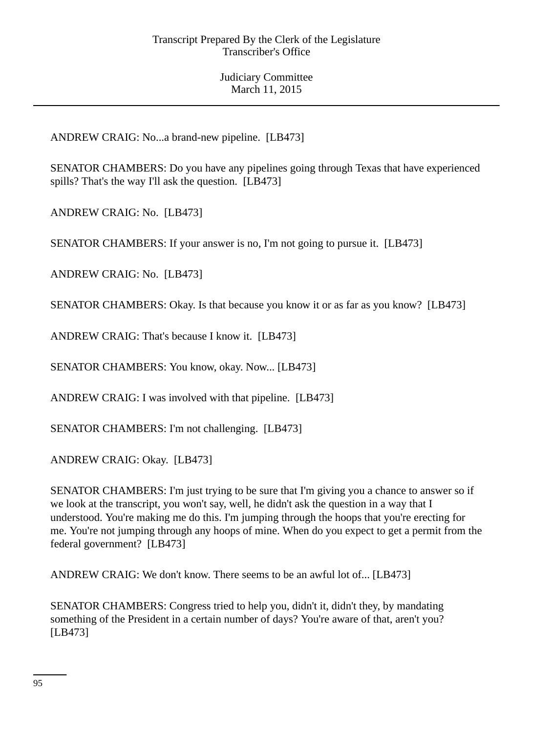ANDREW CRAIG: No...a brand-new pipeline. [LB473]

SENATOR CHAMBERS: Do you have any pipelines going through Texas that have experienced spills? That's the way I'll ask the question. [LB473]

ANDREW CRAIG: No. [LB473]

SENATOR CHAMBERS: If your answer is no, I'm not going to pursue it. [LB473]

ANDREW CRAIG: No. [LB473]

SENATOR CHAMBERS: Okay. Is that because you know it or as far as you know? [LB473]

ANDREW CRAIG: That's because I know it. [LB473]

SENATOR CHAMBERS: You know, okay. Now... [LB473]

ANDREW CRAIG: I was involved with that pipeline. [LB473]

SENATOR CHAMBERS: I'm not challenging. [LB473]

ANDREW CRAIG: Okay. [LB473]

SENATOR CHAMBERS: I'm just trying to be sure that I'm giving you a chance to answer so if we look at the transcript, you won't say, well, he didn't ask the question in a way that I understood. You're making me do this. I'm jumping through the hoops that you're erecting for me. You're not jumping through any hoops of mine. When do you expect to get a permit from the federal government? [LB473]

ANDREW CRAIG: We don't know. There seems to be an awful lot of... [LB473]

SENATOR CHAMBERS: Congress tried to help you, didn't it, didn't they, by mandating something of the President in a certain number of days? You're aware of that, aren't you? [LB473]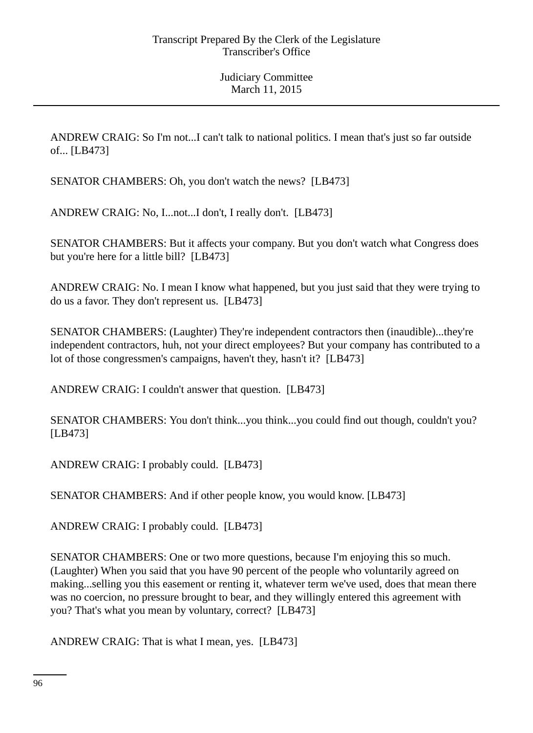ANDREW CRAIG: So I'm not...I can't talk to national politics. I mean that's just so far outside of... [LB473]

SENATOR CHAMBERS: Oh, you don't watch the news? [LB473]

ANDREW CRAIG: No, I...not...I don't, I really don't. [LB473]

SENATOR CHAMBERS: But it affects your company. But you don't watch what Congress does but you're here for a little bill? [LB473]

ANDREW CRAIG: No. I mean I know what happened, but you just said that they were trying to do us a favor. They don't represent us. [LB473]

SENATOR CHAMBERS: (Laughter) They're independent contractors then (inaudible)...they're independent contractors, huh, not your direct employees? But your company has contributed to a lot of those congressmen's campaigns, haven't they, hasn't it? [LB473]

ANDREW CRAIG: I couldn't answer that question. [LB473]

SENATOR CHAMBERS: You don't think...you think...you could find out though, couldn't you? [LB473]

ANDREW CRAIG: I probably could. [LB473]

SENATOR CHAMBERS: And if other people know, you would know. [LB473]

ANDREW CRAIG: I probably could. [LB473]

SENATOR CHAMBERS: One or two more questions, because I'm enjoying this so much. (Laughter) When you said that you have 90 percent of the people who voluntarily agreed on making...selling you this easement or renting it, whatever term we've used, does that mean there was no coercion, no pressure brought to bear, and they willingly entered this agreement with you? That's what you mean by voluntary, correct? [LB473]

ANDREW CRAIG: That is what I mean, yes. [LB473]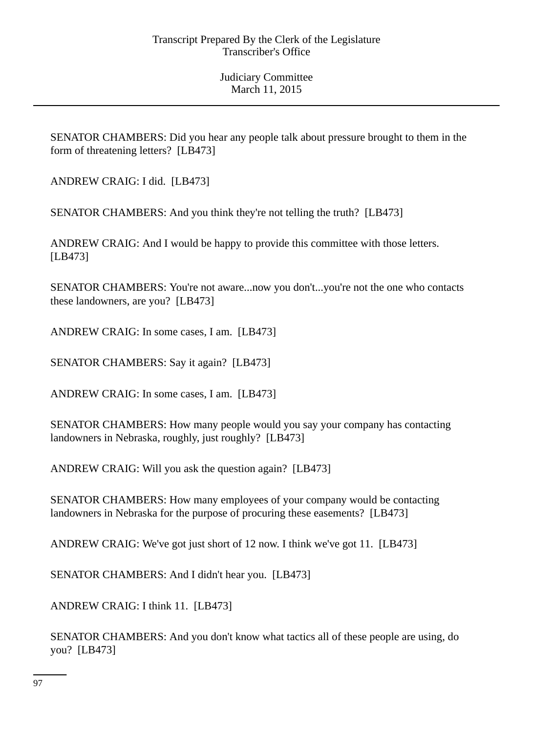SENATOR CHAMBERS: Did you hear any people talk about pressure brought to them in the form of threatening letters? [LB473]

ANDREW CRAIG: I did. [LB473]

SENATOR CHAMBERS: And you think they're not telling the truth? [LB473]

ANDREW CRAIG: And I would be happy to provide this committee with those letters. [LB473]

SENATOR CHAMBERS: You're not aware...now you don't...you're not the one who contacts these landowners, are you? [LB473]

ANDREW CRAIG: In some cases, I am. [LB473]

SENATOR CHAMBERS: Say it again? [LB473]

ANDREW CRAIG: In some cases, I am. [LB473]

SENATOR CHAMBERS: How many people would you say your company has contacting landowners in Nebraska, roughly, just roughly? [LB473]

ANDREW CRAIG: Will you ask the question again? [LB473]

SENATOR CHAMBERS: How many employees of your company would be contacting landowners in Nebraska for the purpose of procuring these easements? [LB473]

ANDREW CRAIG: We've got just short of 12 now. I think we've got 11. [LB473]

SENATOR CHAMBERS: And I didn't hear you. [LB473]

ANDREW CRAIG: I think 11. [LB473]

SENATOR CHAMBERS: And you don't know what tactics all of these people are using, do you? [LB473]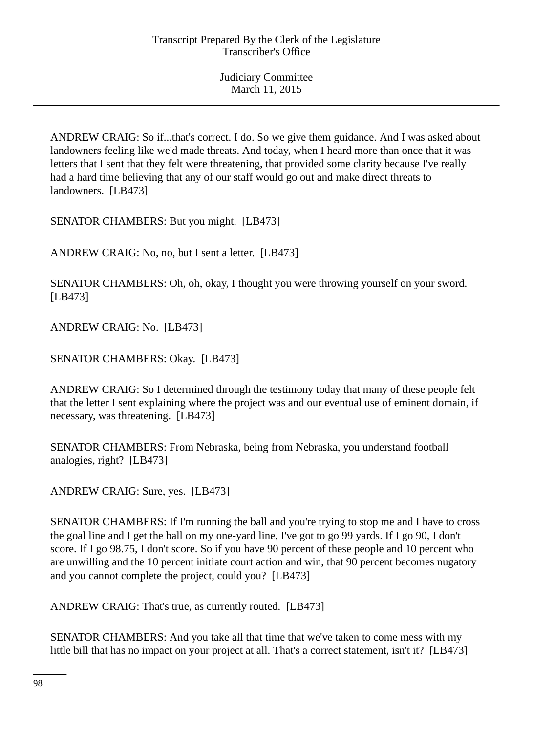ANDREW CRAIG: So if...that's correct. I do. So we give them guidance. And I was asked about landowners feeling like we'd made threats. And today, when I heard more than once that it was letters that I sent that they felt were threatening, that provided some clarity because I've really had a hard time believing that any of our staff would go out and make direct threats to landowners. [LB473]

SENATOR CHAMBERS: But you might. [LB473]

ANDREW CRAIG: No, no, but I sent a letter. [LB473]

SENATOR CHAMBERS: Oh, oh, okay, I thought you were throwing yourself on your sword. [LB473]

ANDREW CRAIG: No. [LB473]

SENATOR CHAMBERS: Okay. [LB473]

ANDREW CRAIG: So I determined through the testimony today that many of these people felt that the letter I sent explaining where the project was and our eventual use of eminent domain, if necessary, was threatening. [LB473]

SENATOR CHAMBERS: From Nebraska, being from Nebraska, you understand football analogies, right? [LB473]

ANDREW CRAIG: Sure, yes. [LB473]

SENATOR CHAMBERS: If I'm running the ball and you're trying to stop me and I have to cross the goal line and I get the ball on my one-yard line, I've got to go 99 yards. If I go 90, I don't score. If I go 98.75, I don't score. So if you have 90 percent of these people and 10 percent who are unwilling and the 10 percent initiate court action and win, that 90 percent becomes nugatory and you cannot complete the project, could you? [LB473]

ANDREW CRAIG: That's true, as currently routed. [LB473]

SENATOR CHAMBERS: And you take all that time that we've taken to come mess with my little bill that has no impact on your project at all. That's a correct statement, isn't it? [LB473]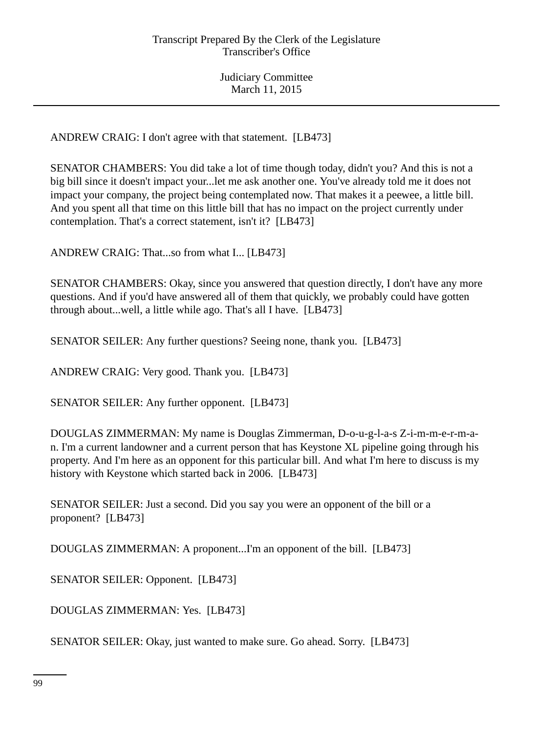ANDREW CRAIG: I don't agree with that statement. [LB473]

SENATOR CHAMBERS: You did take a lot of time though today, didn't you? And this is not a big bill since it doesn't impact your...let me ask another one. You've already told me it does not impact your company, the project being contemplated now. That makes it a peewee, a little bill. And you spent all that time on this little bill that has no impact on the project currently under contemplation. That's a correct statement, isn't it? [LB473]

ANDREW CRAIG: That...so from what I... [LB473]

SENATOR CHAMBERS: Okay, since you answered that question directly, I don't have any more questions. And if you'd have answered all of them that quickly, we probably could have gotten through about...well, a little while ago. That's all I have. [LB473]

SENATOR SEILER: Any further questions? Seeing none, thank you. [LB473]

ANDREW CRAIG: Very good. Thank you. [LB473]

SENATOR SEILER: Any further opponent. [LB473]

DOUGLAS ZIMMERMAN: My name is Douglas Zimmerman, D-o-u-g-l-a-s Z-i-m-m-e-r-m-an. I'm a current landowner and a current person that has Keystone XL pipeline going through his property. And I'm here as an opponent for this particular bill. And what I'm here to discuss is my history with Keystone which started back in 2006. [LB473]

SENATOR SEILER: Just a second. Did you say you were an opponent of the bill or a proponent? [LB473]

DOUGLAS ZIMMERMAN: A proponent...I'm an opponent of the bill. [LB473]

SENATOR SEILER: Opponent. [LB473]

DOUGLAS ZIMMERMAN: Yes. [LB473]

SENATOR SEILER: Okay, just wanted to make sure. Go ahead. Sorry. [LB473]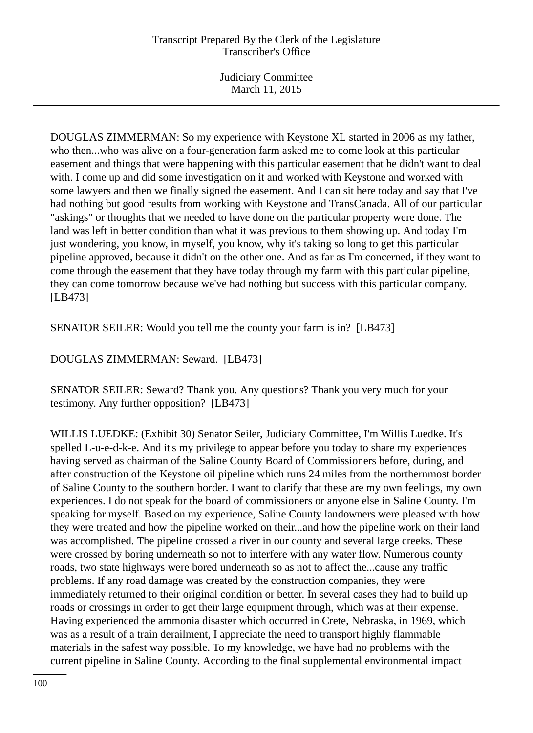DOUGLAS ZIMMERMAN: So my experience with Keystone XL started in 2006 as my father, who then...who was alive on a four-generation farm asked me to come look at this particular easement and things that were happening with this particular easement that he didn't want to deal with. I come up and did some investigation on it and worked with Keystone and worked with some lawyers and then we finally signed the easement. And I can sit here today and say that I've had nothing but good results from working with Keystone and TransCanada. All of our particular "askings" or thoughts that we needed to have done on the particular property were done. The land was left in better condition than what it was previous to them showing up. And today I'm just wondering, you know, in myself, you know, why it's taking so long to get this particular pipeline approved, because it didn't on the other one. And as far as I'm concerned, if they want to come through the easement that they have today through my farm with this particular pipeline, they can come tomorrow because we've had nothing but success with this particular company. [LB473]

SENATOR SEILER: Would you tell me the county your farm is in? [LB473]

DOUGLAS ZIMMERMAN: Seward. [LB473]

SENATOR SEILER: Seward? Thank you. Any questions? Thank you very much for your testimony. Any further opposition? [LB473]

WILLIS LUEDKE: (Exhibit 30) Senator Seiler, Judiciary Committee, I'm Willis Luedke. It's spelled L-u-e-d-k-e. And it's my privilege to appear before you today to share my experiences having served as chairman of the Saline County Board of Commissioners before, during, and after construction of the Keystone oil pipeline which runs 24 miles from the northernmost border of Saline County to the southern border. I want to clarify that these are my own feelings, my own experiences. I do not speak for the board of commissioners or anyone else in Saline County. I'm speaking for myself. Based on my experience, Saline County landowners were pleased with how they were treated and how the pipeline worked on their...and how the pipeline work on their land was accomplished. The pipeline crossed a river in our county and several large creeks. These were crossed by boring underneath so not to interfere with any water flow. Numerous county roads, two state highways were bored underneath so as not to affect the...cause any traffic problems. If any road damage was created by the construction companies, they were immediately returned to their original condition or better. In several cases they had to build up roads or crossings in order to get their large equipment through, which was at their expense. Having experienced the ammonia disaster which occurred in Crete, Nebraska, in 1969, which was as a result of a train derailment, I appreciate the need to transport highly flammable materials in the safest way possible. To my knowledge, we have had no problems with the current pipeline in Saline County. According to the final supplemental environmental impact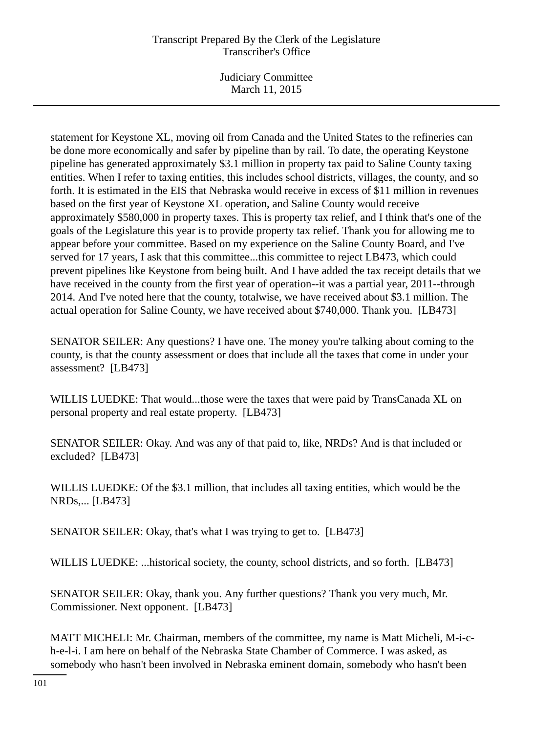# Transcript Prepared By the Clerk of the Legislature Transcriber's Office

Judiciary Committee March 11, 2015

statement for Keystone XL, moving oil from Canada and the United States to the refineries can be done more economically and safer by pipeline than by rail. To date, the operating Keystone pipeline has generated approximately \$3.1 million in property tax paid to Saline County taxing entities. When I refer to taxing entities, this includes school districts, villages, the county, and so forth. It is estimated in the EIS that Nebraska would receive in excess of \$11 million in revenues based on the first year of Keystone XL operation, and Saline County would receive approximately \$580,000 in property taxes. This is property tax relief, and I think that's one of the goals of the Legislature this year is to provide property tax relief. Thank you for allowing me to appear before your committee. Based on my experience on the Saline County Board, and I've served for 17 years, I ask that this committee...this committee to reject LB473, which could prevent pipelines like Keystone from being built. And I have added the tax receipt details that we have received in the county from the first year of operation--it was a partial year, 2011--through 2014. And I've noted here that the county, totalwise, we have received about \$3.1 million. The actual operation for Saline County, we have received about \$740,000. Thank you. [LB473]

SENATOR SEILER: Any questions? I have one. The money you're talking about coming to the county, is that the county assessment or does that include all the taxes that come in under your assessment? [LB473]

WILLIS LUEDKE: That would...those were the taxes that were paid by TransCanada XL on personal property and real estate property. [LB473]

SENATOR SEILER: Okay. And was any of that paid to, like, NRDs? And is that included or excluded? [LB473]

WILLIS LUEDKE: Of the \$3.1 million, that includes all taxing entities, which would be the NRDs,... [LB473]

SENATOR SEILER: Okay, that's what I was trying to get to. [LB473]

WILLIS LUEDKE: ...historical society, the county, school districts, and so forth. [LB473]

SENATOR SEILER: Okay, thank you. Any further questions? Thank you very much, Mr. Commissioner. Next opponent. [LB473]

MATT MICHELI: Mr. Chairman, members of the committee, my name is Matt Micheli, M-i-ch-e-l-i. I am here on behalf of the Nebraska State Chamber of Commerce. I was asked, as somebody who hasn't been involved in Nebraska eminent domain, somebody who hasn't been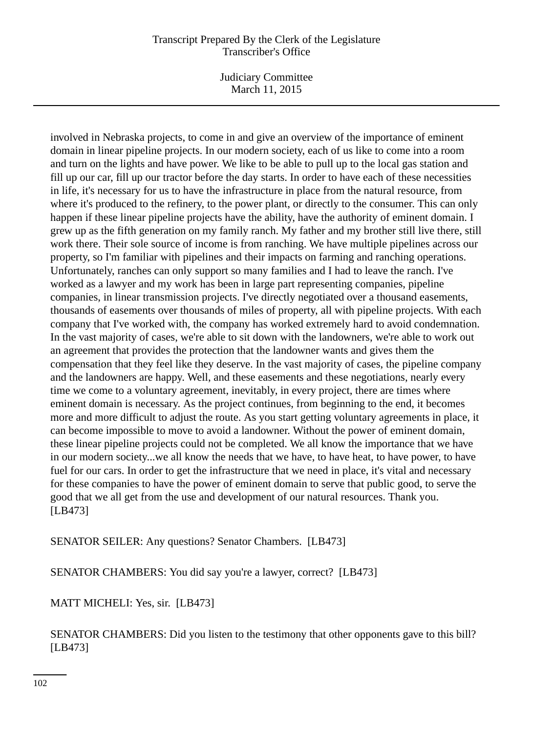## Transcript Prepared By the Clerk of the Legislature Transcriber's Office

Judiciary Committee March 11, 2015

involved in Nebraska projects, to come in and give an overview of the importance of eminent domain in linear pipeline projects. In our modern society, each of us like to come into a room and turn on the lights and have power. We like to be able to pull up to the local gas station and fill up our car, fill up our tractor before the day starts. In order to have each of these necessities in life, it's necessary for us to have the infrastructure in place from the natural resource, from where it's produced to the refinery, to the power plant, or directly to the consumer. This can only happen if these linear pipeline projects have the ability, have the authority of eminent domain. I grew up as the fifth generation on my family ranch. My father and my brother still live there, still work there. Their sole source of income is from ranching. We have multiple pipelines across our property, so I'm familiar with pipelines and their impacts on farming and ranching operations. Unfortunately, ranches can only support so many families and I had to leave the ranch. I've worked as a lawyer and my work has been in large part representing companies, pipeline companies, in linear transmission projects. I've directly negotiated over a thousand easements, thousands of easements over thousands of miles of property, all with pipeline projects. With each company that I've worked with, the company has worked extremely hard to avoid condemnation. In the vast majority of cases, we're able to sit down with the landowners, we're able to work out an agreement that provides the protection that the landowner wants and gives them the compensation that they feel like they deserve. In the vast majority of cases, the pipeline company and the landowners are happy. Well, and these easements and these negotiations, nearly every time we come to a voluntary agreement, inevitably, in every project, there are times where eminent domain is necessary. As the project continues, from beginning to the end, it becomes more and more difficult to adjust the route. As you start getting voluntary agreements in place, it can become impossible to move to avoid a landowner. Without the power of eminent domain, these linear pipeline projects could not be completed. We all know the importance that we have in our modern society...we all know the needs that we have, to have heat, to have power, to have fuel for our cars. In order to get the infrastructure that we need in place, it's vital and necessary for these companies to have the power of eminent domain to serve that public good, to serve the good that we all get from the use and development of our natural resources. Thank you. [LB473]

SENATOR SEILER: Any questions? Senator Chambers. [LB473]

SENATOR CHAMBERS: You did say you're a lawyer, correct? [LB473]

MATT MICHELI: Yes, sir. [LB473]

SENATOR CHAMBERS: Did you listen to the testimony that other opponents gave to this bill? [LB473]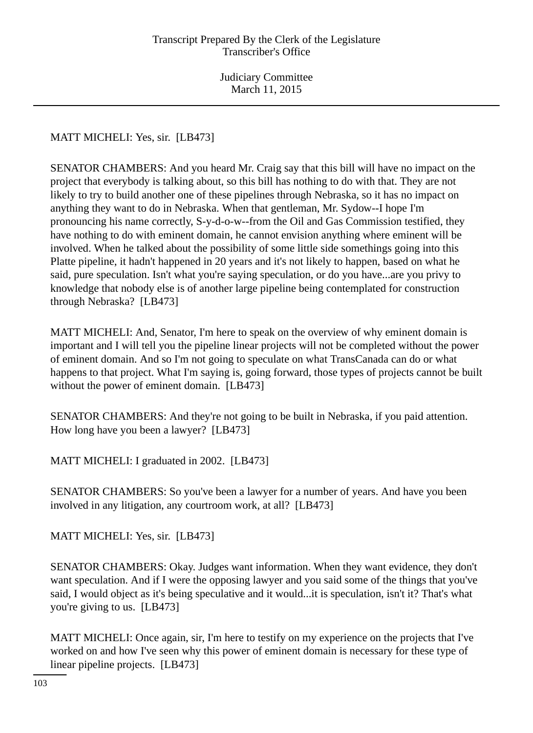MATT MICHELI: Yes, sir. [LB473]

SENATOR CHAMBERS: And you heard Mr. Craig say that this bill will have no impact on the project that everybody is talking about, so this bill has nothing to do with that. They are not likely to try to build another one of these pipelines through Nebraska, so it has no impact on anything they want to do in Nebraska. When that gentleman, Mr. Sydow--I hope I'm pronouncing his name correctly, S-y-d-o-w--from the Oil and Gas Commission testified, they have nothing to do with eminent domain, he cannot envision anything where eminent will be involved. When he talked about the possibility of some little side somethings going into this Platte pipeline, it hadn't happened in 20 years and it's not likely to happen, based on what he said, pure speculation. Isn't what you're saying speculation, or do you have...are you privy to knowledge that nobody else is of another large pipeline being contemplated for construction through Nebraska? [LB473]

MATT MICHELI: And, Senator, I'm here to speak on the overview of why eminent domain is important and I will tell you the pipeline linear projects will not be completed without the power of eminent domain. And so I'm not going to speculate on what TransCanada can do or what happens to that project. What I'm saying is, going forward, those types of projects cannot be built without the power of eminent domain. [LB473]

SENATOR CHAMBERS: And they're not going to be built in Nebraska, if you paid attention. How long have you been a lawyer? [LB473]

MATT MICHELI: I graduated in 2002. [LB473]

SENATOR CHAMBERS: So you've been a lawyer for a number of years. And have you been involved in any litigation, any courtroom work, at all? [LB473]

MATT MICHELI: Yes, sir. [LB473]

SENATOR CHAMBERS: Okay. Judges want information. When they want evidence, they don't want speculation. And if I were the opposing lawyer and you said some of the things that you've said, I would object as it's being speculative and it would...it is speculation, isn't it? That's what you're giving to us. [LB473]

MATT MICHELI: Once again, sir, I'm here to testify on my experience on the projects that I've worked on and how I've seen why this power of eminent domain is necessary for these type of linear pipeline projects. [LB473]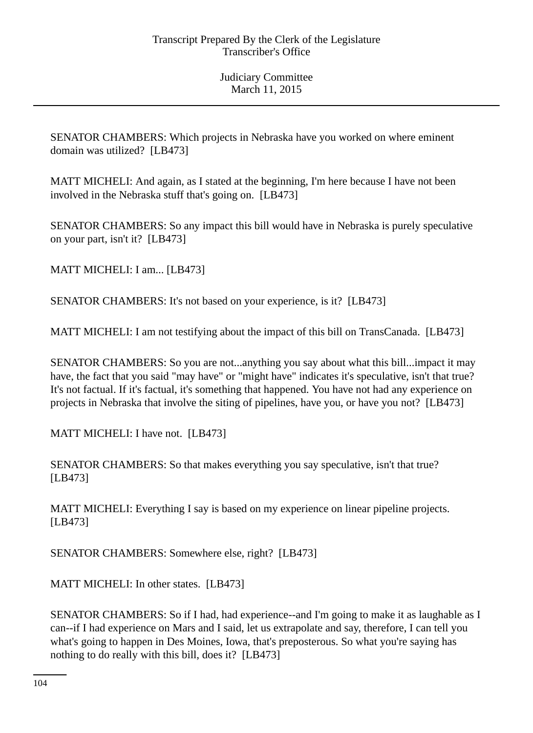SENATOR CHAMBERS: Which projects in Nebraska have you worked on where eminent domain was utilized? [LB473]

MATT MICHELI: And again, as I stated at the beginning, I'm here because I have not been involved in the Nebraska stuff that's going on. [LB473]

SENATOR CHAMBERS: So any impact this bill would have in Nebraska is purely speculative on your part, isn't it? [LB473]

MATT MICHELI: I am... [LB473]

SENATOR CHAMBERS: It's not based on your experience, is it? [LB473]

MATT MICHELI: I am not testifying about the impact of this bill on TransCanada. [LB473]

SENATOR CHAMBERS: So you are not...anything you say about what this bill...impact it may have, the fact that you said "may have" or "might have" indicates it's speculative, isn't that true? It's not factual. If it's factual, it's something that happened. You have not had any experience on projects in Nebraska that involve the siting of pipelines, have you, or have you not? [LB473]

MATT MICHELI: I have not. [LB473]

SENATOR CHAMBERS: So that makes everything you say speculative, isn't that true? [LB473]

MATT MICHELI: Everything I say is based on my experience on linear pipeline projects. [LB473]

SENATOR CHAMBERS: Somewhere else, right? [LB473]

MATT MICHELI: In other states. [LB473]

SENATOR CHAMBERS: So if I had, had experience--and I'm going to make it as laughable as I can--if I had experience on Mars and I said, let us extrapolate and say, therefore, I can tell you what's going to happen in Des Moines, Iowa, that's preposterous. So what you're saying has nothing to do really with this bill, does it? [LB473]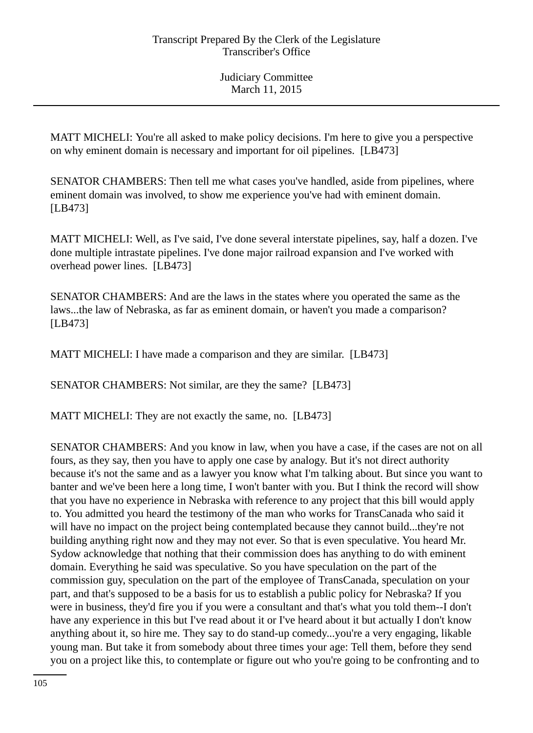MATT MICHELI: You're all asked to make policy decisions. I'm here to give you a perspective on why eminent domain is necessary and important for oil pipelines. [LB473]

SENATOR CHAMBERS: Then tell me what cases you've handled, aside from pipelines, where eminent domain was involved, to show me experience you've had with eminent domain. [LB473]

MATT MICHELI: Well, as I've said, I've done several interstate pipelines, say, half a dozen. I've done multiple intrastate pipelines. I've done major railroad expansion and I've worked with overhead power lines. [LB473]

SENATOR CHAMBERS: And are the laws in the states where you operated the same as the laws...the law of Nebraska, as far as eminent domain, or haven't you made a comparison? [LB473]

MATT MICHELI: I have made a comparison and they are similar. [LB473]

SENATOR CHAMBERS: Not similar, are they the same? [LB473]

MATT MICHELI: They are not exactly the same, no. [LB473]

SENATOR CHAMBERS: And you know in law, when you have a case, if the cases are not on all fours, as they say, then you have to apply one case by analogy. But it's not direct authority because it's not the same and as a lawyer you know what I'm talking about. But since you want to banter and we've been here a long time, I won't banter with you. But I think the record will show that you have no experience in Nebraska with reference to any project that this bill would apply to. You admitted you heard the testimony of the man who works for TransCanada who said it will have no impact on the project being contemplated because they cannot build...they're not building anything right now and they may not ever. So that is even speculative. You heard Mr. Sydow acknowledge that nothing that their commission does has anything to do with eminent domain. Everything he said was speculative. So you have speculation on the part of the commission guy, speculation on the part of the employee of TransCanada, speculation on your part, and that's supposed to be a basis for us to establish a public policy for Nebraska? If you were in business, they'd fire you if you were a consultant and that's what you told them--I don't have any experience in this but I've read about it or I've heard about it but actually I don't know anything about it, so hire me. They say to do stand-up comedy...you're a very engaging, likable young man. But take it from somebody about three times your age: Tell them, before they send you on a project like this, to contemplate or figure out who you're going to be confronting and to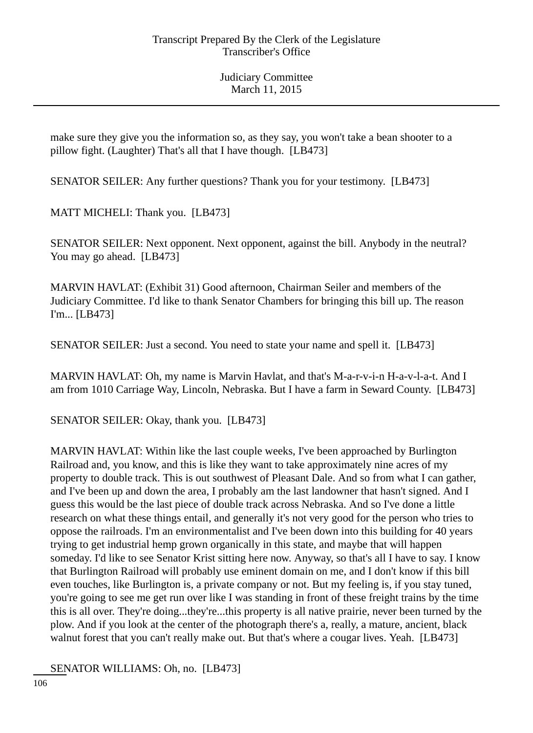make sure they give you the information so, as they say, you won't take a bean shooter to a pillow fight. (Laughter) That's all that I have though. [LB473]

SENATOR SEILER: Any further questions? Thank you for your testimony. [LB473]

MATT MICHELI: Thank you. [LB473]

SENATOR SEILER: Next opponent. Next opponent, against the bill. Anybody in the neutral? You may go ahead. [LB473]

MARVIN HAVLAT: (Exhibit 31) Good afternoon, Chairman Seiler and members of the Judiciary Committee. I'd like to thank Senator Chambers for bringing this bill up. The reason I'm... [LB473]

SENATOR SEILER: Just a second. You need to state your name and spell it. [LB473]

MARVIN HAVLAT: Oh, my name is Marvin Havlat, and that's M-a-r-v-i-n H-a-v-l-a-t. And I am from 1010 Carriage Way, Lincoln, Nebraska. But I have a farm in Seward County. [LB473]

SENATOR SEILER: Okay, thank you. [LB473]

MARVIN HAVLAT: Within like the last couple weeks, I've been approached by Burlington Railroad and, you know, and this is like they want to take approximately nine acres of my property to double track. This is out southwest of Pleasant Dale. And so from what I can gather, and I've been up and down the area, I probably am the last landowner that hasn't signed. And I guess this would be the last piece of double track across Nebraska. And so I've done a little research on what these things entail, and generally it's not very good for the person who tries to oppose the railroads. I'm an environmentalist and I've been down into this building for 40 years trying to get industrial hemp grown organically in this state, and maybe that will happen someday. I'd like to see Senator Krist sitting here now. Anyway, so that's all I have to say. I know that Burlington Railroad will probably use eminent domain on me, and I don't know if this bill even touches, like Burlington is, a private company or not. But my feeling is, if you stay tuned, you're going to see me get run over like I was standing in front of these freight trains by the time this is all over. They're doing...they're...this property is all native prairie, never been turned by the plow. And if you look at the center of the photograph there's a, really, a mature, ancient, black walnut forest that you can't really make out. But that's where a cougar lives. Yeah. [LB473]

SENATOR WILLIAMS: Oh, no. [LB473]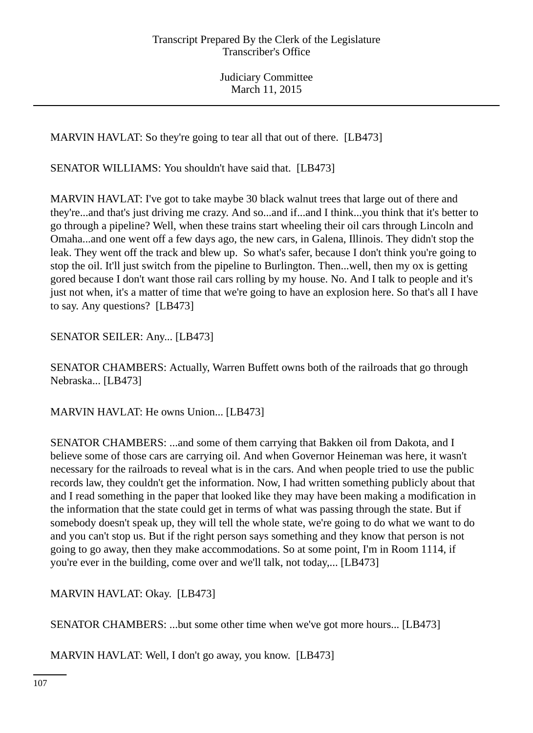MARVIN HAVLAT: So they're going to tear all that out of there. [LB473]

SENATOR WILLIAMS: You shouldn't have said that. [LB473]

MARVIN HAVLAT: I've got to take maybe 30 black walnut trees that large out of there and they're...and that's just driving me crazy. And so...and if...and I think...you think that it's better to go through a pipeline? Well, when these trains start wheeling their oil cars through Lincoln and Omaha...and one went off a few days ago, the new cars, in Galena, Illinois. They didn't stop the leak. They went off the track and blew up. So what's safer, because I don't think you're going to stop the oil. It'll just switch from the pipeline to Burlington. Then...well, then my ox is getting gored because I don't want those rail cars rolling by my house. No. And I talk to people and it's just not when, it's a matter of time that we're going to have an explosion here. So that's all I have to say. Any questions? [LB473]

SENATOR SEILER: Any... [LB473]

SENATOR CHAMBERS: Actually, Warren Buffett owns both of the railroads that go through Nebraska... [LB473]

MARVIN HAVLAT: He owns Union... [LB473]

SENATOR CHAMBERS: ...and some of them carrying that Bakken oil from Dakota, and I believe some of those cars are carrying oil. And when Governor Heineman was here, it wasn't necessary for the railroads to reveal what is in the cars. And when people tried to use the public records law, they couldn't get the information. Now, I had written something publicly about that and I read something in the paper that looked like they may have been making a modification in the information that the state could get in terms of what was passing through the state. But if somebody doesn't speak up, they will tell the whole state, we're going to do what we want to do and you can't stop us. But if the right person says something and they know that person is not going to go away, then they make accommodations. So at some point, I'm in Room 1114, if you're ever in the building, come over and we'll talk, not today,... [LB473]

MARVIN HAVLAT: Okay. [LB473]

SENATOR CHAMBERS: ...but some other time when we've got more hours... [LB473]

MARVIN HAVLAT: Well, I don't go away, you know. [LB473]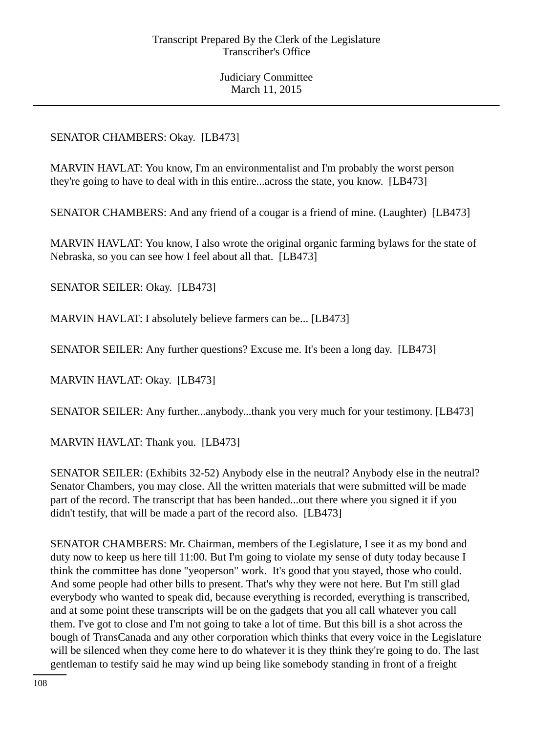# SENATOR CHAMBERS: Okay. [LB473]

MARVIN HAVLAT: You know, I'm an environmentalist and I'm probably the worst person they're going to have to deal with in this entire...across the state, you know. [LB473]

SENATOR CHAMBERS: And any friend of a cougar is a friend of mine. (Laughter) [LB473]

MARVIN HAVLAT: You know, I also wrote the original organic farming bylaws for the state of Nebraska, so you can see how I feel about all that. [LB473]

SENATOR SEILER: Okay. [LB473]

MARVIN HAVLAT: I absolutely believe farmers can be... [LB473]

SENATOR SEILER: Any further questions? Excuse me. It's been a long day. [LB473]

MARVIN HAVLAT: Okay. [LB473]

SENATOR SEILER: Any further...anybody...thank you very much for your testimony. [LB473]

MARVIN HAVLAT: Thank you. [LB473]

SENATOR SEILER: (Exhibits 32-52) Anybody else in the neutral? Anybody else in the neutral? Senator Chambers, you may close. All the written materials that were submitted will be made part of the record. The transcript that has been handed...out there where you signed it if you didn't testify, that will be made a part of the record also. [LB473]

SENATOR CHAMBERS: Mr. Chairman, members of the Legislature, I see it as my bond and duty now to keep us here till 11:00. But I'm going to violate my sense of duty today because I think the committee has done "yeoperson" work. It's good that you stayed, those who could. And some people had other bills to present. That's why they were not here. But I'm still glad everybody who wanted to speak did, because everything is recorded, everything is transcribed, and at some point these transcripts will be on the gadgets that you all call whatever you call them. I've got to close and I'm not going to take a lot of time. But this bill is a shot across the bough of TransCanada and any other corporation which thinks that every voice in the Legislature will be silenced when they come here to do whatever it is they think they're going to do. The last gentleman to testify said he may wind up being like somebody standing in front of a freight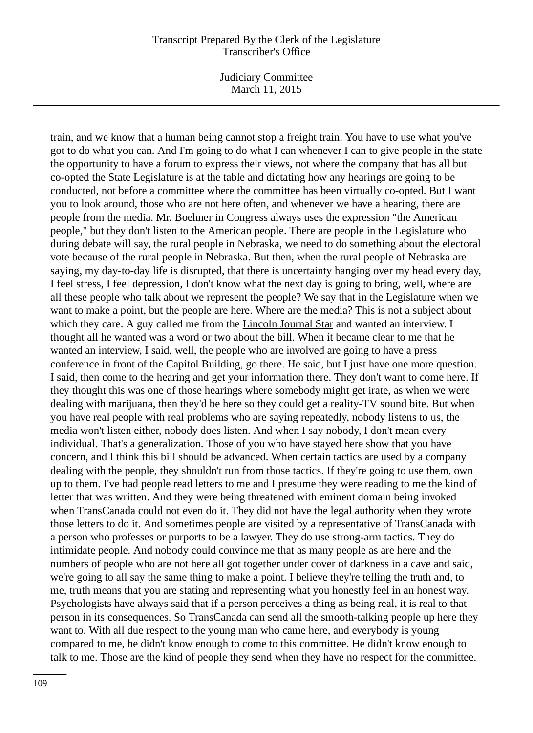Judiciary Committee March 11, 2015

train, and we know that a human being cannot stop a freight train. You have to use what you've got to do what you can. And I'm going to do what I can whenever I can to give people in the state the opportunity to have a forum to express their views, not where the company that has all but co-opted the State Legislature is at the table and dictating how any hearings are going to be conducted, not before a committee where the committee has been virtually co-opted. But I want you to look around, those who are not here often, and whenever we have a hearing, there are people from the media. Mr. Boehner in Congress always uses the expression "the American people," but they don't listen to the American people. There are people in the Legislature who during debate will say, the rural people in Nebraska, we need to do something about the electoral vote because of the rural people in Nebraska. But then, when the rural people of Nebraska are saying, my day-to-day life is disrupted, that there is uncertainty hanging over my head every day, I feel stress, I feel depression, I don't know what the next day is going to bring, well, where are all these people who talk about we represent the people? We say that in the Legislature when we want to make a point, but the people are here. Where are the media? This is not a subject about which they care. A guy called me from the Lincoln Journal Star and wanted an interview. I thought all he wanted was a word or two about the bill. When it became clear to me that he wanted an interview, I said, well, the people who are involved are going to have a press conference in front of the Capitol Building, go there. He said, but I just have one more question. I said, then come to the hearing and get your information there. They don't want to come here. If they thought this was one of those hearings where somebody might get irate, as when we were dealing with marijuana, then they'd be here so they could get a reality-TV sound bite. But when you have real people with real problems who are saying repeatedly, nobody listens to us, the media won't listen either, nobody does listen. And when I say nobody, I don't mean every individual. That's a generalization. Those of you who have stayed here show that you have concern, and I think this bill should be advanced. When certain tactics are used by a company dealing with the people, they shouldn't run from those tactics. If they're going to use them, own up to them. I've had people read letters to me and I presume they were reading to me the kind of letter that was written. And they were being threatened with eminent domain being invoked when TransCanada could not even do it. They did not have the legal authority when they wrote those letters to do it. And sometimes people are visited by a representative of TransCanada with a person who professes or purports to be a lawyer. They do use strong-arm tactics. They do intimidate people. And nobody could convince me that as many people as are here and the numbers of people who are not here all got together under cover of darkness in a cave and said, we're going to all say the same thing to make a point. I believe they're telling the truth and, to me, truth means that you are stating and representing what you honestly feel in an honest way. Psychologists have always said that if a person perceives a thing as being real, it is real to that person in its consequences. So TransCanada can send all the smooth-talking people up here they want to. With all due respect to the young man who came here, and everybody is young compared to me, he didn't know enough to come to this committee. He didn't know enough to talk to me. Those are the kind of people they send when they have no respect for the committee.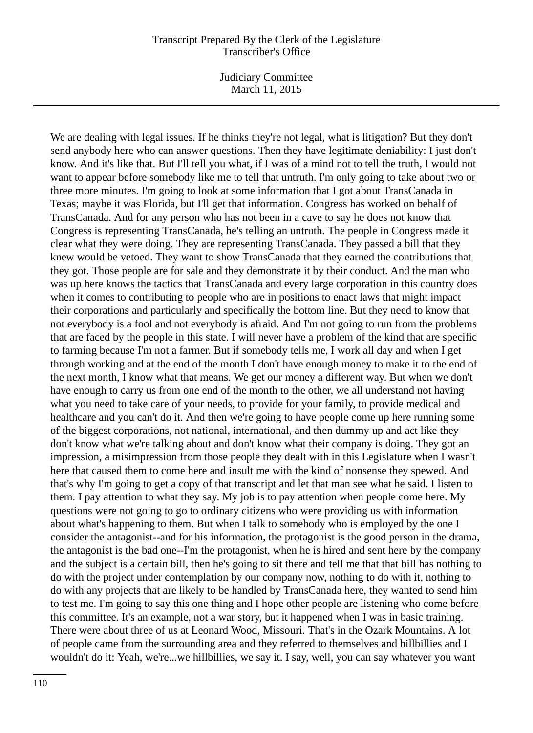Judiciary Committee March 11, 2015

We are dealing with legal issues. If he thinks they're not legal, what is litigation? But they don't send anybody here who can answer questions. Then they have legitimate deniability: I just don't know. And it's like that. But I'll tell you what, if I was of a mind not to tell the truth, I would not want to appear before somebody like me to tell that untruth. I'm only going to take about two or three more minutes. I'm going to look at some information that I got about TransCanada in Texas; maybe it was Florida, but I'll get that information. Congress has worked on behalf of TransCanada. And for any person who has not been in a cave to say he does not know that Congress is representing TransCanada, he's telling an untruth. The people in Congress made it clear what they were doing. They are representing TransCanada. They passed a bill that they knew would be vetoed. They want to show TransCanada that they earned the contributions that they got. Those people are for sale and they demonstrate it by their conduct. And the man who was up here knows the tactics that TransCanada and every large corporation in this country does when it comes to contributing to people who are in positions to enact laws that might impact their corporations and particularly and specifically the bottom line. But they need to know that not everybody is a fool and not everybody is afraid. And I'm not going to run from the problems that are faced by the people in this state. I will never have a problem of the kind that are specific to farming because I'm not a farmer. But if somebody tells me, I work all day and when I get through working and at the end of the month I don't have enough money to make it to the end of the next month, I know what that means. We get our money a different way. But when we don't have enough to carry us from one end of the month to the other, we all understand not having what you need to take care of your needs, to provide for your family, to provide medical and healthcare and you can't do it. And then we're going to have people come up here running some of the biggest corporations, not national, international, and then dummy up and act like they don't know what we're talking about and don't know what their company is doing. They got an impression, a misimpression from those people they dealt with in this Legislature when I wasn't here that caused them to come here and insult me with the kind of nonsense they spewed. And that's why I'm going to get a copy of that transcript and let that man see what he said. I listen to them. I pay attention to what they say. My job is to pay attention when people come here. My questions were not going to go to ordinary citizens who were providing us with information about what's happening to them. But when I talk to somebody who is employed by the one I consider the antagonist--and for his information, the protagonist is the good person in the drama, the antagonist is the bad one--I'm the protagonist, when he is hired and sent here by the company and the subject is a certain bill, then he's going to sit there and tell me that that bill has nothing to do with the project under contemplation by our company now, nothing to do with it, nothing to do with any projects that are likely to be handled by TransCanada here, they wanted to send him to test me. I'm going to say this one thing and I hope other people are listening who come before this committee. It's an example, not a war story, but it happened when I was in basic training. There were about three of us at Leonard Wood, Missouri. That's in the Ozark Mountains. A lot of people came from the surrounding area and they referred to themselves and hillbillies and I wouldn't do it: Yeah, we're...we hillbillies, we say it. I say, well, you can say whatever you want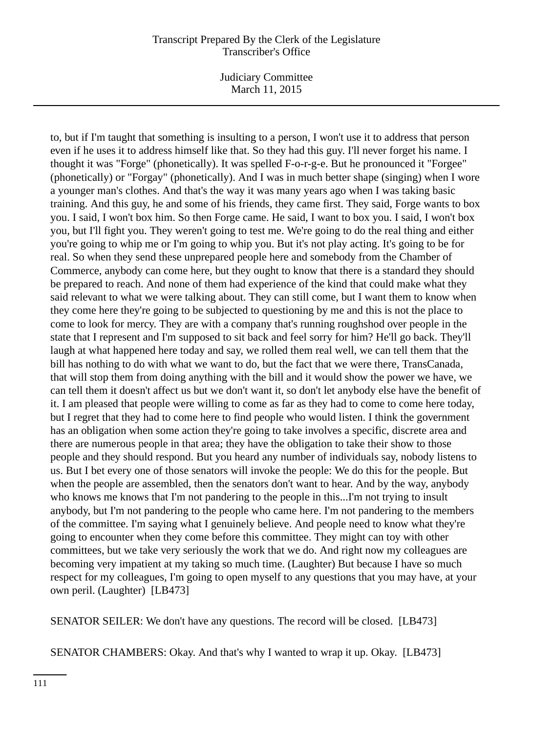Judiciary Committee March 11, 2015

to, but if I'm taught that something is insulting to a person, I won't use it to address that person even if he uses it to address himself like that. So they had this guy. I'll never forget his name. I thought it was "Forge" (phonetically). It was spelled F-o-r-g-e. But he pronounced it "Forgee" (phonetically) or "Forgay" (phonetically). And I was in much better shape (singing) when I wore a younger man's clothes. And that's the way it was many years ago when I was taking basic training. And this guy, he and some of his friends, they came first. They said, Forge wants to box you. I said, I won't box him. So then Forge came. He said, I want to box you. I said, I won't box you, but I'll fight you. They weren't going to test me. We're going to do the real thing and either you're going to whip me or I'm going to whip you. But it's not play acting. It's going to be for real. So when they send these unprepared people here and somebody from the Chamber of Commerce, anybody can come here, but they ought to know that there is a standard they should be prepared to reach. And none of them had experience of the kind that could make what they said relevant to what we were talking about. They can still come, but I want them to know when they come here they're going to be subjected to questioning by me and this is not the place to come to look for mercy. They are with a company that's running roughshod over people in the state that I represent and I'm supposed to sit back and feel sorry for him? He'll go back. They'll laugh at what happened here today and say, we rolled them real well, we can tell them that the bill has nothing to do with what we want to do, but the fact that we were there, TransCanada, that will stop them from doing anything with the bill and it would show the power we have, we can tell them it doesn't affect us but we don't want it, so don't let anybody else have the benefit of it. I am pleased that people were willing to come as far as they had to come to come here today, but I regret that they had to come here to find people who would listen. I think the government has an obligation when some action they're going to take involves a specific, discrete area and there are numerous people in that area; they have the obligation to take their show to those people and they should respond. But you heard any number of individuals say, nobody listens to us. But I bet every one of those senators will invoke the people: We do this for the people. But when the people are assembled, then the senators don't want to hear. And by the way, anybody who knows me knows that I'm not pandering to the people in this...I'm not trying to insult anybody, but I'm not pandering to the people who came here. I'm not pandering to the members of the committee. I'm saying what I genuinely believe. And people need to know what they're going to encounter when they come before this committee. They might can toy with other committees, but we take very seriously the work that we do. And right now my colleagues are becoming very impatient at my taking so much time. (Laughter) But because I have so much respect for my colleagues, I'm going to open myself to any questions that you may have, at your own peril. (Laughter) [LB473]

SENATOR SEILER: We don't have any questions. The record will be closed. [LB473]

SENATOR CHAMBERS: Okay. And that's why I wanted to wrap it up. Okay. [LB473]